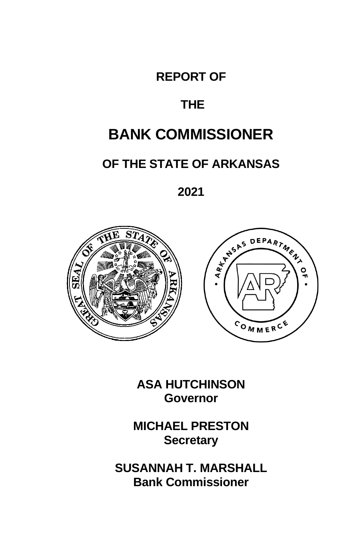## **REPORT OF**

## **THE**

## **BANK COMMISSIONER**

## **OF THE STATE OF ARKANSAS**

**2021**





**ASA HUTCHINSON Governor**

**MICHAEL PRESTON Secretary**

**SUSANNAH T. MARSHALL Bank Commissioner**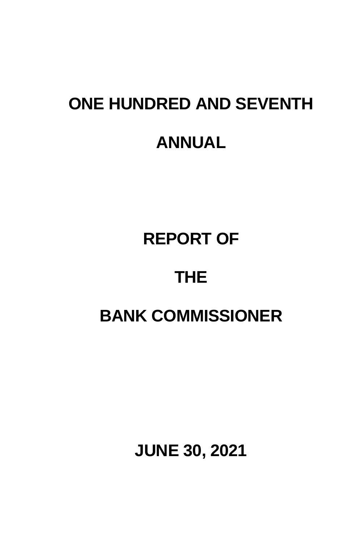# **ONE HUNDRED AND SEVENTH ANNUAL**

## **REPORT OF**

## **THE**

## **BANK COMMISSIONER**

**JUNE 30, 2021**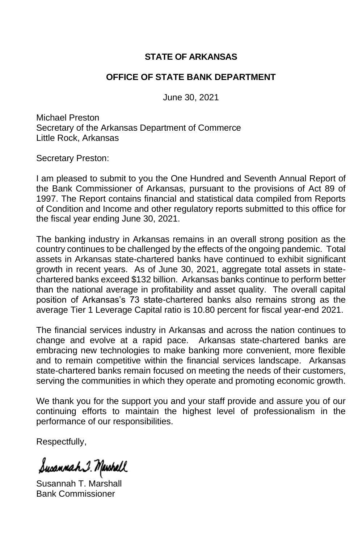### **STATE OF ARKANSAS**

### **OFFICE OF STATE BANK DEPARTMENT**

June 30, 2021

Michael Preston Secretary of the Arkansas Department of Commerce Little Rock, Arkansas

Secretary Preston:

I am pleased to submit to you the One Hundred and Seventh Annual Report of the Bank Commissioner of Arkansas, pursuant to the provisions of Act 89 of 1997. The Report contains financial and statistical data compiled from Reports of Condition and Income and other regulatory reports submitted to this office for the fiscal year ending June 30, 2021.

The banking industry in Arkansas remains in an overall strong position as the country continues to be challenged by the effects of the ongoing pandemic. Total assets in Arkansas state-chartered banks have continued to exhibit significant growth in recent years. As of June 30, 2021, aggregate total assets in statechartered banks exceed \$132 billion. Arkansas banks continue to perform better than the national average in profitability and asset quality. The overall capital position of Arkansas's 73 state-chartered banks also remains strong as the average Tier 1 Leverage Capital ratio is 10.80 percent for fiscal year-end 2021.

The financial services industry in Arkansas and across the nation continues to change and evolve at a rapid pace. Arkansas state-chartered banks are embracing new technologies to make banking more convenient, more flexible and to remain competitive within the financial services landscape. Arkansas state-chartered banks remain focused on meeting the needs of their customers, serving the communities in which they operate and promoting economic growth.

We thank you for the support you and your staff provide and assure you of our continuing efforts to maintain the highest level of professionalism in the performance of our responsibilities.

Respectfully,

Susannah I. Mawhall

Susannah T. Marshall Bank Commissioner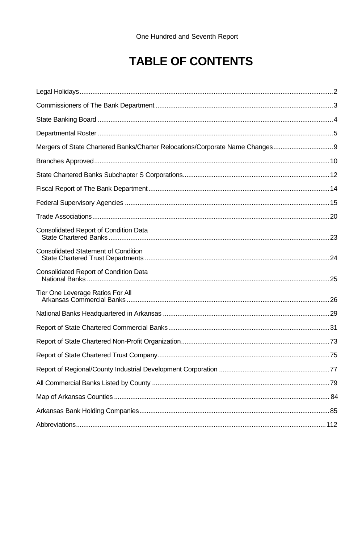## **TABLE OF CONTENTS**

| Mergers of State Chartered Banks/Charter Relocations/Corporate Name Changes |  |
|-----------------------------------------------------------------------------|--|
|                                                                             |  |
|                                                                             |  |
|                                                                             |  |
|                                                                             |  |
|                                                                             |  |
| Consolidated Report of Condition Data                                       |  |
| <b>Consolidated Statement of Condition</b>                                  |  |
| Consolidated Report of Condition Data                                       |  |
| Tier One Leverage Ratios For All                                            |  |
|                                                                             |  |
|                                                                             |  |
|                                                                             |  |
|                                                                             |  |
|                                                                             |  |
|                                                                             |  |
|                                                                             |  |
|                                                                             |  |
|                                                                             |  |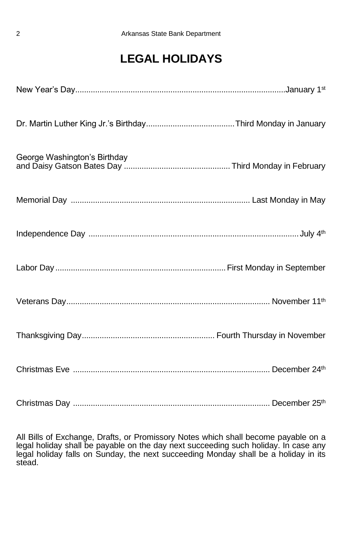## **LEGAL HOLIDAYS**

| George Washington's Birthday |  |
|------------------------------|--|
|                              |  |
|                              |  |
|                              |  |
|                              |  |
|                              |  |
|                              |  |
|                              |  |

All Bills of Exchange, Drafts, or Promissory Notes which shall become payable on a legal holiday shall be payable on the day next succeeding such holiday. In case any legal holiday falls on Sunday, the next succeeding Monday shall be a holiday in its stead.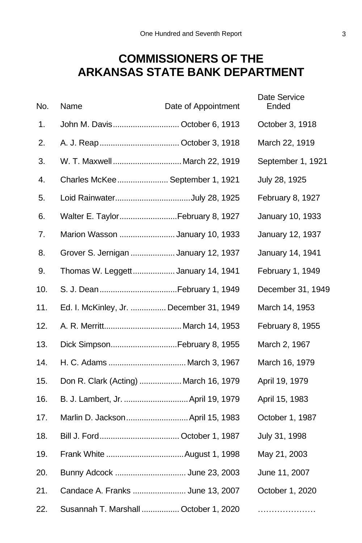## **COMMISSIONERS OF THE ARKANSAS STATE BANK DEPARTMENT**

| No. | Name                                    | Date of Appointment | Date Service<br>Ended |
|-----|-----------------------------------------|---------------------|-----------------------|
| 1.  | John M. Davis October 6, 1913           |                     | October 3, 1918       |
| 2.  |                                         |                     | March 22, 1919        |
| 3.  | W. T. Maxwell March 22, 1919            |                     | September 1, 1921     |
| 4.  | Charles McKee September 1, 1921         |                     | July 28, 1925         |
| 5.  | Loid RainwaterJuly 28, 1925             |                     | February 8, 1927      |
| 6.  | Walter E. Taylor February 8, 1927       |                     | January 10, 1933      |
| 7.  | Marion Wasson  January 10, 1933         |                     | January 12, 1937      |
| 8.  | Grover S. Jernigan  January 12, 1937    |                     | January 14, 1941      |
| 9.  | Thomas W. Leggett January 14, 1941      |                     | February 1, 1949      |
| 10. |                                         |                     | December 31, 1949     |
| 11. | Ed. I. McKinley, Jr.  December 31, 1949 |                     | March 14, 1953        |
| 12. |                                         |                     | February 8, 1955      |
| 13. | Dick SimpsonFebruary 8, 1955            |                     | March 2, 1967         |
| 14. | H. C. Adams  March 3, 1967              |                     | March 16, 1979        |
| 15. | Don R. Clark (Acting)  March 16, 1979   |                     | April 19, 1979        |
| 16. | B. J. Lambert, Jr.  April 19, 1979      |                     | April 15, 1983        |
| 17. | Marlin D. Jackson April 15, 1983        |                     | October 1, 1987       |
| 18. |                                         |                     | July 31, 1998         |
| 19. |                                         |                     | May 21, 2003          |
| 20. | Bunny Adcock  June 23, 2003             |                     | June 11, 2007         |
| 21. | Candace A. Franks  June 13, 2007        |                     | October 1, 2020       |
| 22. | Susannah T. Marshall  October 1, 2020   |                     |                       |
|     |                                         |                     |                       |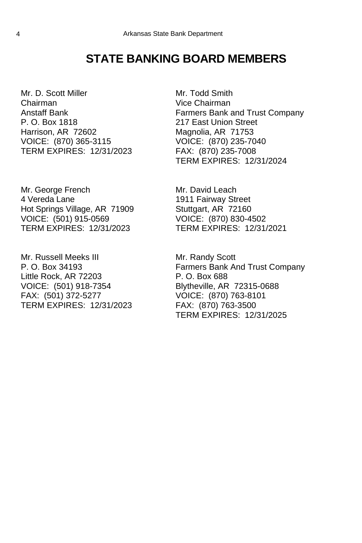## **STATE BANKING BOARD MEMBERS**

Mr. D. Scott Miller Chairman Anstaff Bank P. O. Box 1818 Harrison, AR 72602 VOICE: (870) 365-3115 TERM EXPIRES: 12/31/2023

Mr. George French 4 Vereda Lane Hot Springs Village, AR 71909 VOICE: (501) 915-0569 TERM EXPIRES: 12/31/2023

Mr. Russell Meeks III P. O. Box 34193 Little Rock, AR 72203 VOICE: (501) 918-7354 FAX: (501) 372-5277 TERM EXPIRES: 12/31/2023

Mr. Todd Smith Vice Chairman Farmers Bank and Trust Company 217 East Union Street Magnolia, AR 71753 VOICE: (870) 235-7040 FAX: (870) 235-7008 TERM EXPIRES: 12/31/2024

Mr. David Leach 1911 Fairway Street Stuttgart, AR 72160 VOICE: (870) 830-4502 TERM EXPIRES: 12/31/2021

Mr. Randy Scott Farmers Bank And Trust Company P. O. Box 688 Blytheville, AR 72315-0688 VOICE: (870) 763-8101 FAX: (870) 763-3500 TERM EXPIRES: 12/31/2025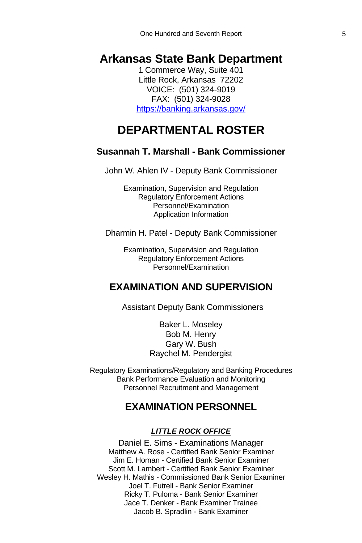## **Arkansas State Bank Department**

1 Commerce Way, Suite 401 Little Rock, Arkansas 72202 VOICE: (501) 324-9019 FAX: (501) 324-9028 <https://banking.arkansas.gov/>

## **DEPARTMENTAL ROSTER**

### **Susannah T. Marshall - Bank Commissioner**

John W. Ahlen IV - Deputy Bank Commissioner

Examination, Supervision and Regulation Regulatory Enforcement Actions Personnel/Examination Application Information

Dharmin H. Patel - Deputy Bank Commissioner

Examination, Supervision and Regulation Regulatory Enforcement Actions Personnel/Examination

### **EXAMINATION AND SUPERVISION**

Assistant Deputy Bank Commissioners

Baker L. Moseley Bob M. Henry Gary W. Bush Raychel M. Pendergist

Regulatory Examinations/Regulatory and Banking Procedures Bank Performance Evaluation and Monitoring Personnel Recruitment and Management

### **EXAMINATION PERSONNEL**

### *LITTLE ROCK OFFICE*

Daniel E. Sims - Examinations Manager Matthew A. Rose - Certified Bank Senior Examiner Jim E. Homan - Certified Bank Senior Examiner Scott M. Lambert - Certified Bank Senior Examiner Wesley H. Mathis - Commissioned Bank Senior Examiner Joel T. Futrell - Bank Senior Examiner Ricky T. Puloma - Bank Senior Examiner Jace T. Denker - Bank Examiner Trainee Jacob B. Spradlin - Bank Examiner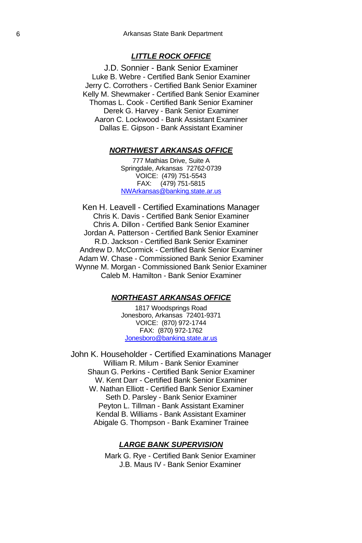### *LITTLE ROCK OFFICE*

J.D. Sonnier - Bank Senior Examiner Luke B. Webre - Certified Bank Senior Examiner Jerry C. Corrothers - Certified Bank Senior Examiner Kelly M. Shewmaker - Certified Bank Senior Examiner Thomas L. Cook - Certified Bank Senior Examiner Derek G. Harvey - Bank Senior Examiner Aaron C. Lockwood - Bank Assistant Examiner Dallas E. Gipson - Bank Assistant Examiner

### *NORTHWEST ARKANSAS OFFICE*

777 Mathias Drive, Suite A Springdale, Arkansas 72762-0739 VOICE: (479) 751-5543 FAX: (479) 751-5815 [NWArkansas@banking.state.ar.us](mailto:NWArkansas@banking.state.ar.us)

Ken H. Leavell - Certified Examinations Manager Chris K. Davis - Certified Bank Senior Examiner Chris A. Dillon - Certified Bank Senior Examiner Jordan A. Patterson - Certified Bank Senior Examiner R.D. Jackson - Certified Bank Senior Examiner Andrew D. McCormick - Certified Bank Senior Examiner Adam W. Chase - Commissioned Bank Senior Examiner Wynne M. Morgan - Commissioned Bank Senior Examiner Caleb M. Hamilton - Bank Senior Examiner

### *NORTHEAST ARKANSAS OFFICE*

1817 Woodsprings Road Jonesboro, Arkansas 72401-9371 VOICE: (870) 972-1744 FAX: (870) 972-1762 [Jonesboro@banking.state.ar.us](mailto:Jonesboro@banking.state.ar.us)

John K. Householder - Certified Examinations Manager William R. Milum - Bank Senior Examiner Shaun G. Perkins - Certified Bank Senior Examiner W. Kent Darr - Certified Bank Senior Examiner W. Nathan Elliott - Certified Bank Senior Examiner Seth D. Parsley - Bank Senior Examiner Peyton L. Tillman - Bank Assistant Examiner Kendal B. Williams - Bank Assistant Examiner Abigale G. Thompson - Bank Examiner Trainee

### *LARGE BANK SUPERVISION*

Mark G. Rye - Certified Bank Senior Examiner J.B. Maus IV - Bank Senior Examiner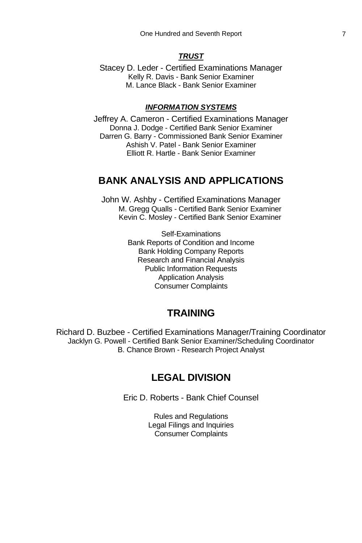### *TRUST*

Stacey D. Leder - Certified Examinations Manager Kelly R. Davis - Bank Senior Examiner M. Lance Black - Bank Senior Examiner

### *INFORMATION SYSTEMS*

Jeffrey A. Cameron - Certified Examinations Manager Donna J. Dodge - Certified Bank Senior Examiner Darren G. Barry - Commissioned Bank Senior Examiner Ashish V. Patel - Bank Senior Examiner Elliott R. Hartle - Bank Senior Examiner

### **BANK ANALYSIS AND APPLICATIONS**

John W. Ashby - Certified Examinations Manager M. Gregg Qualls - Certified Bank Senior Examiner Kevin C. Mosley - Certified Bank Senior Examiner

> Self-Examinations Bank Reports of Condition and Income Bank Holding Company Reports Research and Financial Analysis Public Information Requests Application Analysis Consumer Complaints

### **TRAINING**

Richard D. Buzbee - Certified Examinations Manager/Training Coordinator Jacklyn G. Powell - Certified Bank Senior Examiner/Scheduling Coordinator B. Chance Brown - Research Project Analyst

### **LEGAL DIVISION**

Eric D. Roberts - Bank Chief Counsel

Rules and Regulations Legal Filings and Inquiries Consumer Complaints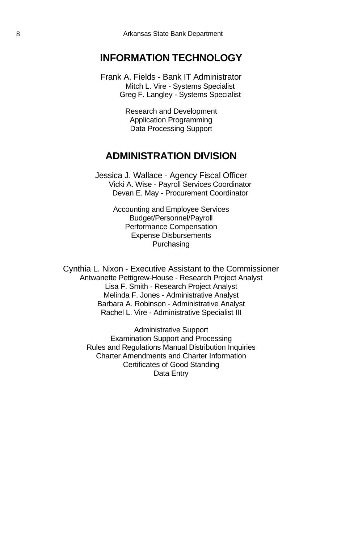### **INFORMATION TECHNOLOGY**

Frank A. Fields - Bank IT Administrator Mitch L. Vire - Systems Specialist Greg F. Langley - Systems Specialist

> Research and Development Application Programming Data Processing Support

### **ADMINISTRATION DIVISION**

Jessica J. Wallace - Agency Fiscal Officer Vicki A. Wise - Payroll Services Coordinator Devan E. May - Procurement Coordinator

> Accounting and Employee Services Budget/Personnel/Payroll Performance Compensation Expense Disbursements Purchasing

Cynthia L. Nixon - Executive Assistant to the Commissioner Antwanette Pettigrew-House - Research Project Analyst Lisa F. Smith - Research Project Analyst Melinda F. Jones - Administrative Analyst Barbara A. Robinson - Administrative Analyst Rachel L. Vire - Administrative Specialist III

> Administrative Support Examination Support and Processing Rules and Regulations Manual Distribution Inquiries Charter Amendments and Charter Information Certificates of Good Standing Data Entry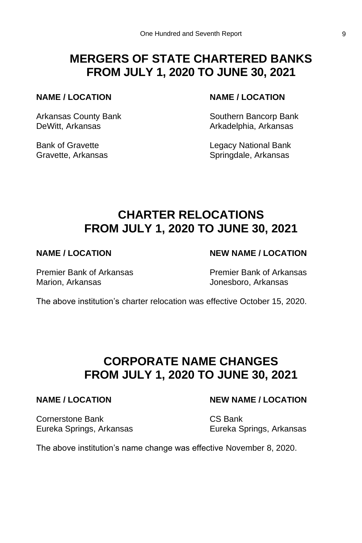## **MERGERS OF STATE CHARTERED BANKS FROM JULY 1, 2020 TO JUNE 30, 2021**

### **NAME / LOCATION NAME / LOCATION**

DeWitt, Arkansas **Arkadelphia, Arkansas** 

Arkansas County Bank Southern Bancorp Bank

Bank of Gravette **Legacy National Bank** Gravette, Arkansas Springdale, Arkansas

## **CHARTER RELOCATIONS FROM JULY 1, 2020 TO JUNE 30, 2021**

Premier Bank of Arkansas Premier Bank of Arkansas Marion, Arkansas **Marion, Arkansas** Jonesboro, Arkansas

## **NAME / LOCATION NEW NAME / LOCATION**

The above institution's charter relocation was effective October 15, 2020.

## **CORPORATE NAME CHANGES FROM JULY 1, 2020 TO JUNE 30, 2021**

Cornerstone Bank CS Bank Eureka Springs, Arkansas Eureka Springs, Arkansas

### **NAME / LOCATION NEW NAME / LOCATION**

The above institution's name change was effective November 8, 2020.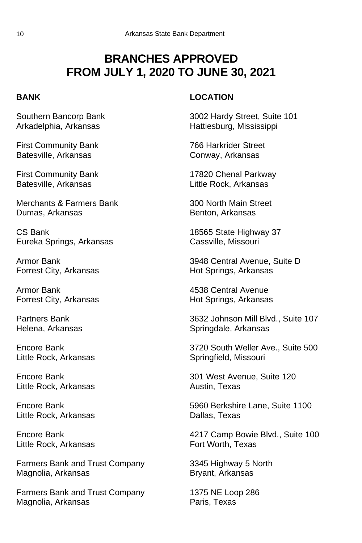## **BRANCHES APPROVED FROM JULY 1, 2020 TO JUNE 30, 2021**

First Community Bank 766 Harkrider Street Batesville, Arkansas Conway, Arkansas

Batesville, Arkansas **Little Rock, Arkansas** 

Merchants & Farmers Bank 300 North Main Street Dumas, Arkansas **Benton, Arkansas** Benton, Arkansas

CS Bank 18565 State Highway 37 Eureka Springs, Arkansas Cassville, Missouri

Armor Bank 4538 Central Avenue Forrest City, Arkansas **Hot Springs**, Arkansas

Little Rock, Arkansas Springfield, Missouri

Little Rock, Arkansas **Austin**, Texas

Little Rock, Arkansas **Dallas**, Texas

Little Rock, Arkansas Fort Worth, Texas

Farmers Bank and Trust Company 3345 Highway 5 North Magnolia, Arkansas **Bryant, Arkansas** Bryant, Arkansas

Farmers Bank and Trust Company 1375 NE Loop 286 Magnolia, Arkansas **Paris, Texas** 

### **BANK LOCATION**

Southern Bancorp Bank 3002 Hardy Street, Suite 101 Arkadelphia, Arkansas and Hattiesburg, Mississippi

First Community Bank 17820 Chenal Parkway

Armor Bank 3948 Central Avenue, Suite D Forrest City, Arkansas **Hot Springs**, Arkansas

Partners Bank 3632 Johnson Mill Blvd., Suite 107 Helena, Arkansas Springdale, Arkansas

Encore Bank 3720 South Weller Ave., Suite 500

Encore Bank 301 West Avenue, Suite 120

Encore Bank 5960 Berkshire Lane, Suite 1100

Encore Bank 4217 Camp Bowie Blvd., Suite 100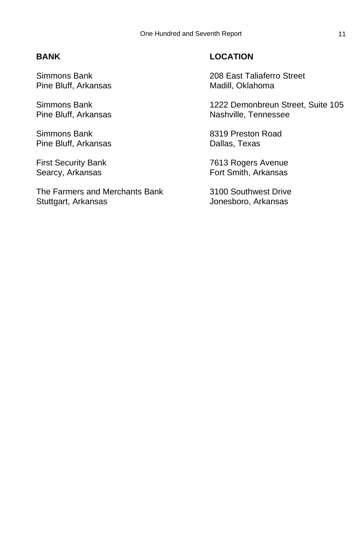Pine Bluff, Arkansas Madill, Oklahoma

Pine Bluff, Arkansas Dallas, Texas

The Farmers and Merchants Bank 3100 Southwest Drive Stuttgart, Arkansas Jonesboro, Arkansas

### **BANK LOCATION**

Simmons Bank 208 East Taliaferro Street

Simmons Bank 1222 Demonbreun Street, Suite 105 Pine Bluff, Arkansas Nashville, Tennessee

Simmons Bank 8319 Preston Road

First Security Bank 7613 Rogers Avenue<br>
Searcy, Arkansas<br>
Fort Smith, Arkansas Fort Smith, Arkansas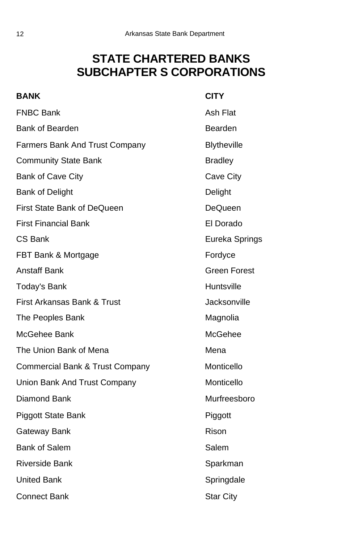## **STATE CHARTERED BANKS SUBCHAPTER S CORPORATIONS**

| <b>BANK</b>                                | <b>CITY</b>         |
|--------------------------------------------|---------------------|
| <b>FNBC Bank</b>                           | Ash Flat            |
| <b>Bank of Bearden</b>                     | Bearden             |
| Farmers Bank And Trust Company             | <b>Blytheville</b>  |
| <b>Community State Bank</b>                | <b>Bradley</b>      |
| Bank of Cave City                          | Cave City           |
| <b>Bank of Delight</b>                     | Delight             |
| First State Bank of DeQueen                | DeQueen             |
| <b>First Financial Bank</b>                | El Dorado           |
| CS Bank                                    | Eureka Springs      |
| FBT Bank & Mortgage                        | Fordyce             |
| <b>Anstaff Bank</b>                        | <b>Green Forest</b> |
| Today's Bank                               | Huntsville          |
| First Arkansas Bank & Trust                | Jacksonville        |
| The Peoples Bank                           | Magnolia            |
| McGehee Bank                               | McGehee             |
| The Union Bank of Mena                     | Mena                |
| <b>Commercial Bank &amp; Trust Company</b> | Monticello          |
| Union Bank And Trust Company               | Monticello          |
| <b>Diamond Bank</b>                        | Murfreesboro        |
| Piggott State Bank                         | Piggott             |
| Gateway Bank                               | Rison               |
| <b>Bank of Salem</b>                       | Salem               |
| <b>Riverside Bank</b>                      | Sparkman            |
| <b>United Bank</b>                         | Springdale          |
| Connect Bank                               | <b>Star City</b>    |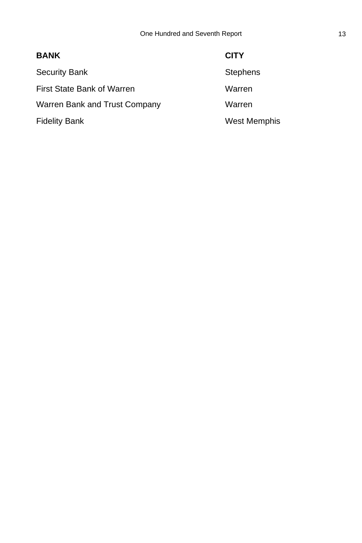| <b>BANK</b>                   | <b>CITY</b>         |
|-------------------------------|---------------------|
| <b>Security Bank</b>          | <b>Stephens</b>     |
| First State Bank of Warren    | Warren              |
| Warren Bank and Trust Company | Warren              |
| <b>Fidelity Bank</b>          | <b>West Memphis</b> |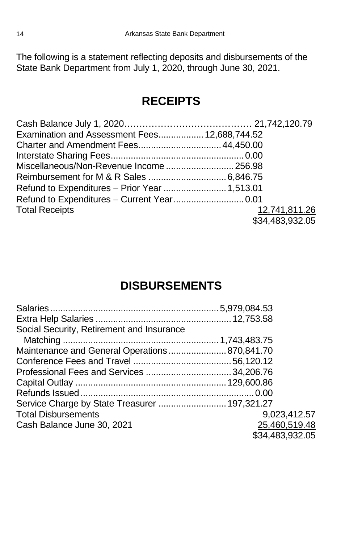The following is a statement reflecting deposits and disbursements of the State Bank Department from July 1, 2020, through June 30, 2021.

## **RECEIPTS**

| Examination and Assessment Fees 12,688,744.52 |                 |
|-----------------------------------------------|-----------------|
|                                               |                 |
|                                               |                 |
|                                               |                 |
|                                               |                 |
| Refund to Expenditures - Prior Year  1,513.01 |                 |
|                                               |                 |
| <b>Total Receipts</b>                         | 12,741,811.26   |
|                                               | \$34,483,932.05 |

## **DISBURSEMENTS**

| Social Security, Retirement and Insurance     |                 |
|-----------------------------------------------|-----------------|
|                                               |                 |
| Maintenance and General Operations 870,841.70 |                 |
|                                               |                 |
|                                               |                 |
|                                               |                 |
|                                               |                 |
| Service Charge by State Treasurer  197,321.27 |                 |
| <b>Total Disbursements</b>                    | 9,023,412.57    |
| Cash Balance June 30, 2021                    | 25,460,519.48   |
|                                               | \$34,483,932.05 |
|                                               |                 |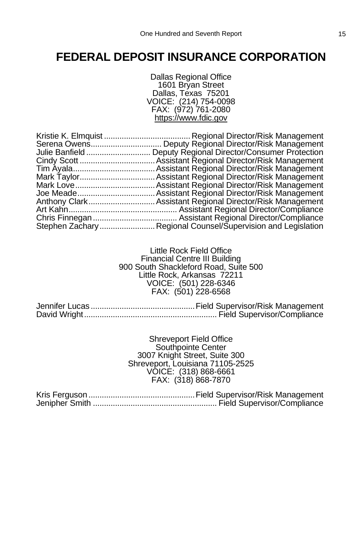## **FEDERAL DEPOSIT INSURANCE CORPORATION**

Dallas Regional Office 1601 Bryan Street Dallas, Texas 75201 VOICE: (214) 754-0098 FAX: (972) 761-2080 https://www.fdic.gov

| Julie Banfield | Deputy Regional Director/Consumer Protection              |
|----------------|-----------------------------------------------------------|
|                |                                                           |
|                |                                                           |
|                |                                                           |
|                |                                                           |
|                |                                                           |
|                | Anthony Clark Assistant Regional Director/Risk Management |
|                |                                                           |
|                |                                                           |
|                |                                                           |
|                |                                                           |

Little Rock Field Office Financial Centre III Building 900 South Shackleford Road, Suite 500 Little Rock, Arkansas 72211 VOICE: (501) 228-6346 FAX: (501) 228-6568

Jennifer Lucas ...............................................Field Supervisor/Risk Management David Wright............................................................ Field Supervisor/Compliance

> Shreveport Field Office Southpointe Center 3007 Knight Street, Suite 300 Shreveport, Louisiana 71105-2525 VOICE: (318) 868-6661 FAX: (318) 868-7870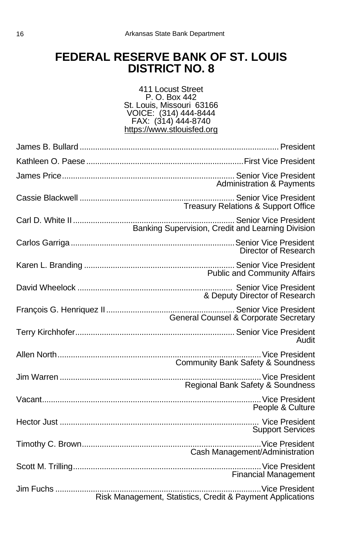## **FEDERAL RESERVE BANK OF ST. LOUIS DISTRICT NO. 8**

### 411 Locust Street P. O. Box 442 St. Louis, Missouri 63166 VOICE: (314) 444-8444 FAX: (314) 444-8740 https://www.stlouisfed.org

| <b>Administration &amp; Payments</b>                       |
|------------------------------------------------------------|
| <b>Treasury Relations &amp; Support Office</b>             |
| Banking Supervision, Credit and Learning Division          |
| Director of Research                                       |
| <b>Public and Community Affairs</b>                        |
| & Deputy Director of Research                              |
| <b>General Counsel &amp; Corporate Secretary</b>           |
| Audit                                                      |
| <b>Community Bank Safety &amp; Soundness</b>               |
| Regional Bank Safety & Soundness                           |
| People & Culture                                           |
| <b>Support Services</b>                                    |
| Cash Management/Administration                             |
| <b>Financial Management</b>                                |
| Risk Management, Statistics, Credit & Payment Applications |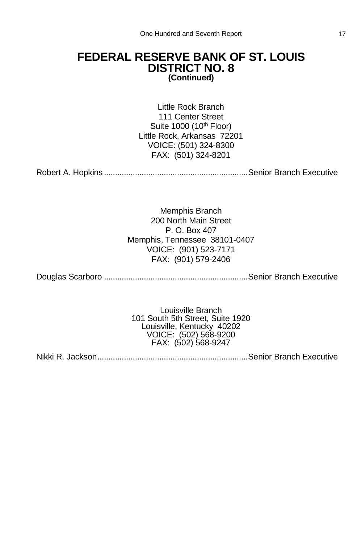### **FEDERAL RESERVE BANK OF ST. LOUIS DISTRICT NO. 8 (Continued)**

Little Rock Branch 111 Center Street Suite 1000 (10<sup>th</sup> Floor) Little Rock, Arkansas 72201 VOICE: (501) 324-8300 FAX: (501) 324-8201

Robert A. Hopkins .................................................................Senior Branch Executive

Memphis Branch 200 North Main Street P. O. Box 407 Memphis, Tennessee 38101-0407 VOICE: (901) 523-7171 FAX: (901) 579-2406

Douglas Scarboro .................................................................Senior Branch Executive

Louisville Branch 101 South 5th Street, Suite 1920 Louisville, Kentucky 40202 VOICE: (502) 568-9200 FAX: (502) 568-9247

Nikki R. Jackson....................................................................Senior Branch Executive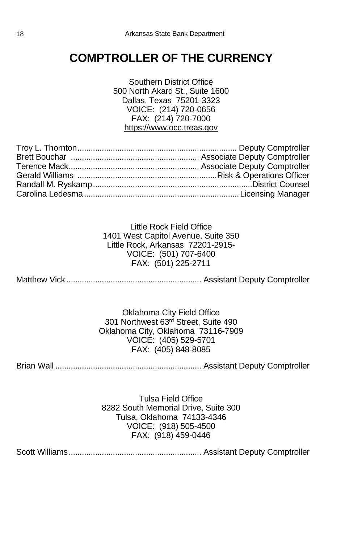## **COMPTROLLER OF THE CURRENCY**

Southern District Office 500 North Akard St., Suite 1600 Dallas, Texas 75201-3323 VOICE: (214) 720-0656 FAX: (214) 720-7000 https://www.occ.treas.gov

Little Rock Field Office 1401 West Capitol Avenue, Suite 350 Little Rock, Arkansas 72201-2915- VOICE: (501) 707-6400 FAX: (501) 225-2711

Matthew Vick ............................................................. Assistant Deputy Comptroller

Oklahoma City Field Office 301 Northwest 63<sup>rd</sup> Street, Suite 490 Oklahoma City, Oklahoma 73116-7909 VOICE: (405) 529-5701 FAX: (405) 848-8085

Brian Wall .................................................................. Assistant Deputy Comptroller

Tulsa Field Office 8282 South Memorial Drive, Suite 300 Tulsa, Oklahoma 74133-4346 VOICE: (918) 505-4500 FAX: (918) 459-0446

Scott Williams............................................................ Assistant Deputy Comptroller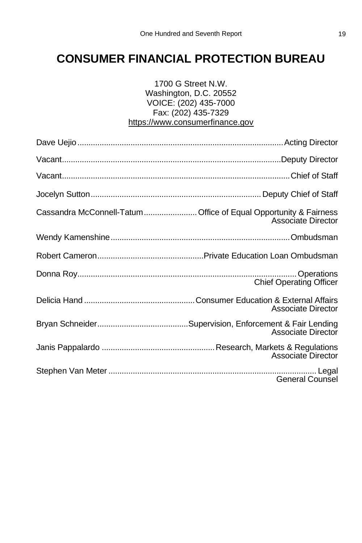## **CONSUMER FINANCIAL PROTECTION BUREAU**

### 1700 G Street N.W. Washington, D.C. 20552 VOICE: (202) 435-7000 Fax: (202) 435-7329 https://www.consumerfinance.gov

| Cassandra McConnell-Tatum Office of Equal Opportunity & Fairness | Associate Director             |
|------------------------------------------------------------------|--------------------------------|
|                                                                  |                                |
|                                                                  |                                |
|                                                                  | <b>Chief Operating Officer</b> |
|                                                                  | <b>Associate Director</b>      |
|                                                                  | <b>Associate Director</b>      |
|                                                                  | <b>Associate Director</b>      |
|                                                                  | <b>General Counsel</b>         |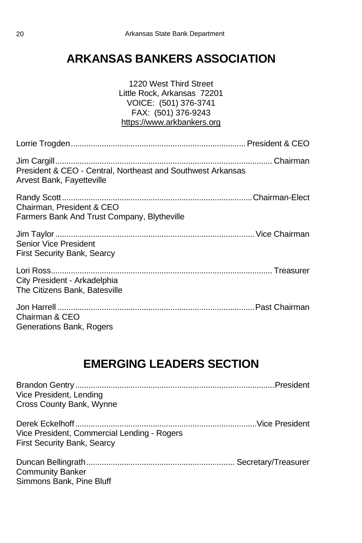## **ARKANSAS BANKERS ASSOCIATION**

| 1220 West Third Street<br>Little Rock, Arkansas 72201<br>VOICE: (501) 376-3741<br>FAX: (501) 376-9243<br>https://www.arkbankers.org |
|-------------------------------------------------------------------------------------------------------------------------------------|
|                                                                                                                                     |
| President & CEO - Central, Northeast and Southwest Arkansas<br>Arvest Bank, Fayetteville                                            |
| Chairman, President & CEO<br>Farmers Bank And Trust Company, Blytheville                                                            |
| Senior Vice President<br><b>First Security Bank, Searcy</b>                                                                         |
| City President - Arkadelphia<br>The Citizens Bank, Batesville                                                                       |
| Chairman & CEO<br>Generations Bank, Rogers                                                                                          |

## **EMERGING LEADERS SECTION**

| Vice President, Lending                     |  |
|---------------------------------------------|--|
| Cross County Bank, Wynne                    |  |
|                                             |  |
|                                             |  |
| Vice President, Commercial Lending - Rogers |  |
| <b>First Security Bank, Searcy</b>          |  |
|                                             |  |
|                                             |  |
| <b>Community Banker</b>                     |  |
| Simmons Bank, Pine Bluff                    |  |
|                                             |  |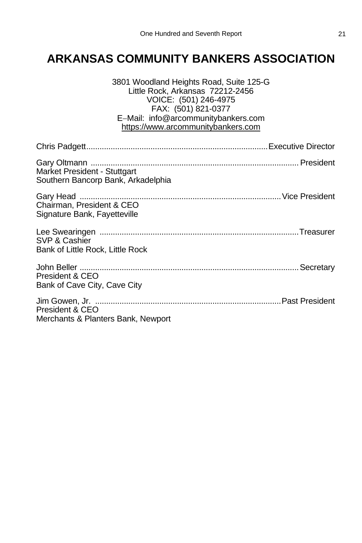## **ARKANSAS COMMUNITY BANKERS ASSOCIATION**

| 3801 Woodland Heights Road, Suite 125-G<br>Little Rock, Arkansas 72212-2456<br>VOICE: (501) 246-4975<br>FAX: (501) 821-0377<br>E-Mail: info@arcommunitybankers.com<br>https://www.arcommunitybankers.com |
|----------------------------------------------------------------------------------------------------------------------------------------------------------------------------------------------------------|
|                                                                                                                                                                                                          |
| Market President - Stuttgart<br>Southern Bancorp Bank, Arkadelphia                                                                                                                                       |
| Chairman, President & CEO<br>Signature Bank, Fayetteville                                                                                                                                                |
| SVP & Cashier<br>Bank of Little Rock, Little Rock                                                                                                                                                        |
| President & CEO<br>Bank of Cave City, Cave City                                                                                                                                                          |
| President & CEO<br>Merchants & Planters Bank, Newport                                                                                                                                                    |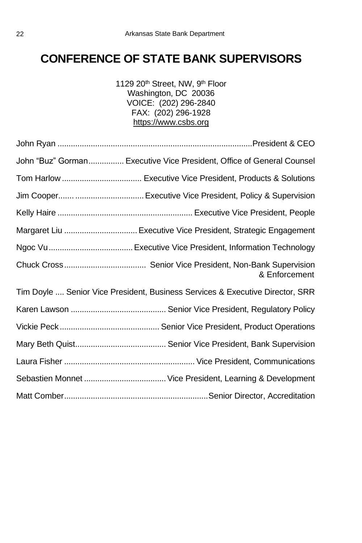## **CONFERENCE OF STATE BANK SUPERVISORS**

1129 20<sup>th</sup> Street, NW, 9<sup>th</sup> Floor Washington, DC 20036 VOICE: (202) 296-2840 FAX: (202) 296-1928 https://www.csbs.org

| John "Buz" Gorman Executive Vice President, Office of General Counsel         |
|-------------------------------------------------------------------------------|
|                                                                               |
|                                                                               |
|                                                                               |
|                                                                               |
|                                                                               |
| & Enforcement                                                                 |
| Tim Doyle  Senior Vice President, Business Services & Executive Director, SRR |
|                                                                               |
|                                                                               |
|                                                                               |
|                                                                               |
|                                                                               |
|                                                                               |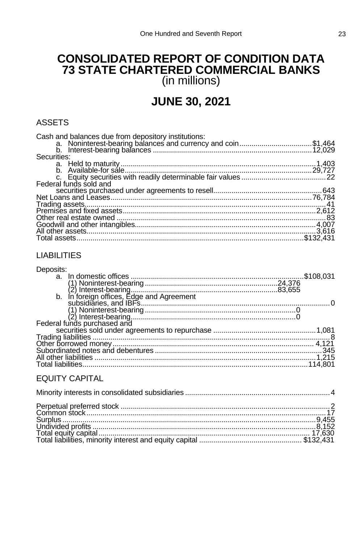### **CONSOLIDATED REPORT OF CONDITION DATA** 73 STATE CHARTERED COMMERCIAL BANKS  $(in$  millions)

## **JUNE 30, 2021**

### **ASSETS**

| Cash and balances due from depository institutions:<br>a. Noninterest-bearing balances and currency and coin\$1,464 |  |
|---------------------------------------------------------------------------------------------------------------------|--|
|                                                                                                                     |  |
|                                                                                                                     |  |
| Securities:                                                                                                         |  |
|                                                                                                                     |  |
|                                                                                                                     |  |
|                                                                                                                     |  |
| Federal funds sold and                                                                                              |  |
|                                                                                                                     |  |
|                                                                                                                     |  |
|                                                                                                                     |  |
|                                                                                                                     |  |
|                                                                                                                     |  |
|                                                                                                                     |  |
|                                                                                                                     |  |
|                                                                                                                     |  |
|                                                                                                                     |  |

### **LIABILITIES**

| Deposits:                                    |  |
|----------------------------------------------|--|
|                                              |  |
|                                              |  |
|                                              |  |
| In foreign offices, Edge and Agreement<br>b. |  |
|                                              |  |
|                                              |  |
|                                              |  |
|                                              |  |
|                                              |  |
|                                              |  |
|                                              |  |
|                                              |  |
|                                              |  |
|                                              |  |
|                                              |  |

### **EQUITY CAPITAL**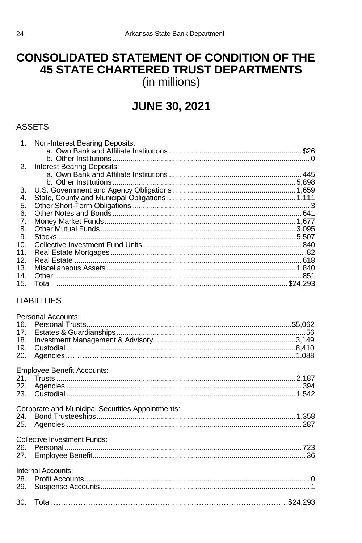## **CONSOLIDATED STATEMENT OF CONDITION OF THE 45 STATE CHARTERED TRUST DEPARTMENTS** (in millions)

## **JUNE 30, 2021**

### **ASSETS**

| 1.  | Non-Interest Bearing Deposits: |      |
|-----|--------------------------------|------|
|     |                                | \$26 |
|     |                                |      |
| 2.  | Interest Bearing Deposits:     |      |
|     |                                |      |
|     |                                |      |
| 3.  |                                |      |
| 4.  |                                |      |
| 5.  |                                |      |
| 6.  |                                |      |
| 7.  |                                |      |
| 8.  |                                |      |
| 9.  |                                |      |
| 10. |                                |      |
| 11. |                                |      |
| 12. |                                |      |
| 13. |                                |      |
| 14. |                                | 851  |
| 15. |                                |      |
|     |                                |      |

### **LIABILITIES**

| Personal Accounts:                               |  |
|--------------------------------------------------|--|
|                                                  |  |
|                                                  |  |
|                                                  |  |
|                                                  |  |
|                                                  |  |
|                                                  |  |
| <b>Employee Benefit Accounts:</b>                |  |
|                                                  |  |
|                                                  |  |
|                                                  |  |
|                                                  |  |
| Corporate and Municipal Securities Appointments: |  |
|                                                  |  |
|                                                  |  |
|                                                  |  |
| <b>Collective Investment Funds:</b>              |  |
|                                                  |  |
|                                                  |  |
|                                                  |  |
| Internal Accounts:                               |  |
|                                                  |  |
|                                                  |  |
|                                                  |  |
|                                                  |  |
|                                                  |  |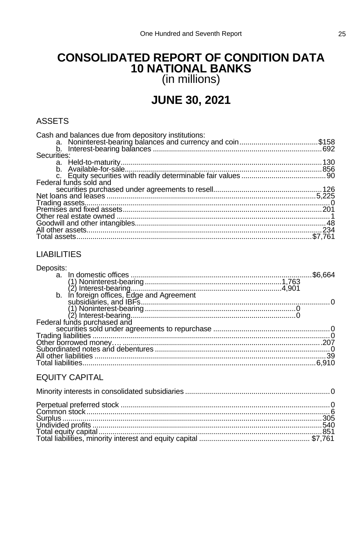### **CONSOLIDATED REPORT OF CONDITION DATA 10 NATIONAL BANKS** (in millions)

## **JUNE 30, 2021**

### **ASSETS**

| Cash and balances due from depository institutions:<br>a. Noninterest-bearing balances and currency and coin\$158 |  |
|-------------------------------------------------------------------------------------------------------------------|--|
|                                                                                                                   |  |
|                                                                                                                   |  |
| Securities:                                                                                                       |  |
|                                                                                                                   |  |
|                                                                                                                   |  |
|                                                                                                                   |  |
| Federal funds sold and                                                                                            |  |
|                                                                                                                   |  |
|                                                                                                                   |  |
|                                                                                                                   |  |
|                                                                                                                   |  |
|                                                                                                                   |  |
|                                                                                                                   |  |
|                                                                                                                   |  |
|                                                                                                                   |  |
|                                                                                                                   |  |

### **LIABILITIES**

| Deposits:                                    |         |
|----------------------------------------------|---------|
|                                              | \$6.664 |
|                                              |         |
|                                              |         |
| In foreign offices, Edge and Agreement<br>b. |         |
|                                              |         |
|                                              |         |
|                                              |         |
|                                              |         |
|                                              |         |
|                                              |         |
|                                              |         |
|                                              |         |
|                                              |         |
| Total liabilities                            |         |
|                                              |         |

### **EQUITY CAPITAL**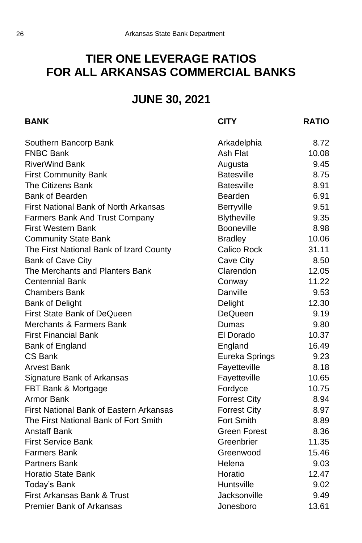## **TIER ONE LEVERAGE RATIOS FOR ALL ARKANSAS COMMERCIAL BANKS**

## **JUNE 30, 2021**

| <b>BANK</b>                                    | <b>CITY</b>         | <b>RATIO</b> |
|------------------------------------------------|---------------------|--------------|
| Southern Bancorp Bank                          | Arkadelphia         | 8.72         |
| <b>FNBC Bank</b>                               | Ash Flat            | 10.08        |
| <b>RiverWind Bank</b>                          | Augusta             | 9.45         |
| <b>First Community Bank</b>                    | <b>Batesville</b>   | 8.75         |
| <b>The Citizens Bank</b>                       | <b>Batesville</b>   | 8.91         |
| <b>Bank of Bearden</b>                         | Bearden             | 6.91         |
| <b>First National Bank of North Arkansas</b>   | Berryville          | 9.51         |
| Farmers Bank And Trust Company                 | <b>Blytheville</b>  | 9.35         |
| <b>First Western Bank</b>                      | Booneville          | 8.98         |
| <b>Community State Bank</b>                    | <b>Bradley</b>      | 10.06        |
| The First National Bank of Izard County        | Calico Rock         | 31.11        |
| <b>Bank of Cave City</b>                       | Cave City           | 8.50         |
| The Merchants and Planters Bank                | Clarendon           | 12.05        |
| <b>Centennial Bank</b>                         | Conway              | 11.22        |
| <b>Chambers Bank</b>                           | Danville            | 9.53         |
| <b>Bank of Delight</b>                         | Delight             | 12.30        |
| First State Bank of DeQueen                    | DeQueen             | 9.19         |
| Merchants & Farmers Bank                       | Dumas               | 9.80         |
| First Financial Bank                           | El Dorado           | 10.37        |
| Bank of England                                | England             | 16.49        |
| CS Bank                                        | Eureka Springs      | 9.23         |
| Arvest Bank                                    | Fayetteville        | 8.18         |
| Signature Bank of Arkansas                     | Fayetteville        | 10.65        |
| FBT Bank & Mortgage                            | Fordyce             | 10.75        |
| Armor Bank                                     | <b>Forrest City</b> | 8.94         |
| <b>First National Bank of Eastern Arkansas</b> | <b>Forrest City</b> | 8.97         |
| The First National Bank of Fort Smith          | Fort Smith          | 8.89         |
| <b>Anstaff Bank</b>                            | <b>Green Forest</b> | 8.36         |
| <b>First Service Bank</b>                      | Greenbrier          | 11.35        |
| <b>Farmers Bank</b>                            | Greenwood           | 15.46        |
| <b>Partners Bank</b>                           | Helena              | 9.03         |
| <b>Horatio State Bank</b>                      | Horatio             | 12.47        |
| Today's Bank                                   | Huntsville          | 9.02         |
| First Arkansas Bank & Trust                    | Jacksonville        | 9.49         |
| <b>Premier Bank of Arkansas</b>                | Jonesboro           | 13.61        |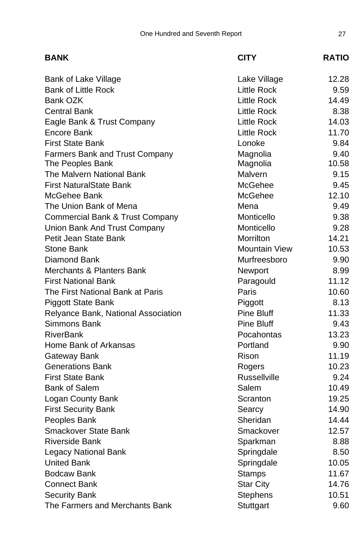| <b>BANK</b>                                | <b>CITY</b>          | <b>RATIO</b> |
|--------------------------------------------|----------------------|--------------|
| Bank of Lake Village                       | Lake Village         | 12.28        |
| <b>Bank of Little Rock</b>                 | Little Rock          | 9.59         |
| Bank OZK                                   | <b>Little Rock</b>   | 14.49        |
| <b>Central Bank</b>                        | <b>Little Rock</b>   | 8.38         |
| Eagle Bank & Trust Company                 | Little Rock          | 14.03        |
| Encore Bank                                | <b>Little Rock</b>   | 11.70        |
| <b>First State Bank</b>                    | Lonoke               | 9.84         |
| <b>Farmers Bank and Trust Company</b>      | Magnolia             | 9.40         |
| The Peoples Bank                           | Magnolia             | 10.58        |
| The Malvern National Bank                  | Malvern              | 9.15         |
| <b>First NaturalState Bank</b>             | McGehee              | 9.45         |
| McGehee Bank                               | McGehee              | 12.10        |
| The Union Bank of Mena                     | Mena                 | 9.49         |
| <b>Commercial Bank &amp; Trust Company</b> | Monticello           | 9.38         |
| Union Bank And Trust Company               | Monticello           | 9.28         |
| Petit Jean State Bank                      | Morrilton            | 14.21        |
| <b>Stone Bank</b>                          | <b>Mountain View</b> | 10.53        |
| Diamond Bank                               | Murfreesboro         | 9.90         |
| Merchants & Planters Bank                  | Newport              | 8.99         |
| <b>First National Bank</b>                 | Paragould            | 11.12        |
| The First National Bank at Paris           | Paris                | 10.60        |
| <b>Piggott State Bank</b>                  | Piggott              | 8.13         |
| Relyance Bank, National Association        | Pine Bluff           | 11.33        |
| Simmons Bank                               | Pine Bluff           | 9.43         |
| <b>RiverBank</b>                           | Pocahontas           | 13.23        |
| Home Bank of Arkansas                      | Portland             | 9.90         |
| Gateway Bank                               | Rison                | 11.19        |
| <b>Generations Bank</b>                    | Rogers               | 10.23        |
| <b>First State Bank</b>                    | <b>Russellville</b>  | 9.24         |
| <b>Bank of Salem</b>                       | Salem                | 10.49        |
| Logan County Bank                          | Scranton             | 19.25        |
| <b>First Security Bank</b>                 | Searcy               | 14.90        |
| Peoples Bank                               | Sheridan             | 14.44        |
| <b>Smackover State Bank</b>                | Smackover            | 12.57        |
| <b>Riverside Bank</b>                      | Sparkman             | 8.88         |
| <b>Legacy National Bank</b>                | Springdale           | 8.50         |
| <b>United Bank</b>                         | Springdale           | 10.05        |
| <b>Bodcaw Bank</b>                         | <b>Stamps</b>        | 11.67        |
| <b>Connect Bank</b>                        | <b>Star City</b>     | 14.76        |
| <b>Security Bank</b>                       | Stephens             | 10.51        |
| The Farmers and Merchants Bank             | Stuttgart            | 9.60         |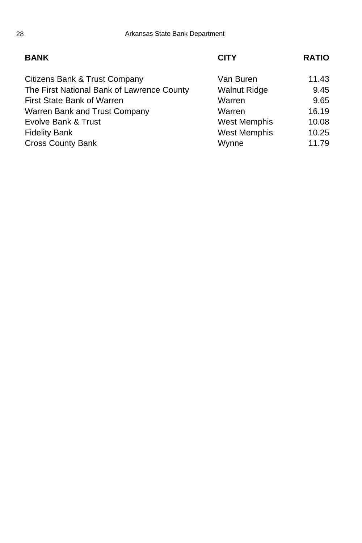### **BANK CITY RATIO**

| Van Buren           | 11.43 |
|---------------------|-------|
| <b>Walnut Ridge</b> | 9.45  |
| Warren              | 9.65  |
| Warren              | 16.19 |
| West Memphis        | 10.08 |
| <b>West Memphis</b> | 10.25 |
| Wynne               | 11.79 |
|                     |       |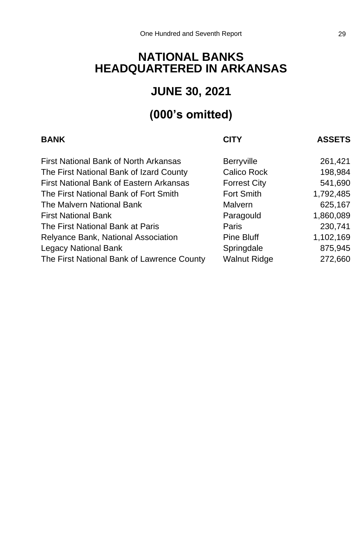## **NATIONAL BANKS HEADQUARTERED IN ARKANSAS**

## **JUNE 30, 2021**

## **(000's omitted)**

| <b>BANK</b>                                | <b>CITY</b>         | <b>ASSETS</b> |
|--------------------------------------------|---------------------|---------------|
| First National Bank of North Arkansas      | <b>Berryville</b>   | 261,421       |
| The First National Bank of Izard County    | Calico Rock         | 198,984       |
| First National Bank of Eastern Arkansas    | <b>Forrest City</b> | 541,690       |
| The First National Bank of Fort Smith      | Fort Smith          | 1,792,485     |
| The Malvern National Bank                  | Malvern             | 625,167       |
| <b>First National Bank</b>                 | Paragould           | 1,860,089     |
| The First National Bank at Paris           | Paris               | 230,741       |
| Relyance Bank, National Association        | Pine Bluff          | 1,102,169     |
| Legacy National Bank                       | Springdale          | 875,945       |
| The First National Bank of Lawrence County | <b>Walnut Ridge</b> | 272,660       |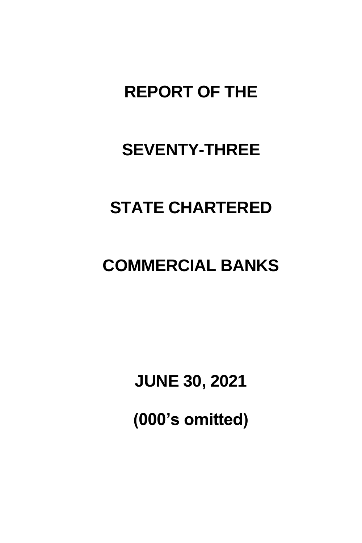# **REPORT OF THE**

# **SEVENTY-THREE**

# **STATE CHARTERED**

# **COMMERCIAL BANKS**

**JUNE 30, 2021**

**(000's omitted)**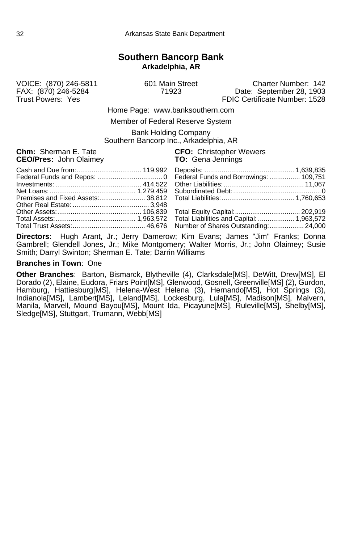## **Southern Bancorp Bank Arkadelphia, AR**

VOICE: (870) 246-5811 601 Main Street Charter Number: 142 FAX: (870) 246-5284 71923 Date: September 28, 1903 FDIC Certificate Number: 1528

Home Page: www.banksouthern.com

Member of Federal Reserve System

Bank Holding Company Southern Bancorp Inc., Arkadelphia, AR

**CEO/Pres: John Olaimey** 

**Chm:** Sherman E. Tate **CFO:** Christopher Wewers **CEO/Pres:** John Olaimey **CEO CHO**: Gena Jennings

**Directors**: Hugh Arant, Jr.; Jerry Damerow; Kim Evans; James "Jim" Franks; Donna Gambrell; Glendell Jones, Jr.; Mike Montgomery; Walter Morris, Jr.; John Olaimey; Susie Smith; Darryl Swinton; Sherman E. Tate; Darrin Williams

#### **Branches in Town**: One

**Other Branches**: Barton, Bismarck, Blytheville (4), Clarksdale[MS], DeWitt, Drew[MS], El Dorado (2), Elaine, Eudora, Friars Point[MS], Glenwood, Gosnell, Greenville[MS] (2), Gurdon, Hamburg, Hattiesburg[MS], Helena-West Helena (3), Hernando[MS], Hot Springs (3), Indianola[MS], Lambert[MS], Leland[MS], Lockesburg, Lula[MS], Madison[MS], Malvern, Manila, Marvell, Mound Bayou[MS], Mount Ida, Picayune[MS], Ruleville[MS], Shelby[MS], Sledge[MS], Stuttgart, Trumann, Webb[MS]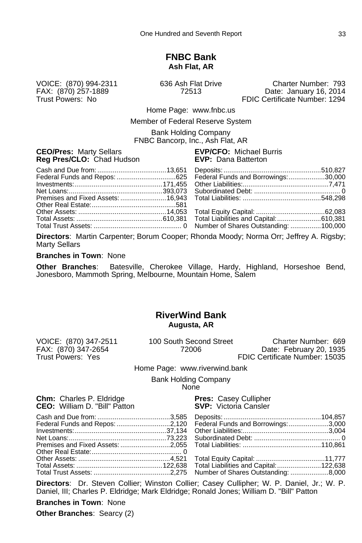# **FNBC Bank Ash Flat, AR**

VOICE: (870) 994-2311 636 Ash Flat Drive Charter Number: 793 FAX: (870) 257-1889 72513 Date: January 16, 2014 FDIC Certificate Number: 1294

Home Page: www.fnbc.us

Member of Federal Reserve System

Bank Holding Company FNBC Bancorp, Inc., Ash Flat, AR

#### **CEO/Pres:** Marty Sellars **EVP/CFO:** Michael Burris **Reg Pres/CLO:** Chad Hudson **EVP:** Dana Batterton

| Federal Funds and Repos: 625 Federal Funds and Borrowings: 30,000 |  |  |
|-------------------------------------------------------------------|--|--|
|                                                                   |  |  |
|                                                                   |  |  |
|                                                                   |  |  |
|                                                                   |  |  |
|                                                                   |  |  |
|                                                                   |  |  |
|                                                                   |  |  |

**Directors**: Martin Carpenter; Borum Cooper; Rhonda Moody; Norma Orr; Jeffrey A. Rigsby; Marty Sellars

#### **Branches in Town**: None

**Other Branches**: Batesville, Cherokee Village, Hardy, Highland, Horseshoe Bend, Jonesboro, Mammoth Spring, Melbourne, Mountain Home, Salem

### **RiverWind Bank Augusta, AR**

VOICE: (870) 347-2511 100 South Second Street Charter Number: 669

FAX: (870) 347-2654 72006 Date: February 20, 1935 FDIC Certificate Number: 15035

#### Home Page: www.riverwind.bank

Bank Holding Company None

**Chm:** Charles P. Eldridge **Pres:** Casey Cullipher **CEO:** William D. "Bill" Patton **Press: SVP:** Victoria Cansler **CEO:** William D. "Bill" Patton

**Directors**: Dr. Steven Collier; Winston Collier; Casey Cullipher; W. P. Daniel, Jr.; W. P. Daniel, III; Charles P. Eldridge; Mark Eldridge; Ronald Jones; William D. "Bill" Patton

**Branches in Town**: None **Other Branches**: Searcy (2)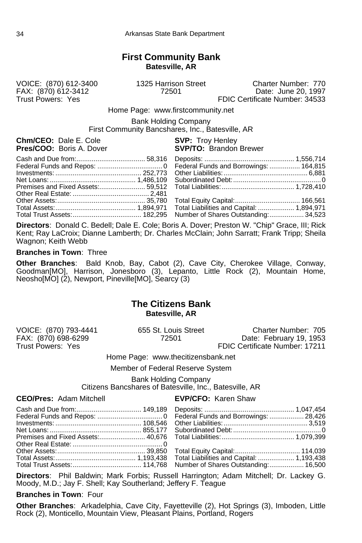# **First Community Bank Batesville, AR**

FAX: (870) 612-3412<br>Trust Powers: Yes

VOICE: (870) 612-3400 1325 Harrison Street Charter Number: 770 FDIC Certificate Number: 34533

Home Page: www.firstcommunity.net

Bank Holding Company First Community Bancshares, Inc., Batesville, AR

**Chm/CEO:** Dale E. Cole **SVP:** Troy Henley<br> **Pres/COO:** Boris A. Dover **SVP/TO:** Brandon

**SVP/TO:** Brandon Brewer

**Directors**: Donald C. Bedell; Dale E. Cole; Boris A. Dover; Preston W. "Chip" Grace, III; Rick Kent; Ray LaCroix; Dianne Lamberth; Dr. Charles McClain; John Sarratt; Frank Tripp; Sheila Wagnon; Keith Webb

#### **Branches in Town**: Three

**Other Branches**: Bald Knob, Bay, Cabot (2), Cave City, Cherokee Village, Conway, Goodman[MO], Harrison, Jonesboro (3), Lepanto, Little Rock (2), Mountain Home, Neosho[MO] (2), Newport, Pineville[MO], Searcy (3)

### **The Citizens Bank Batesville, AR**

VOICE: (870) 793-4441 655 St. Louis Street Charter Number: 705 FAX: (870) 698-6299 72501 Date: February 19, 1953 FDIC Certificate Number: 17211

Home Page: www.thecitizensbank.net

Member of Federal Reserve System

Bank Holding Company Citizens Bancshares of Batesville, Inc., Batesville, AR

**CEO/Pres:** Adam Mitchell **EVP/CFO:** Karen Shaw

**Directors**: Phil Baldwin; Mark Forbis; Russell Harrington; Adam Mitchell; Dr. Lackey G. Moody, M.D.; Jay F. Shell; Kay Southerland; Jeffery F. Teague

**Branches in Town**: Four

**Other Branches**: Arkadelphia, Cave City, Fayetteville (2), Hot Springs (3), Imboden, Little Rock (2), Monticello, Mountain View, Pleasant Plains, Portland, Rogers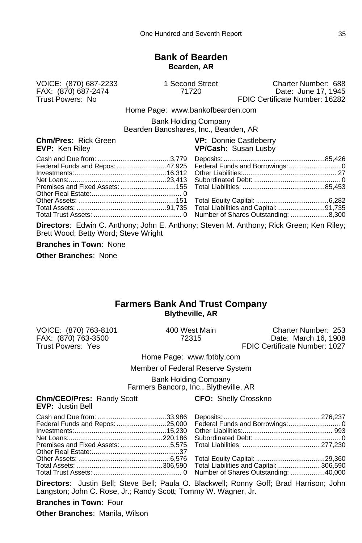# **Bank of Bearden Bearden, AR**

FAX: (870) 687-2474<br>Trust Powers: No

VOICE: (870) 687-2233 1 Second Street Charter Number: 688 FDIC Certificate Number: 16282

Home Page: www.bankofbearden.com

Bank Holding Company Bearden Bancshares, Inc., Bearden, AR

#### **Chm/Pres:** Rick Green **VP: Donnie Castleberry**<br> **EVP:** Ken Riley **VP/Cash:** Susan Lusby **VP/Cash:** Susan Lusby

**Directors**: Edwin C. Anthony; John E. Anthony; Steven M. Anthony; Rick Green; Ken Riley; Brett Wood; Betty Word; Steve Wright

**Branches in Town**: None

**Other Branches**: None

#### **Farmers Bank And Trust Company Blytheville, AR**

VOICE: (870) 763-8101 400 West Main Charter Number: 253 FAX: (870) 763-3500 72315 Date: March 16, 1908 FDIC Certificate Number: 1027

Home Page: www.fbtbly.com

Member of Federal Reserve System

Bank Holding Company Farmers Bancorp, Inc., Blytheville, AR

**Chm/CEO/Pres:** Randy Scott **CFO:** Shelly Crosskno

**EVP:** Justin Bell

**Directors**: Justin Bell; Steve Bell; Paula O. Blackwell; Ronny Goff; Brad Harrison; John Langston; John C. Rose, Jr.; Randy Scott; Tommy W. Wagner, Jr.

**Branches in Town**: Four **Other Branches**: Manila, Wilson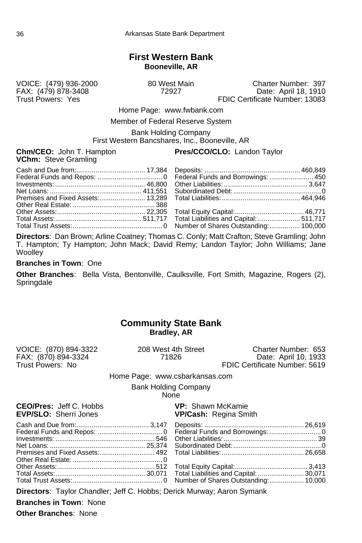# **First Western Bank Booneville, AR**

VOICE: (479) 936-2000 80 West Main Charter Number: 397 FAX: (479) 878-3408 72927 Date: April 18, 1910 FDIC Certificate Number: 13083

Home Page: www.fwbank.com

Member of Federal Reserve System

Bank Holding Company First Western Bancshares, Inc., Booneville, AR

**VChm:** Steve Gramling

#### **Chm/CEO:** John T. Hampton **Pres/CCO/CLO:** Landon Taylor

**Directors**: Dan Brown; Arline Coatney; Thomas C. Conly; Matt Crafton; Steve Gramling; John T. Hampton; Ty Hampton; John Mack; David Remy; Landon Taylor; John Williams; Jane **Woolley** 

**Branches in Town**: One

**Other Branches**: Bella Vista, Bentonville, Caulksville, Fort Smith, Magazine, Rogers (2), **Springdale** 

# **Community State Bank Bradley, AR**

| VOICE: (870) 894-3322<br>FAX: (870) 894-3324                   |                                | 208 West 4th Street<br>71826                             | Charter Number: 653<br>Date: April 10, 1933 |
|----------------------------------------------------------------|--------------------------------|----------------------------------------------------------|---------------------------------------------|
| Trust Powers: No                                               |                                |                                                          | FDIC Certificate Number: 5619               |
|                                                                | Home Page: www.csbarkansas.com |                                                          |                                             |
|                                                                | <b>Bank Holding Company</b>    | <b>None</b>                                              |                                             |
| <b>CEO/Pres:</b> Jeff C. Hobbs<br><b>EVP/SLO:</b> Sherri Jones |                                | <b>VP:</b> Shawn McKamie<br><b>VP/Cash: Regina Smith</b> |                                             |
|                                                                |                                |                                                          |                                             |
|                                                                |                                |                                                          |                                             |

Total Assets:............................................... 30,071 Total Liabilities and Capital: ........................ 30,071 Total Trust Assets:............................................... 0 Number of Shares Outstanding:.................. 10,000

**Directors**: Taylor Chandler; Jeff C. Hobbs; Derick Murway; Aaron Symank

**Branches in Town**: None

**Other Branches**: None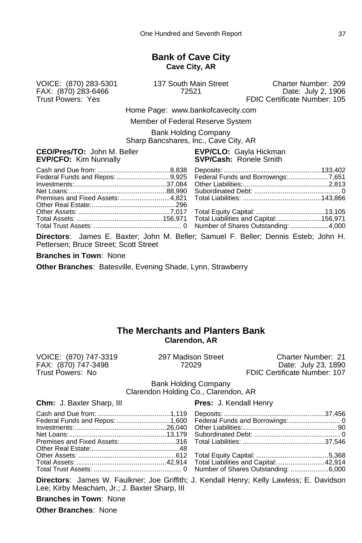# **Bank of Cave City Cave City, AR**

FAX: (870) 283-6466<br>Trust Powers: Yes

VOICE: (870) 283-5301 137 South Main Street Charter Number: 209 FDIC Certificate Number: 105

Home Page: www.bankofcavecity.com

Member of Federal Reserve System

Bank Holding Company Sharp Bancshares, Inc., Cave City, AR

#### **CEO/Pres/TO:** John M. Beller **EVP/CLO:** Gayla Hickman<br>**EVP/CFO:** Kim Nunnally **EVP/Cash:** Ronele Smith **EVP/CFO: Kim Nunnally**

| Federal Funds and Repos: 9,925 Federal Funds and Borrowings: 7,651 |
|--------------------------------------------------------------------|
|                                                                    |
|                                                                    |
|                                                                    |
|                                                                    |
|                                                                    |
|                                                                    |
|                                                                    |
|                                                                    |

**Directors**: James E. Baxter; John M. Beller; Samuel F. Beller; Dennis Esteb; John H. Pettersen; Bruce Street; Scott Street

**Branches in Town**: None

**Other Branches**: Batesville, Evening Shade, Lynn, Strawberry

# **The Merchants and Planters Bank Clarendon, AR**

FAX: (870) 747-3498<br>Trust Powers: No

VOICE: (870) 747-3319 297 Madison Street Charter Number: 21<br>FAX: (870) 747-3498 72029 2029 Date: July 23, 1890 Trust Powers: No FDIC Certificate Number: 107

> Bank Holding Company Clarendon Holding Co., Clarendon, AR

**Chm:** J. Baxter Sharp, III **Pres:** J. Kendall Henry

**Directors**: James W. Faulkner; Joe Griffith; J. Kendall Henry; Kelly Lawless; E. Davidson Lee; Kirby Meacham, Jr.; J. Baxter Sharp, III

**Branches in Town**: None

**Other Branches**: None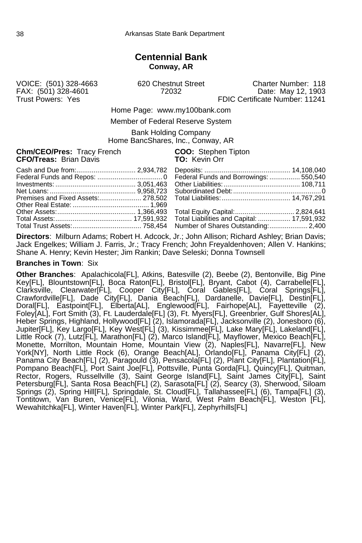# **Centennial Bank Conway, AR**

FAX: (501) 328-4601

VOICE: (501) 328-4663 620 Chestnut Street Charter Number: 118 Trust Powers: Yes FRIC Certificate Number: 11241

Home Page: www.my100bank.com

Member of Federal Reserve System

Bank Holding Company Home BancShares, Inc., Conway, AR

**Chm/CEO/Pres:** Tracy French **COO:** Stephen Tipton **CFO/Treas:** Brian Davis **CFO/Treas:** TO: Kevin Orr **CFO/Treas: Brian Davis** 

**Directors**: Milburn Adams; Robert H. Adcock, Jr.; John Allison; Richard Ashley; Brian Davis; Jack Engelkes; William J. Farris, Jr.; Tracy French; John Freyaldenhoven; Allen V. Hankins; Shane A. Henry; Kevin Hester; Jim Rankin; Dave Seleski; Donna Townsell

#### **Branches in Town**: Six

**Other Branches**: Apalachicola[FL], Atkins, Batesville (2), Beebe (2), Bentonville, Big Pine Key[FL], Blountstown[FL], Boca Raton[FL], Bristol[FL], Bryant, Cabot (4), Carrabelle[FL], Clarksville, Clearwater[FL], Cooper City[FL], Coral Gables[FL], Coral Springs[FL], Crawfordville[FL], Dade City[FL], Dania Beach[FL], Dardanelle, Davie[FL], Destin[FL], Doral[FL], Eastpoint[FL], Elberta[AL], Englewood[FL], Fairhope[AL], Fayetteville (2), Foley[AL], Fort Smith (3), Ft. Lauderdale[FL] (3), Ft. Myers[FL], Greenbrier, Gulf Shores[AL], Heber Springs, Highland, Hollywood[FL] (2), Islamorada[FL], Jacksonville (2), Jonesboro (6), Jupiter[FL], Key Largo[FL], Key West[FL] (3), Kissimmee[FL], Lake Mary[FL], Lakeland[FL], Little Rock (7), Lutz[FL], Marathon[FL] (2), Marco Island[FL], Mayflower, Mexico Beach[FL], Monette, Morrilton, Mountain Home, Mountain View (2), Naples[FL], Navarre[FL], New York[NY], North Little Rock (6), Orange Beach[AL], Orlando[FL], Panama City[FL] (2), Panama City Beach[FL] (2), Paragould (3), Pensacola[FL] (2), Plant City[FL], Plantation[FL], Pompano Beach[FL], Port Saint Joe[FL], Pottsville, Punta Gorda[FL], Quincy[FL], Quitman, Rector, Rogers, Russellville (3), Saint George Island[FL], Saint James City[FL], Saint Petersburg[FL], Santa Rosa Beach[FL] (2), Sarasota[FL] (2), Searcy (3), Sherwood, Siloam Springs (2), Spring Hill[FL], Springdale, St. Cloud[FL], Tallahassee[FL] (6), Tampa[FL] (3), Tontitown, Van Buren, Venice[FL], Vilonia, Ward, West Palm Beach[FL], Weston [FL], Wewahitchka[FL], Winter Haven[FL], Winter Park[FL], Zephyrhills[FL]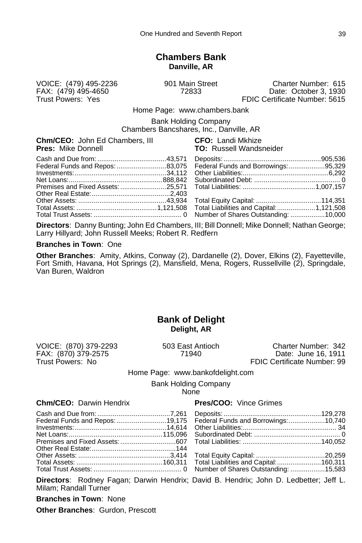#### **Chambers Bank Danville, AR**

VOICE: (479) 495-2236 901 Main Street Charter Number: 615 FAX: (479) 495-4650 72833 Date: October 3, 1930 FDIC Certificate Number: 5615

Home Page: www.chambers.bank

Bank Holding Company

Chambers Bancshares, Inc., Danville, AR

|                           |  | <b>Chm/CEO:</b> John Ed Chambers, III |
|---------------------------|--|---------------------------------------|
| <b>Pres: Mike Donnell</b> |  |                                       |

**CFO: Landi Mkhize TO:** Russell Wandsneider

| Federal Funds and Repos: 83,075 Federal Funds and Borrowings: 95,329 |  |
|----------------------------------------------------------------------|--|
|                                                                      |  |

**Directors**: Danny Bunting; John Ed Chambers, III; Bill Donnell; Mike Donnell; Nathan George; Larry Hillyard; John Russell Meeks; Robert R. Redfern

#### **Branches in Town**: One

**Other Branches**: Amity, Atkins, Conway (2), Dardanelle (2), Dover, Elkins (2), Fayetteville, Fort Smith, Havana, Hot Springs (2), Mansfield, Mena, Rogers, Russellville (2), Springdale, Van Buren, Waldron

# **Bank of Delight Delight, AR**

FAX: (870) 379-2575 71940<br>Trust Powers: No

VOICE: (870) 379-2293 503 East Antioch Charter Number: 342 FDIC Certificate Number: 99

#### Home Page: www.bankofdelight.com

Bank Holding Company

None

#### **Chm/CEO:** Darwin Hendrix **Pres/COO:** Vince Grimes

| Federal Funds and Repos: 19,175 Federal Funds and Borrowings: 10,740 |  |  |
|----------------------------------------------------------------------|--|--|
|                                                                      |  |  |
|                                                                      |  |  |
|                                                                      |  |  |
|                                                                      |  |  |
|                                                                      |  |  |
|                                                                      |  |  |

**Directors**: Rodney Fagan; Darwin Hendrix; David B. Hendrix; John D. Ledbetter; Jeff L. Milam; Randall Turner

**Branches in Town**: None

**Other Branches**: Gurdon, Prescott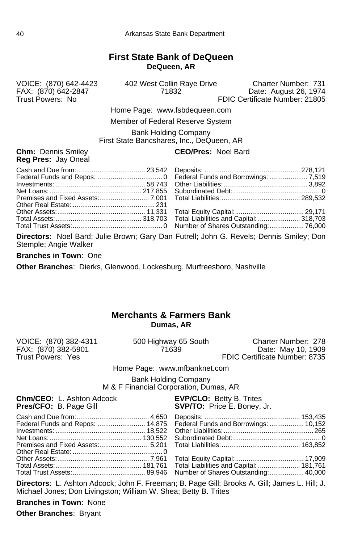# **First State Bank of DeQueen DeQueen, AR**

VOICE: (870) 642-4423 402 West Collin Raye Drive Charter Number: 731 FAX: (870) 642-2847 71832 Date: August 26, 1974 FDIC Certificate Number: 21805

> Home Page: www.fsbdequeen.com Member of Federal Reserve System

Bank Holding Company

First State Bancshares, Inc., DeQueen, AR

**Reg Pres:** Jay Oneal

**Chm:** Dennis Smiley **CEO/Pres:** Noel Bard

|  | Total Assets:………………………………………… 318,703 Total Liabilities and Capital: ………………… 318,703 |  |
|--|--------------------------------------------------------------------------------------|--|
|  |                                                                                      |  |

**Directors**: Noel Bard; Julie Brown; Gary Dan Futrell; John G. Revels; Dennis Smiley; Don Stemple; Angie Walker

**Branches in Town**: One

**Other Branches**: Dierks, Glenwood, Lockesburg, Murfreesboro, Nashville

# **Merchants & Farmers Bank Dumas, AR**

VOICE: (870) 382-4311 500 Highway 65 South Charter Number: 278 FAX: (870) 382-5901<br>Trust Powers: Yes Trust Powers: Yes FDIC Certificate Number: 8735 Home Page: www.mfbanknet.com Bank Holding Company M & F Financial Corporation, Dumas, AR **Chm/CEO:** L. Ashton Adcock **EVP/CLO:** Betty B. Trites<br> **Pres/CFO:** B. Page Gill **EXECO:** SVP/TO: Price E. Boney, **SVP/TO:** Price E. Boney, Jr. Cash and Due from:...................................... 4,650 Deposits: .................................................. 153,435 Federal Funds and Repos: ......................... 14,875 Federal Funds and Borrowings: .................. 10,152 Investments: ............................................... 18,522 Other Liabilities:............................................... 265 Net Loans: ................................................ 130,552 Subordinated Debt:..............................................0 Premises and Fixed Assets:.......................... 5,201 Total Liabilities:......................................... 163,852 Other Real Estate: ............................................... 0 Other Assets:................................................ 7,961 Total Equity Capital:.................................... 17,909 Total Liabilities and Capital: ......................... 181,761<br>Number of Shares Outstanding: .................. 40,000 Total Trust Assets:...................................... 89,946 Number of Shares Outstanding:.................. 40,000

**Directors**: L. Ashton Adcock; John F. Freeman; B. Page Gill; Brooks A. Gill; James L. Hill; J. Michael Jones; Don Livingston; William W. Shea; Betty B. Trites

**Branches in Town**: None

**Other Branches**: Bryant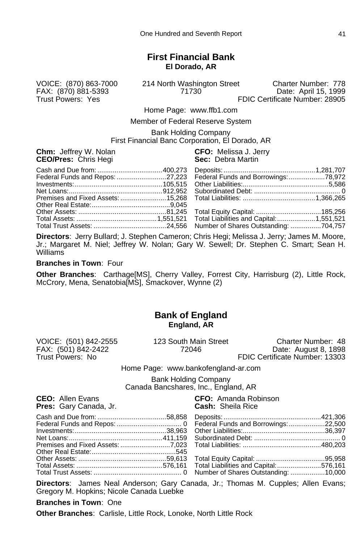# **First Financial Bank El Dorado, AR**

FAX: (870) 881-5393<br>Trust Powers: Yes

VOICE: (870) 863-7000 214 North Washington Street Charter Number: 778

FDIC Certificate Number: 28905

Home Page: www.ffb1.com

Member of Federal Reserve System

Bank Holding Company First Financial Banc Corporation, El Dorado, AR

**Chm:** Jeffrey W. Nolan **CFO:** Melissa J. Jerry **CEO/Pres: Chris Hegi** 

**Directors**: Jerry Bullard; J. Stephen Cameron; Chris Hegi; Melissa J. Jerry; James M. Moore, Jr.; Margaret M. Niel; Jeffrey W. Nolan; Gary W. Sewell; Dr. Stephen C. Smart; Sean H. Williams

**Branches in Town**: Four

**Other Branches**: Carthage[MS], Cherry Valley, Forrest City, Harrisburg (2), Little Rock, McCrory, Mena, Senatobia[MS], Smackover, Wynne (2)

# **Bank of England England, AR**

FAX: (501) 842-2422<br>Trust Powers: No

VOICE: (501) 842-2555 123 South Main Street Charter Number: 48<br>FAX: (501) 842-2422 72046 72046 Date: August 8. 1898 FDIC Certificate Number: 13303

Home Page: www.bankofengland-ar.com

Bank Holding Company Canada Bancshares, Inc., England, AR

**Pres:** Gary Canada, Jr.

**CEO:** Allen Evans<br> **Pres:** Gary Canada, Jr. **Cash:** Sheila Rice

**Directors**: James Neal Anderson; Gary Canada, Jr.; Thomas M. Cupples; Allen Evans; Gregory M. Hopkins; Nicole Canada Luebke

#### **Branches in Town**: One

**Other Branches**: Carlisle, Little Rock, Lonoke, North Little Rock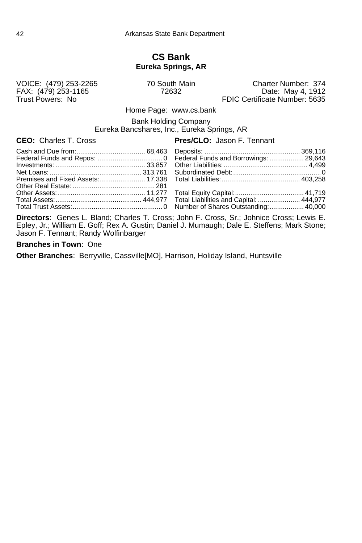## **CS Bank Eureka Springs, AR**

VOICE: (479) 253-2265 70 South Main FAX: (479) 253-1165

VOICE: (479) 253-2265 70 South Main Charter Number: 374<br>FAX: (479) 253-1165 72632 Date: May 4, 1912<br>Trust Powers: No FDIC Certificate Number: 5635 FDIC Certificate Number: 5635

Home Page: www.cs.bank

Bank Holding Company

Eureka Bancshares, Inc., Eureka Springs, AR

# **CEO:** Charles T. Cross **Pres/CLO:** Jason F. Tennant

**Directors**: Genes L. Bland; Charles T. Cross; John F. Cross, Sr.; Johnice Cross; Lewis E. Epley, Jr.; William E. Goff; Rex A. Gustin; Daniel J. Mumaugh; Dale E. Steffens; Mark Stone; Jason F. Tennant; Randy Wolfinbarger

#### **Branches in Town**: One

**Other Branches**: Berryville, Cassville[MO], Harrison, Holiday Island, Huntsville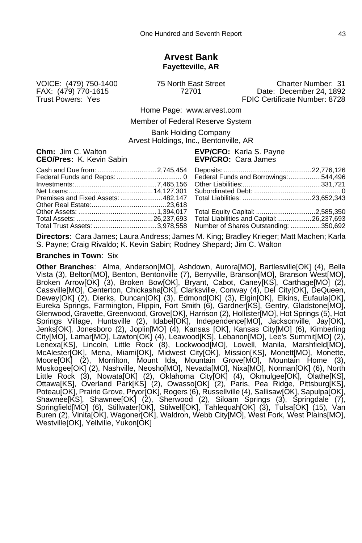### **Arvest Bank Fayetteville, AR**

VOICE: (479) 750-1400 75 North East Street Charter Number: 31 Date: December 24, 1892 Trust Powers: Yes FDIC Certificate Number: 8728

Home Page: www.arvest.com

Member of Federal Reserve System

Bank Holding Company Arvest Holdings, Inc., Bentonville, AR

**Chm:** Jim C. Walton **EVP/CFO:** Karla S. Payne **CEO/Pres:** K. Kevin Sabin **EVP/CRO:** Cara James

| Total Trust Assets: 3,978,558 Number of Shares Outstanding: 350,692 |
|---------------------------------------------------------------------|

**Directors**: Cara James; Laura Andress; James M. King; Bradley Krieger; Matt Machen; Karla S. Payne; Craig Rivaldo; K. Kevin Sabin; Rodney Shepard; Jim C. Walton

#### **Branches in Town**: Six

**Other Branches**: Alma, Anderson[MO], Ashdown, Aurora[MO], Bartlesville[OK] (4), Bella Vista (3), Belton[MO], Benton, Bentonville (7), Berryville, Branson[MO], Branson West[MO], Broken Arrow[OK] (3), Broken Bow[OK], Bryant, Cabot, Caney[KS], Carthage[MO] (2), Cassville[MO], Centerton, Chickasha[OK], Clarksville, Conway (4), Del City[OK], DeQueen, Dewey[OK] (2), Dierks, Duncan[OK] (3), Edmond[OK] (3), Elgin[OK], Elkins, Eufaula[OK], Eureka Springs, Farmington, Flippin, Fort Smith (6), Gardner[KS], Gentry, Gladstone[MO], Glenwood, Gravette, Greenwood, Grove[OK], Harrison (2), Hollister[MO], Hot Springs (5), Hot Springs Village, Huntsville (2), Idabel[OK], Independence[MO], Jacksonville, Jay[OK], Jenks[OK], Jonesboro (2), Joplin[MO] (4), Kansas [OK], Kansas City[MO] (6), Kimberling City[MO], Lamar[MO], Lawton[OK] (4), Leawood[KS], Lebanon[MO], Lee's Summit[MO] (2), Lenexa[KS], Lincoln, Little Rock (8), Lockwood[MO], Lowell, Manila, Marshfield[MO], McAlester[OK], Mena, Miami[OK], Midwest City[OK], Mission[KS], Monett[MO], Monette, Moore[OK] (2), Morrilton, Mount Ida, Mountain Grove[MO], Mountain Home (3), Muskogee[OK] (2), Nashville, Neosho[MO], Nevada[MO], Nixa[MO], Norman[OK] (6), North Little Rock (3), Nowata[OK] (2), Oklahoma City[OK] (4), Okmulgee[OK], Olathe[KS], Ottawa[KS], Overland Park[KS] (2), Owasso[OK] (2), Paris, Pea Ridge, Pittsburg[KS], Poteau[OK], Prairie Grove, Pryor[OK], Rogers (6), Russellville (4), Sallisaw[OK], Sapulpa[OK], Shawnee[KS], Shawnee[OK] (2), Sherwood (2), Siloam Springs (3), Springdale (7), Springfield[MO] (6), Stillwater[OK], Stilwell[OK], Tahlequah[OK] (3), Tulsa[OK] (15), Van Buren (2), Vinita[OK], Wagoner[OK], Waldron, Webb City[MO], West Fork, West Plains[MO], Westville[OK], Yellville, Yukon[OK]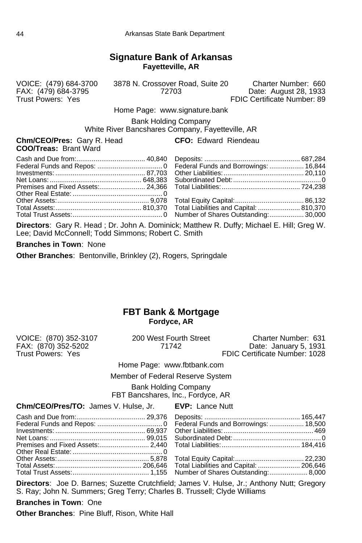# **Signature Bank of Arkansas Fayetteville, AR**

VOICE: (479) 684-3700 3878 N. Crossover Road, Suite 20 Charter Number: 660 FAX: (479) 684-3795 72703 Date: August 28, 1933 FDIC Certificate Number: 89

Home Page: www.signature.bank

Bank Holding Company White River Bancshares Company, Fayetteville, AR

**Chm/CEO/Pres:** Gary R. Head **CFO:** Edward Riendeau **COO/Treas:** Brant Ward

**Directors**: Gary R. Head ; Dr. John A. Dominick; Matthew R. Duffy; Michael E. Hill; Greg W. Lee; David McConnell; Todd Simmons; Robert C. Smith

**Branches in Town**: None

**Other Branches**: Bentonville, Brinkley (2), Rogers, Springdale

# **FBT Bank & Mortgage Fordyce, AR**

VOICE: (870) 352-3107 200 West Fourth Street Charter Number: 631

FAX: (870) 352-5202 71742 Date: January 5, 1931 FDIC Certificate Number: 1028

Home Page: www.fbtbank.com

Member of Federal Reserve System

Bank Holding Company FBT Bancshares, Inc., Fordyce, AR

**Chm/CEO/Pres/TO:** James V. Hulse, Jr. **EVP:** Lance Nutt

**Directors**: Joe D. Barnes; Suzette Crutchfield; James V. Hulse, Jr.; Anthony Nutt; Gregory S. Ray; John N. Summers; Greg Terry; Charles B. Trussell; Clyde Williams

**Branches in Town**: One

**Other Branches**: Pine Bluff, Rison, White Hall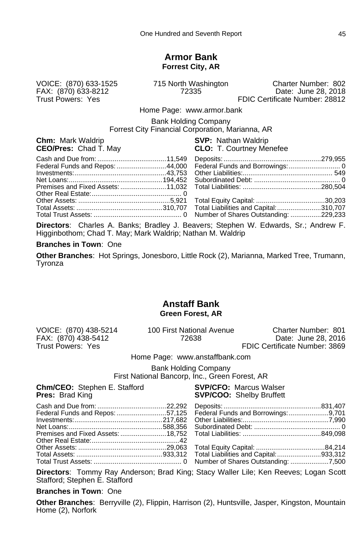#### **Armor Bank Forrest City, AR**

FAX: (870) 633-8212<br>Trust Powers: Yes

VOICE: (870) 633-1525 715 North Washington Charter Number: 802 FDIC Certificate Number: 28812

Home Page: www.armor.bank

Bank Holding Company Forrest City Financial Corporation, Marianna, AR

**Chm:** Mark Waldrip **SVP:** Nathan Waldrip **CEO/Pres:** Chad T. May

**CLO:** T. Courtney Menefee

**Directors**: Charles A. Banks; Bradley J. Beavers; Stephen W. Edwards, Sr.; Andrew F. Higginbothom; Chad T. May; Mark Waldrip; Nathan M. Waldrip

#### **Branches in Town**: One

**Other Branches**: Hot Springs, Jonesboro, Little Rock (2), Marianna, Marked Tree, Trumann, Tyronza

#### **Anstaff Bank Green Forest, AR**

FAX: (870) 438-5412<br>Trust Powers: Yes

VOICE: (870) 438-5214 100 First National Avenue Charter Number: 801 FDIC Certificate Number: 3869

Home Page: www.anstaffbank.com

Bank Holding Company

First National Bancorp, Inc., Green Forest, AR

**Chm/CEO:** Stephen E. Stafford **SVP/CFO:** Marcus Walser<br> **Pres:** Brad King **COM SVP/COO:** Shelby Bruffett

**SVP/COO:** Shelby Bruffett

**Directors**: Tommy Ray Anderson; Brad King; Stacy Waller Lile; Ken Reeves; Logan Scott Stafford; Stephen E. Stafford

#### **Branches in Town**: One

**Other Branches**: Berryville (2), Flippin, Harrison (2), Huntsville, Jasper, Kingston, Mountain Home (2), Norfork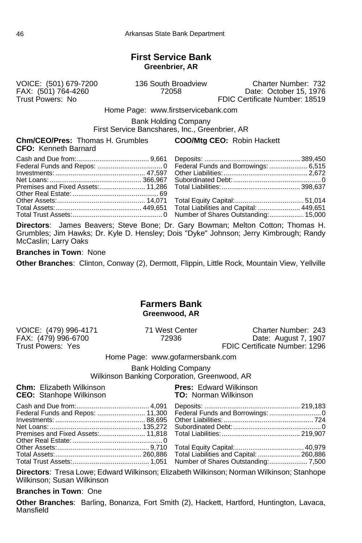### **First Service Bank Greenbrier, AR**

FAX: (501) 764-4260<br>Trust Powers: No

VOICE: (501) 679-7200 136 South Broadview Charter Number: 732 FDIC Certificate Number: 18519

Home Page: www.firstservicebank.com

Bank Holding Company

First Service Bancshares, Inc., Greenbrier, AR

**Chm/CEO/Pres:** Thomas H. Grumbles **COO/Mtg CEO:** Robin Hackett **CFO:** Kenneth Barnard

**Directors**: James Beavers; Steve Bone; Dr. Gary Bowman; Melton Cotton; Thomas H. Grumbles; Jim Hawks; Dr. Kyle D. Hensley; Dois "Dyke" Johnson; Jerry Kimbrough; Randy McCaslin; Larry Oaks

#### **Branches in Town**: None

**Other Branches**: Clinton, Conway (2), Dermott, Flippin, Little Rock, Mountain View, Yellville

#### **Farmers Bank Greenwood, AR**

FAX: (479) 996-6700<br>Trust Powers: Yes

VOICE: (479) 996-4171 71 West Center Charter Number: 243 FDIC Certificate Number: 1296

Home Page: www.gofarmersbank.com

Bank Holding Company

Wilkinson Banking Corporation, Greenwood, AR

**Chm:** Elizabeth Wilkinson **Pres:** Edward Wilkinson **CEO:** Stanbone Wilkinson **CEO:** Stanbone Wilkinson **CEO:** Stanhope Wilkinson

**Directors**: Tresa Lowe; Edward Wilkinson; Elizabeth Wilkinson; Norman Wilkinson; Stanhope Wilkinson; Susan Wilkinson

**Branches in Town**: One

**Other Branches**: Barling, Bonanza, Fort Smith (2), Hackett, Hartford, Huntington, Lavaca, Mansfield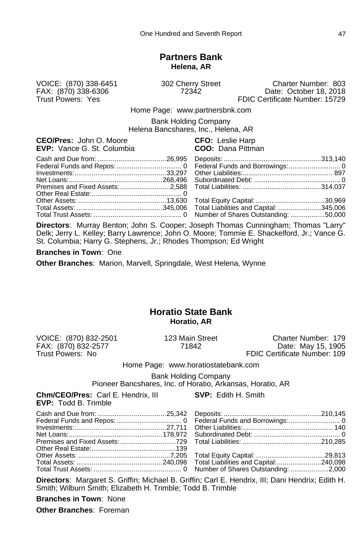### **Partners Bank Helena, AR**

FAX: (870) 338-6306<br>Trust Powers: Yes

VOICE: (870) 338-6451 302 Cherry Street Charter Number: 803 FDIC Certificate Number: 15729

Home Page: www.partnersbnk.com

Bank Holding Company

Helena Bancshares, Inc., Helena, AR

| <b>CEO/Pres:</b> John O. Moore |  |                                   |
|--------------------------------|--|-----------------------------------|
|                                |  | <b>EVP:</b> Vance G. St. Columbia |

**CFO:** Leslie Harp **COO:** Dana Pittman

**Directors**: Murray Benton; John S. Cooper; Joseph Thomas Cunningham; Thomas "Larry" Delk; Jerry L. Kelley; Barry Lawrence; John O. Moore; Tommie E. Shackelford, Jr.; Vance G. St. Columbia; Harry G. Stephens, Jr.; Rhodes Thompson; Ed Wright

**Branches in Town**: One

**Other Branches**: Marion, Marvell, Springdale, West Helena, Wynne

# **Horatio State Bank Horatio, AR**

VOICE: (870) 832-2501 123 Main Street Charter Number: 179 FAX: (870) 832-2577 71842 Date: May 15, 1905 FDIC Certificate Number: 109

Home Page: www.horatiostatebank.com

Bank Holding Company

Pioneer Bancshares, Inc. of Horatio, Arkansas, Horatio, AR

| <b>Chm/CEO/Pres:</b> Carl E. Hendrix, III <b>SVP:</b> Edith H. Smith<br><b>EVP: Todd B. Trimble</b> |  |
|-----------------------------------------------------------------------------------------------------|--|
|                                                                                                     |  |
|                                                                                                     |  |
|                                                                                                     |  |
|                                                                                                     |  |
|                                                                                                     |  |
|                                                                                                     |  |
|                                                                                                     |  |
|                                                                                                     |  |
|                                                                                                     |  |

**Directors**: Margaret S. Griffin; Michael B. Griffin; Carl E. Hendrix, III; Dani Hendrix; Edith H. Smith; Wilburn Smith; Elizabeth H. Trimble; Todd B. Trimble

**Branches in Town**: None

**Other Branches**: Foreman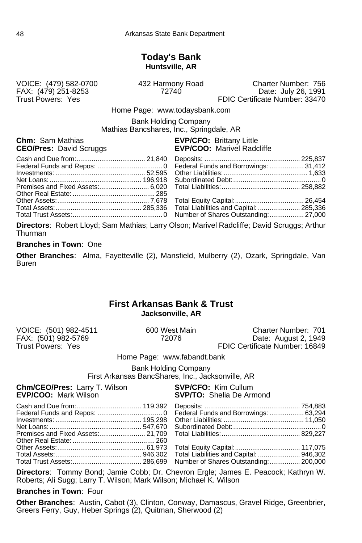## **Today's Bank Huntsville, AR**

FAX: (479) 251-8253<br>Trust Powers: Yes

VOICE: (479) 582-0700 432 Harmony Road Charter Number: 756 FDIC Certificate Number: 33470

Home Page: www.todaysbank.com

Bank Holding Company Mathias Bancshares, Inc., Springdale, AR

**Chm:** Sam Mathias **EVP/CFO:** Brittany Little **CEO/Pres:** David Scruggs **EVP/COO:** Marivel Radd

# **EVP/COO:** Marivel Radcliffe

**Directors**: Robert Lloyd; Sam Mathias; Larry Olson; Marivel Radcliffe; David Scruggs; Arthur Thurman

#### **Branches in Town**: One

**Other Branches**: Alma, Fayetteville (2), Mansfield, Mulberry (2), Ozark, Springdale, Van Buren

## **First Arkansas Bank & Trust Jacksonville, AR**

| VOICE: (501) 982-4511 |
|-----------------------|
| FAX: (501) 982-5769   |
| Trust Powers: Yes     |

600 West Main **Charter Number: 701**<br>72076 **Date: August 2, 1949** Date: August 2, 1949 FDIC Certificate Number: 16849

Home Page: www.fabandt.bank

Bank Holding Company

First Arkansas BancShares, Inc., Jacksonville, AR

**Chm/CEO/Pres:** Larry T. Wilson **SVP/CFO:** Kim Cullum<br>**EVP/COO:** Mark Wilson **SVP/TO:** Shelia De Arr

**SVP/TO:** Shelia De Armond

|  | lnvestments: ………………………………………… 195.298 Other Liabilities: …………………………………… 11.050 |  |
|--|--------------------------------------------------------------------------------|--|
|  |                                                                                |  |
|  |                                                                                |  |
|  |                                                                                |  |
|  |                                                                                |  |
|  |                                                                                |  |
|  |                                                                                |  |

**Directors**: Tommy Bond; Jamie Cobb; Dr. Chevron Ergle; James E. Peacock; Kathryn W. Roberts; Ali Sugg; Larry T. Wilson; Mark Wilson; Michael K. Wilson

**Branches in Town**: Four

**Other Branches**: Austin, Cabot (3), Clinton, Conway, Damascus, Gravel Ridge, Greenbrier, Greers Ferry, Guy, Heber Springs (2), Quitman, Sherwood (2)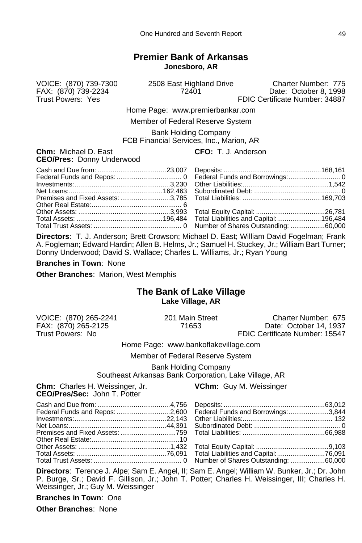# **Premier Bank of Arkansas Jonesboro, AR**

VOICE: (870) 739-7300 2508 East Highland Drive Charter Number: 775 FAX: (870) 739-2234 72401 Date: October 8, 1998 FDIC Certificate Number: 34887

Home Page: www.premierbankar.com

Member of Federal Reserve System

Bank Holding Company

FCB Financial Services, Inc., Marion, AR

| <b>Chm:</b> Michael D. East |                                  |  |
|-----------------------------|----------------------------------|--|
|                             | <b>CEO/Pres: Donny Underwood</b> |  |

**CFO:** T. J. Anderson

**Directors**: T. J. Anderson; Brett Crowson; Michael D. East; William David Fogelman; Frank A. Fogleman; Edward Hardin; Allen B. Helms, Jr.; Samuel H. Stuckey, Jr.; William Bart Turner; Donny Underwood; David S. Wallace; Charles L. Williams, Jr.; Ryan Young

**Branches in Town**: None

**Other Branches**: Marion, West Memphis

# **The Bank of Lake Village Lake Village, AR**

FAX: (870) 265-2125 71653 Date: October 14, 1937

VOICE: (870) 265-2241 201 Main Street Charter Number: 675 FDIC Certificate Number: 15547

Home Page: www.bankoflakevillage.com

Member of Federal Reserve System

Bank Holding Company

Southeast Arkansas Bank Corporation, Lake Village, AR

| <b>Chm:</b> Charles H. Weissinger, Jr. |  |
|----------------------------------------|--|
| <b>CEO/Pres/Sec: John T. Potter</b>    |  |

**VChm:** Guy M. Weissinger

|  | Federal Funds and Repos: 2,600 Federal Funds and Borrowings: 3,844 |  |
|--|--------------------------------------------------------------------|--|
|  |                                                                    |  |
|  |                                                                    |  |
|  |                                                                    |  |
|  |                                                                    |  |
|  |                                                                    |  |
|  |                                                                    |  |
|  |                                                                    |  |

**Directors**: Terence J. Alpe; Sam E. Angel, II; Sam E. Angel; William W. Bunker, Jr.; Dr. John P. Burge, Sr.; David F. Gillison, Jr.; John T. Potter; Charles H. Weissinger, III; Charles H. Weissinger, Jr.; Guy M. Weissinger

**Branches in Town**: One

**Other Branches**: None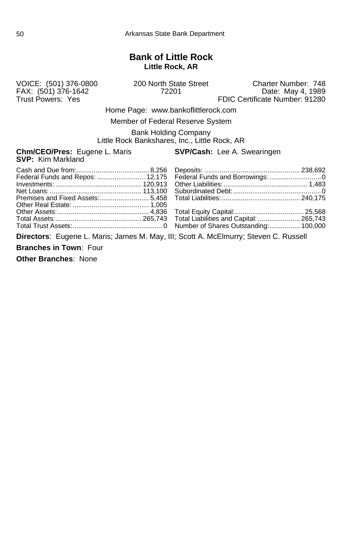# **Bank of Little Rock Little Rock, AR**

FAX: (501) 376-1642<br>Trust Powers: Yes

VOICE: (501) 376-0800 200 North State Street Charter Number: 748 FDIC Certificate Number: 91280

Home Page: www.bankoflittlerock.com

Member of Federal Reserve System

Bank Holding Company Little Rock Bankshares, Inc., Little Rock, AR

**Chm/CEO/Pres:** Eugene L. Maris **SVP/Cash:** Lee A. Swearingen **SVP:** Kim Markland

**Directors**: Eugene L. Maris; James M. May, III; Scott A. McElmurry; Steven C. Russell **Branches in Town**: Four

**Other Branches**: None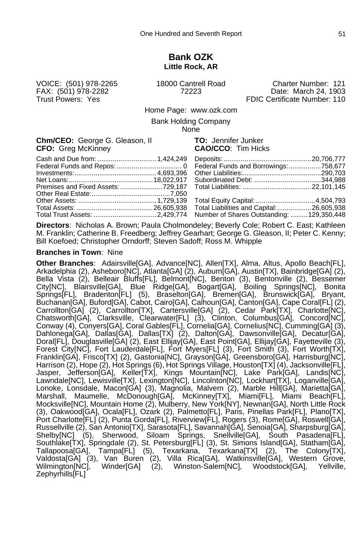#### **Bank OZK Little Rock, AR**

VOICE: (501) 978-2265 18000 Cantrell Road Charter Number: 121 Date: March 24, 1903 Trust Powers: Yes FRIC Certificate Number: 110

Home Page: www.ozk.com

Bank Holding Company

None

**Chm/CEO:** George G. Gleason, II **TO:** Jennifer Junker **CFO:** Greg McKinney **CAO/CCO**: Tim Hicks

|  | Total Trust Assets: 2,429,774 Number of Shares Outstanding:  129,350,448 |  |
|--|--------------------------------------------------------------------------|--|

**Directors**: Nicholas A. Brown; Paula Cholmondeley; Beverly Cole; Robert C. East; Kathleen M. Franklin; Catherine B. Freedberg; Jeffrey Gearhart; George G. Gleason, II; Peter C. Kenny; Bill Koefoed; Christopher Orndorff; Steven Sadoff; Ross M. Whipple

#### **Branches in Town**: Nine

**Other Branches**: Adairsville[GA], Advance[NC], Allen[TX], Alma, Altus, Apollo Beach[FL], Arkadelphia (2), Asheboro[NC], Atlanta[GA] (2), Auburn[GA], Austin[TX], Bainbridge[GA] (2), Bella Vista (2), Belleair Bluffs[FL], Belmont[NC], Benton (3), Bentonville (2), Bessemer City[NC], Blairsville[GA], Blue Ridge[GA], Bogart[GA], Boiling Springs[NC], Bonita Springs[FL], Bradenton[FL] (5), Braselton[GA], Bremen[GA], Brunswick[GA], Bryant, Buchanan[GA], Buford[GA], Cabot, Cairo[GA], Calhoun[GA], Canton[GA], Cape Coral[FL] (2), Carrollton[GA] (2), Carrollton[TX], Cartersville[GA] (2), Cedar Park[TX], Charlotte[NC], Chatsworth[GA], Clarksville, Clearwater[FL] (3), Clinton, Columbus[GA], Concord[NC], Conway (4), Conyers[GA], Coral Gables[FL], Cornelia[GA], Cornelius[NC], Cumming[GA] (3), Dahlonega[GA], Dallas[GA], Dallas[TX] (2), Dalton[GA], Dawsonville[GA], Decatur[GA], Doral[FL], Douglasville[GA] (2), East Ellijay[GA], East Point[GA], Ellijay[GA], Fayetteville (3), Forest City[NC], Fort Lauderdale[FL], Fort Myers[FL] (3), Fort Smith (3), Fort Worth[TX], Franklin[GA], Frisco[TX] (2), Gastonia[NC], Grayson[GA], Greensboro[GA], Harrisburg[NC], Harrison (2), Hope (2), Hot Springs (6), Hot Springs Village, Houston[TX] (4), Jacksonville[FL], Jasper, Jefferson[GA], Keller[TX], Kings Mountain[NC], Lake Park[GA], Landis[NC], Lawndale[NC], Lewisville[TX], Lexington[NC], Lincolnton[NC], Lockhart[TX], Loganville[GA], Lonoke, Lonsdale, Macon[GA] (3), Magnolia, Malvern (2), Marble Hill[GA], Marietta[GA], Marshall, Maumelle, McDonough[GA], McKinney[TX], Miami[FL], Miami Beach[FL], Mocksville[NC], Mountain Home (2), Mulberry, New York[NY], Newnan[GA], North Little Rock (3), Oakwood[GA], Ocala[FL], Ozark (2), Palmetto[FL], Paris, Pinellas Park[FL], Plano[TX], Port Charlotte[FL] (2), Punta Gorda[FL], Riverview[FL], Rogers (3), Rome[GA], Roswell[GA], Russellville (2), San Antonio[TX], Sarasota[FL], Savannah[GA], Senoia[GA], Sharpsburg[GA], Shelby[NC] (5), Sherwood, Siloam Springs, Snellville[GA], South Pasadena[FL], Southlake[TX], Springdale (2), St. Petersburg[FL] (3), St. Simons Island[GA], Statham[GA], Tallapoosa[GA], Tampa[FL] (5), Texarkana, Texarkana[TX] (2), The Colony[TX], Valdosta[GA] (3), Van Buren (2), Villa Rica[GA], Watkinsville[GA], Western Grove, Wilmington[NC], Winder[GA] (2), Winston-Salem[NC], Woodstock[GA], Yellville, Zephyrhills[FL]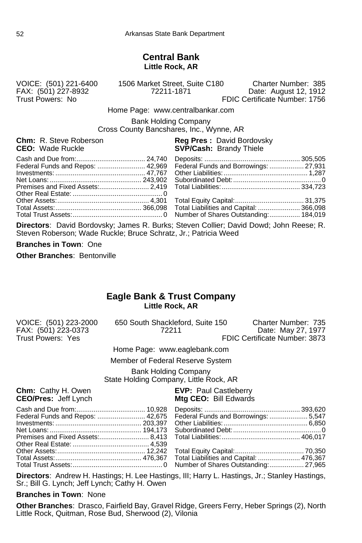### **Central Bank Little Rock, AR**

VOICE: (501) 221-6400 1506 Market Street, Suite C180 Charter Number: 385 FAX: (501) 227-8932 72211-1871 Date: August 12, 1912 FDIC Certificate Number: 1756

Home Page: www.centralbankar.com

Bank Holding Company Cross County Bancshares, Inc., Wynne, AR

#### **Chm:** R. Steve Roberson **Reg Pres :** David Bordovsky<br> **CEO:** Wade Ruckle **Region Steve SVP/Cash:** Brandy Thiele **SVP/Cash: Brandy Thiele**

| Federal Funds and Repos:  42,969 Federal Funds and Borrowings:  27,931 |  |
|------------------------------------------------------------------------|--|
|                                                                        |  |

**Directors**: David Bordovsky; James R. Burks; Steven Collier; David Dowd; John Reese; R. Steven Roberson; Wade Ruckle; Bruce Schratz, Jr.; Patricia Weed

**Branches in Town**: One

**Other Branches**: Bentonville

# **Eagle Bank & Trust Company Little Rock, AR**

| VOICE: (501) 223-2000 |  | 650 South Shackleford, Suite 150 |  | Charter Number: 735           |
|-----------------------|--|----------------------------------|--|-------------------------------|
| FAX: (501) 223-0373   |  | 72211                            |  | Date: May 27, 1977            |
| Trust Powers: Yes     |  |                                  |  | FDIC Certificate Number: 3873 |
|                       |  |                                  |  |                               |

Home Page: www.eaglebank.com

Member of Federal Reserve System

Bank Holding Company

State Holding Company, Little Rock, AR

**Chm:** Cathy H. Owen **EVP:** Paul Castleberry<br> **CEO/Pres:** Jeff Lynch **EXALL CEO:** Mtg CEO: Bill Edwards

# **Mtg CEO: Bill Edwards**

| Federal Funds and Repos:  42,675 Federal Funds and Borrowings:  5,547 |  |
|-----------------------------------------------------------------------|--|
|                                                                       |  |

**Directors**: Andrew H. Hastings; H. Lee Hastings, III; Harry L. Hastings, Jr.; Stanley Hastings, Sr.; Bill G. Lynch; Jeff Lynch; Cathy H. Owen

**Branches in Town**: None

**Other Branches**: Drasco, Fairfield Bay, Gravel Ridge, Greers Ferry, Heber Springs (2), North Little Rock, Quitman, Rose Bud, Sherwood (2), Vilonia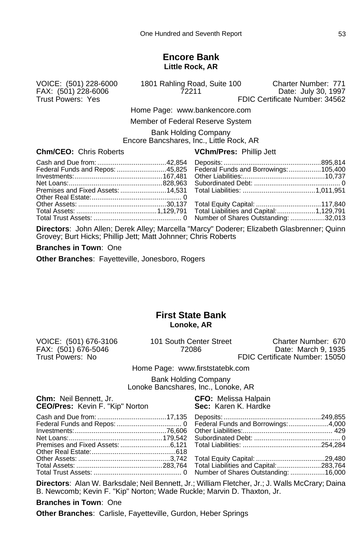#### **Encore Bank Little Rock, AR**

FAX: (501) 228-6006<br>Trust Powers: Yes

VOICE: (501) 228-6000 1801 Rahling Road, Suite 100 Charter Number: 771 FDIC Certificate Number: 34562

Home Page: www.bankencore.com

Member of Federal Reserve System

Bank Holding Company

Encore Bancshares, Inc., Little Rock, AR

#### **Chm/CEO:** Chris Roberts **VChm/Pres:** Phillip Jett

| Federal Funds and Repos: 45,825 Federal Funds and Borrowings: 105,400 |
|-----------------------------------------------------------------------|
|                                                                       |
|                                                                       |
|                                                                       |

**Directors**: John Allen; Derek Alley; Marcella "Marcy" Doderer; Elizabeth Glasbrenner; Quinn Grovey; Burt Hicks; Phillip Jett; Matt Johnner; Chris Roberts

#### **Branches in Town**: One

**Other Branches**: Fayetteville, Jonesboro, Rogers

### **First State Bank Lonoke, AR**

FAX: (501) 676-5046<br>Trust Powers: No

VOICE: (501) 676-3106 101 South Center Street Charter Number: 670 Trust Powers: No FDIC Certificate Number: 15050

Home Page: www.firststatebk.com

Bank Holding Company Lonoke Bancshares, Inc., Lonoke, AR

| <b>Chm:</b> Neil Bennett, Jr.<br><b>CEO/Pres:</b> Kevin F. "Kip" Norton | <b>CFO:</b> Melissa Halpain<br>Sec: Karen K. Hardke |
|-------------------------------------------------------------------------|-----------------------------------------------------|
|                                                                         |                                                     |

**Directors**: Alan W. Barksdale; Neil Bennett, Jr.; William Fletcher, Jr.; J. Walls McCrary; Daina B. Newcomb; Kevin F. "Kip" Norton; Wade Ruckle; Marvin D. Thaxton, Jr.

#### **Branches in Town**: One

**Other Branches**: Carlisle, Fayetteville, Gurdon, Heber Springs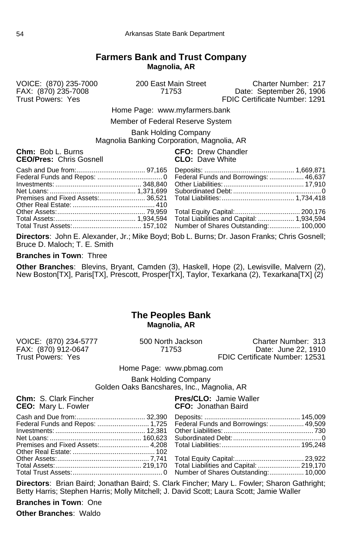# **Farmers Bank and Trust Company Magnolia, AR**

VOICE: (870) 235-7000 200 East Main Street Charter Number: 217 FAX: (870) 235-7008 71753 Date: September 26, 1906 FDIC Certificate Number: 1291

Home Page: www.myfarmers.bank

Member of Federal Reserve System

Bank Holding Company Magnolia Banking Corporation, Magnolia, AR

**Chm:** Bob L. Burns **CFO:** Drew Chandler **CEO**<br> **CEO**/Pres: Chris Gosnell **CLO:** Dave White **CEO/Pres: Chris Gosnell** 

**Directors**: John E. Alexander, Jr.; Mike Boyd; Bob L. Burns; Dr. Jason Franks; Chris Gosnell; Bruce D. Maloch; T. E. Smith

#### **Branches in Town**: Three

**Other Branches**: Blevins, Bryant, Camden (3), Haskell, Hope (2), Lewisville, Malvern (2), New Boston[TX], Paris[TX], Prescott, Prosper[TX], Taylor, Texarkana (2), Texarkana[TX] (2)

### **The Peoples Bank Magnolia, AR**

VOICE: (870) 234-5777 500 North Jackson Charter Number: 313 FAX: (870) 912-0647<br>Trust Powers: Yes Trust Powers: Yes FDIC Certificate Number: 12531 Home Page: www.pbmag.com Bank Holding Company Golden Oaks Bancshares, Inc., Magnolia, AR **Chm:** S. Clark Fincher **Pres/CLO:** Jamie Waller **CEO:** Jonathan Baird **CEO:** Jonathan Baird **CFO:** Jonathan Baird

**Directors**: Brian Baird; Jonathan Baird; S. Clark Fincher; Mary L. Fowler; Sharon Gathright; Betty Harris; Stephen Harris; Molly Mitchell; J. David Scott; Laura Scott; Jamie Waller

**Branches in Town**: One

**Other Branches**: Waldo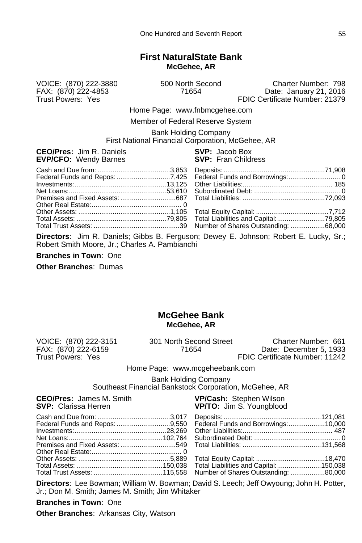### **First NaturalState Bank McGehee, AR**

VOICE: (870) 222-3880 500 North Second Charter Number: 798 FAX: (870) 222-4853 71654 Date: January 21, 2016 FDIC Certificate Number: 21379

Home Page: www.fnbmcgehee.com

Member of Federal Reserve System

Bank Holding Company First National Financial Corporation, McGehee, AR

**CEO/Pres:** Jim R. Daniels **SVP:** Jacob Box

| <b>ULUII ILU.</b> UIII ISLUUDIO<br><b>EVP/CFO: Wendy Barnes</b> | $\mathbf{v}$ . $\mathbf{v}$ . $\mathbf{v}$<br><b>SVP:</b> Fran Childress |
|-----------------------------------------------------------------|--------------------------------------------------------------------------|
|                                                                 |                                                                          |
|                                                                 |                                                                          |

**Directors**: Jim R. Daniels; Gibbs B. Ferguson; Dewey E. Johnson; Robert E. Lucky, Sr.; Robert Smith Moore, Jr.; Charles A. Pambianchi

**Branches in Town**: One

**Other Branches**: Dumas

# **McGehee Bank McGehee, AR**

VOICE: (870) 222-3151 301 North Second Street Charter Number: 661

FAX: (870) 222-6159 71654 Date: December 5, 1933 FDIC Certificate Number: 11242

Home Page: www.mcgeheebank.com

Bank Holding Company Southeast Financial Bankstock Corporation, McGehee, AR

| <b>CEO/Pres:</b> James M. Smith<br><b>SVP:</b> Clarissa Herren | <b>VP/Cash: Stephen Wilson</b><br><b>VP/TO:</b> Jim S. Youngblood |
|----------------------------------------------------------------|-------------------------------------------------------------------|
|                                                                |                                                                   |
|                                                                |                                                                   |
|                                                                |                                                                   |
|                                                                |                                                                   |
|                                                                |                                                                   |
|                                                                |                                                                   |
|                                                                |                                                                   |
|                                                                |                                                                   |

**Directors**: Lee Bowman; William W. Bowman; David S. Leech; Jeff Owyoung; John H. Potter, Jr.; Don M. Smith; James M. Smith; Jim Whitaker

**Branches in Town**: One

**Other Branches**: Arkansas City, Watson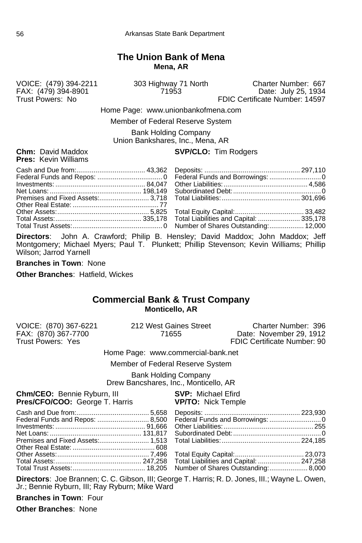# **The Union Bank of Mena Mena, AR**

FAX: (479) 394-8901<br>Trust Powers: No

VOICE: (479) 394-2211 303 Highway 71 North Charter Number: 667 FDIC Certificate Number: 14597

Home Page: www.unionbankofmena.com

Member of Federal Reserve System

Bank Holding Company Union Bankshares, Inc., Mena, AR

**Pres:** Kevin Williams

#### **Chm:** David Maddox **SVP/CLO:** Tim Rodgers

**Directors**: John A. Crawford; Philip B. Hensley; David Maddox; John Maddox; Jeff Montgomery; Michael Myers; Paul T. Plunkett; Phillip Stevenson; Kevin Williams; Phillip Wilson; Jarrod Yarnell

**Branches in Town**: None

**Other Branches**: Hatfield, Wickes

#### **Commercial Bank & Trust Company Monticello, AR**

| VOICE: (870) 367-6221              | 212 West Gaines Street           | Charter Number: 396         |  |
|------------------------------------|----------------------------------|-----------------------------|--|
| FAX: (870) 367-7700                | 71655                            | Date: November 29, 1912     |  |
| Trust Powers: Yes                  |                                  | FDIC Certificate Number: 90 |  |
| Home Page: www.commercial-bank.net |                                  |                             |  |
|                                    | Mamhar of Fadaral Racanya Svetam |                             |  |

Member of Federal Reserve System

Bank Holding Company Drew Bancshares, Inc., Monticello, AR

| <b>Chm/CEO:</b> Bennie Ryburn, III<br>Pres/CFO/COO: George T. Harris VP/TO: Nick Temple | <b>SVP: Michael Efird</b> |
|-----------------------------------------------------------------------------------------|---------------------------|
|                                                                                         |                           |
|                                                                                         |                           |
|                                                                                         |                           |

**Directors**: Joe Brannen; C. C. Gibson, III; George T. Harris; R. D. Jones, III.; Wayne L. Owen, Jr.; Bennie Ryburn, III; Ray Ryburn; Mike Ward

**Branches in Town**: Four

**Other Branches**: None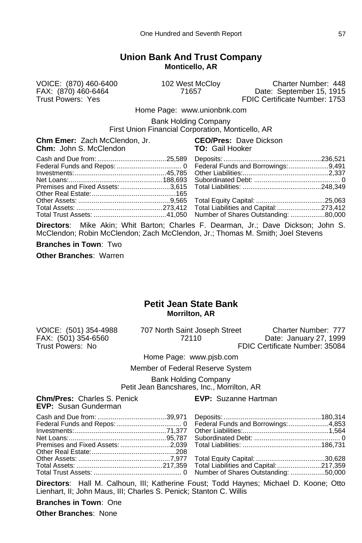# **Union Bank And Trust Company Monticello, AR**

VOICE: (870) 460-6400 102 West McCloy Charter Number: 448 FAX: (870) 460-6464 71657 Date: September 15, 1915 FDIC Certificate Number: 1753

Home Page: www.unionbnk.com

Bank Holding Company

First Union Financial Corporation, Monticello, AR

**Chm Emer:** Zach McClendon, Jr. **CEO/Pres:** Dave Dickson **Chm: John S. McClendon** 

**Directors**: Mike Akin; Whit Barton; Charles F. Dearman, Jr.; Dave Dickson; John S. McClendon; Robin McClendon; Zach McClendon, Jr.; Thomas M. Smith; Joel Stevens

**Branches in Town**: Two

**Other Branches**: Warren

### **Petit Jean State Bank Morrilton, AR**

VOICE: (501) 354-4988 707 North Saint Joseph Street Charter Number: 777<br>FAX: (501) 354-6560 72110 72110 Date: January 27, 1999 FAX: (501) 354-6560 72110 Date: January 27, 1999 FDIC Certificate Number: 35084

Home Page: www.pjsb.com

Member of Federal Reserve System

Bank Holding Company Petit Jean Bancshares, Inc., Morrilton, AR

**Chm/Pres:** Charles S. Penick **EVP:** Suzanne Hartman

**EVP:** Susan Gunderman

Cash and Due from: ....................................39,971 Deposits: ...................................................180,314 Federal Funds and Repos: .................................. 0 Federal Funds and Borrowings:.....................4,853 Investments:................................................71,377 Other Liabilities:.............................................1,564 Net Loans:...................................................95,787 Subordinated Debt: ............................................. 0 Premises and Fixed Assets: ..........................2,039 Total Liabilities: .........................................186,731 Other Real Estate:............................................208 Other Assets: ................................................7,977 Total Equity Capital: ....................................30,628 Total Liabilities and Capital:...........................217,359 Total Trust Assets: .............................................. 0 Number of Shares Outstanding: ..................50,000

**Directors**: Hall M. Calhoun, III; Katherine Foust; Todd Haynes; Michael D. Koone; Otto Lienhart, II; John Maus, III; Charles S. Penick; Stanton C. Willis

**Branches in Town**: One **Other Branches**: None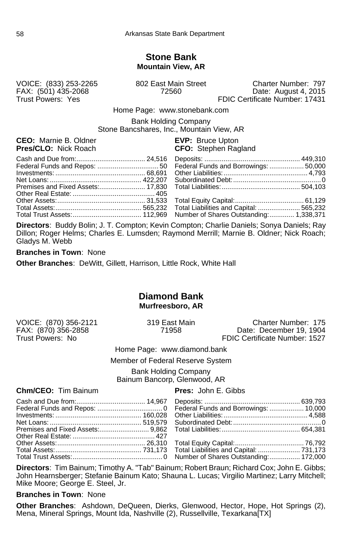#### **Stone Bank Mountain View, AR**

FAX: (501) 435-2068<br>Trust Powers: Yes

VOICE: (833) 253-2265 802 East Main Street Charter Number: 797

FDIC Certificate Number: 17431

Home Page: www.stonebank.com

Bank Holding Company Stone Bancshares, Inc., Mountain View, AR

**CEO:** Marnie B. Oldner **EVP:** EVP: Bruce Upton<br> **Pres/CLO:** Nick Roach **EXP:** CFO: Stephen Rac

**CFO:** Stephen Ragland

**Directors**: Buddy Bolin; J. T. Compton; Kevin Compton; Charlie Daniels; Sonya Daniels; Ray Dillon; Roger Helms; Charles E. Lumsden; Raymond Merrill; Marnie B. Oldner; Nick Roach; Gladys M. Webb

**Branches in Town**: None

**Other Branches**: DeWitt, Gillett, Harrison, Little Rock, White Hall

# **Diamond Bank Murfreesboro, AR**

VOICE: (870) 356-2121 319 East Main Charter Number: 175 FAX: (870) 356-2858 71958 Date: December 19, 1904 FDIC Certificate Number: 1527

Home Page: www.diamond.bank

Member of Federal Reserve System

Bank Holding Company Bainum Bancorp, Glenwood, AR

**Chm/CEO:** Tim Bainum **Pres:** John E. Gibbs

**Directors**: Tim Bainum; Timothy A. "Tab" Bainum; Robert Braun; Richard Cox; John E. Gibbs; John Hearnsberger; Stefanie Bainum Kato; Shauna L. Lucas; Virgilio Martinez; Larry Mitchell; Mike Moore; George E. Steel, Jr.

**Branches in Town**: None

**Other Branches**: Ashdown, DeQueen, Dierks, Glenwood, Hector, Hope, Hot Springs (2), Mena, Mineral Springs, Mount Ida, Nashville (2), Russellville, Texarkana[TX]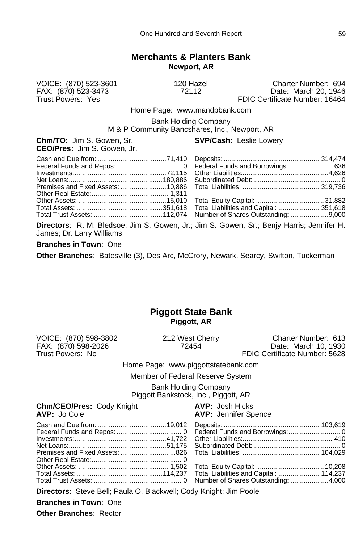# **Merchants & Planters Bank Newport, AR**

VOICE: (870) 523-3601 120 Hazel Charter Number: 694 FAX: (870) 523-3473 72112 Date: March 20, 1946 FDIC Certificate Number: 16464

Home Page: www.mandpbank.com

Bank Holding Company

M & P Community Bancshares, Inc., Newport, AR

**Chm/TO:** Jim S. Gowen, Sr. **SVP/Cash:** Leslie Lowery **CEO/Pres:** Jim S. Gowen, Jr.

**Directors**: R. M. Bledsoe; Jim S. Gowen, Jr.; Jim S. Gowen, Sr.; Benjy Harris; Jennifer H. James; Dr. Larry Williams

#### **Branches in Town**: One

**Other Branches**: Batesville (3), Des Arc, McCrory, Newark, Searcy, Swifton, Tuckerman

# **Piggott State Bank Piggott, AR**

VOICE: (870) 598-3802 212 West Cherry Charter Number: 613 FAX: (870) 598-2026 72454 Date: March 10, 1930 FDIC Certificate Number: 5628

Home Page: www.piggottstatebank.com

Member of Federal Reserve System

Bank Holding Company Piggott Bankstock, Inc., Piggott, AR

**Chm/CEO/Pres:** Cody Knight **AVP:** Josh Hicks<br> **AVP:** Jo Cole **AVP:** Jennifer Sp

**AVP: Jennifer Spence** 

**Directors**: Steve Bell; Paula O. Blackwell; Cody Knight; Jim Poole

**Branches in Town**: One **Other Branches**: Rector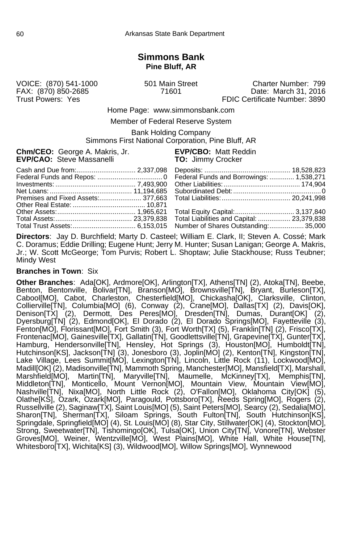# **Simmons Bank Pine Bluff, AR**

FAX: (870) 850-2685

VOICE: (870) 541-1000 501 Main Street Charter Number: 799 Trust Powers: Yes **FIDIC Certificate Number: 3890** 

Home Page: www.simmonsbank.com

Member of Federal Reserve System

Bank Holding Company Simmons First National Corporation, Pine Bluff, AR

| <b>Chm/CEO:</b> George A. Makris, Jr.<br><b>EVP/CAO:</b> Steve Massanelli | <b>EVP/CBO: Matt Reddin</b><br><b>TO:</b> Jimmy Crocker |
|---------------------------------------------------------------------------|---------------------------------------------------------|
|                                                                           | Federal Funds and Borrowings:  1,538,271                |
|                                                                           |                                                         |
|                                                                           |                                                         |
|                                                                           |                                                         |

**Directors**: Jay D. Burchfield; Marty D. Casteel; William E. Clark, II; Steven A. Cossé; Mark C. Doramus; Eddie Drilling; Eugene Hunt; Jerry M. Hunter; Susan Lanigan; George A. Makris, Jr.; W. Scott McGeorge; Tom Purvis; Robert L. Shoptaw; Julie Stackhouse; Russ Teubner; Mindy West

#### **Branches in Town**: Six

**Other Branches**: Ada[OK], Ardmore[OK], Arlington[TX], Athens[TN] (2), Atoka[TN], Beebe, Benton, Bentonville, Bolivar[TN], Branson[MO], Brownsville[TN], Bryant, Burleson[TX], Cabool[MO], Cabot, Charleston, Chesterfield[MO], Chickasha[OK], Clarksville, Clinton, Collierville[TN], Columbia[MO] (6), Conway (2), Crane[MO], Dallas[TX] (2), Davis[OK], Denison[TX] (2), Dermott, Des Peres[MO], Dresden[TN], Dumas, Durant[OK] (2), Dyersburg[TN] (2), Edmond[OK], El Dorado (2), El Dorado Springs[MO], Fayetteville (3), Fenton[MO], Florissant[MO], Fort Smith (3), Fort Worth[TX] (5), Franklin[TN] (2), Frisco[TX], Frontenac[MO], Gainesville[TX], Gallatin[TN], Goodlettsville[TN], Grapevine[TX], Gunter[TX], Hamburg, Hendersonville[TN], Hensley, Hot Springs (3), Houston[MO], Humboldt[TN], Hutchinson[KS], Jackson[TN] (3), Jonesboro (3), Joplin[MO] (2), Kenton[TN], Kingston[TN], Lake Village, Lees Summit[MO], Lexington[TN], Lincoln, Little Rock (11), Lockwood[MO], Madill[OK] (2), Madisonville[TN], Mammoth Spring, Manchester[MO], Mansfield[TX], Marshall, Marshfield[MO], Martin[TN], Maryville[TN], Maumelle, McKinney[TX], Memphis[TN], Middleton[TN], Monticello, Mount Vernon[MO], Mountain View, Mountain View[MO], Nashville[TN], Nixa[MO], North Little Rock (2), O'Fallon[MO], Oklahoma City[OK] (5), Olathe[KS], Ozark, Ozark[MO], Paragould, Pottsboro[TX], Reeds Spring[MO], Rogers (2), Russellville (2), Saginaw[TX], Saint Louis[MO] (5), Saint Peters[MO], Searcy (2), Sedalia[MO], Sharon[TN], Sherman[TX], Siloam Springs, South Fulton[TN], South Hutchinson[KS], Springdale, Springfield[MO] (4), St. Louis[MO] (8), Star City, Stillwater[OK] (4), Stockton[MO], Strong, Sweetwater[TN], Tishomingo[OK], Tulsa[OK], Union City[TN], Vonore[TN], Webster Groves[MO], Weiner, Wentzville[MO], West Plains[MO], White Hall, White House[TN], Whitesboro[TX], Wichita[KS] (3), Wildwood[MO], Willow Springs[MO], Wynnewood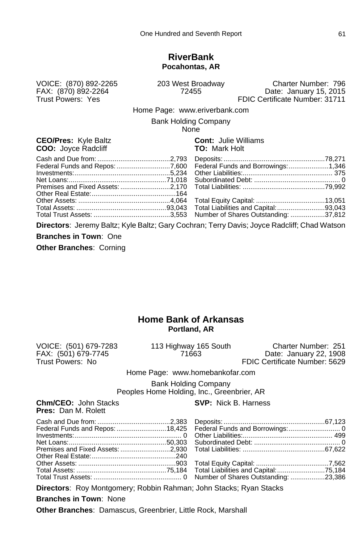#### **RiverBank Pocahontas, AR**

VOICE: (870) 892-2265 203 West Broadway Charter Number: 796 FAX: (870) 892-2264 72455 Date: January 15, 2015 FDIC Certificate Number: 31711

Home Page: www.eriverbank.com

Bank Holding Company

None

#### **CEO/Pres:** Kyle Baltz **CONTEX CONTEX COO COOL**<br>
COO: Jovee Radcliff **COO** COO: Mark Holt **COO:** Joyce Radcliff

**Directors**: Jeremy Baltz; Kyle Baltz; Gary Cochran; Terry Davis; Joyce Radcliff; Chad Watson

**Branches in Town**: One

**Other Branches**: Corning

# **Home Bank of Arkansas Portland, AR**

VOICE: (501) 679-7283 113 Highway 165 South Charter Number: 251

FAX: (501) 679-7745 71663 Date: January 22, 1908 FDIC Certificate Number: 5629

Home Page: www.homebankofar.com

Bank Holding Company Peoples Home Holding, Inc., Greenbrier, AR

**Chm/CEO:** John Stacks **SVP:** Nick B. Harness **Pres:** Dan M. Rolett

**Directors**: Roy Montgomery; Robbin Rahman; John Stacks; Ryan Stacks

**Branches in Town**: None

**Other Branches**: Damascus, Greenbrier, Little Rock, Marshall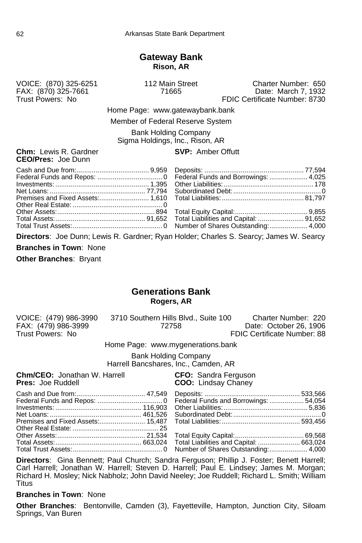### **Gateway Bank Rison, AR**

FAX: (870) 325-7661<br>Trust Powers: No

VOICE: (870) 325-6251 112 Main Street Charter Number: 650 FDIC Certificate Number: 8730

> Home Page: www.gatewaybank.bank Member of Federal Reserve System

Bank Holding Company Sigma Holdings, Inc., Rison, AR

**Chm:** Lewis R. Gardner **CEO/Pres:** Joe Dunn

|  | <b>SVP: Amber Offutt</b> |  |
|--|--------------------------|--|
|--|--------------------------|--|

**Directors**: Joe Dunn; Lewis R. Gardner; Ryan Holder; Charles S. Searcy; James W. Searcy **Branches in Town**: None

**Other Branches**: Bryant

# **Generations Bank Rogers, AR**

| VOICE: (479) 986-3990 | 3710 Southern Hills Blvd., Suite 100 | Charter Number: 220         |
|-----------------------|--------------------------------------|-----------------------------|
| FAX: (479) 986-3999   | 72758                                | Date: October 26, 1906      |
| Trust Powers: No      |                                      | FDIC Certificate Number: 88 |

Home Page: www.mygenerations.bank

Bank Holding Company Harrell Bancshares, Inc., Camden, AR

**Chm/CEO:** Jonathan W. Harrell **CFO:** Sandra Ferguson<br> **Pres:** Joe Ruddell **COO:** Lindsay Chaney

**COO:** Lindsay Chaney

**Directors**: Gina Bennett; Paul Church; Sandra Ferguson; Phillip J. Foster; Benett Harrell; Carl Harrell; Jonathan W. Harrell; Steven D. Harrell; Paul E. Lindsey; James M. Morgan; Richard H. Mosley; Nick Nabholz; John David Neeley; Joe Ruddell; Richard L. Smith; William **Titus** 

#### **Branches in Town**: None

**Other Branches**: Bentonville, Camden (3), Fayetteville, Hampton, Junction City, Siloam Springs, Van Buren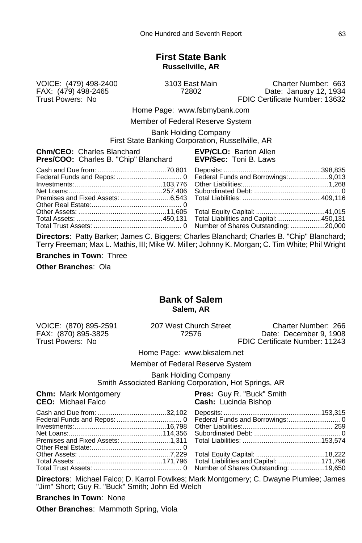# **First State Bank Russellville, AR**

VOICE: (479) 498-2400 3103 East Main Charter Number: 663 FAX: (479) 498-2465 72802 Date: January 12, 1934 FDIC Certificate Number: 13632

Home Page: www.fsbmybank.com

Member of Federal Reserve System

Bank Holding Company

First State Banking Corporation, Russellville, AR

| <b>EVP/CLO: Barton Allen</b><br><b>EVP/Sec: Toni B. Laws</b> |
|--------------------------------------------------------------|
|                                                              |
|                                                              |
|                                                              |
|                                                              |
|                                                              |
|                                                              |
|                                                              |
|                                                              |
|                                                              |
|                                                              |

**Directors**: Patty Barker; James C. Biggers; Charles Blanchard; Charles B. "Chip" Blanchard; Terry Freeman; Max L. Mathis, III; Mike W. Miller; Johnny K. Morgan; C. Tim White; Phil Wright

**Branches in Town**: Three

**Other Branches**: Ola

# **Bank of Salem Salem, AR**

VOICE: (870) 895-2591 207 West Church Street Charter Number: 266

FAX: (870) 895-3825 72576 Date: December 9, 1908 FDIC Certificate Number: 11243

Home Page: www.bksalem.net

Member of Federal Reserve System

Bank Holding Company

Smith Associated Banking Corporation, Hot Springs, AR

| <b>Chm:</b> Mark Montgomery<br><b>CEO:</b> Michael Falco | <b>Pres:</b> Guy R. "Buck" Smith<br><b>Cash: Lucinda Bishop</b> |
|----------------------------------------------------------|-----------------------------------------------------------------|
|                                                          |                                                                 |
|                                                          |                                                                 |
|                                                          |                                                                 |
|                                                          |                                                                 |
|                                                          |                                                                 |
|                                                          |                                                                 |

**Directors**: Michael Falco; D. Karrol Fowlkes; Mark Montgomery; C. Dwayne Plumlee; James "Jim" Short; Guy R. "Buck" Smith; John Ed Welch

**Branches in Town**: None

**Other Branches**: Mammoth Spring, Viola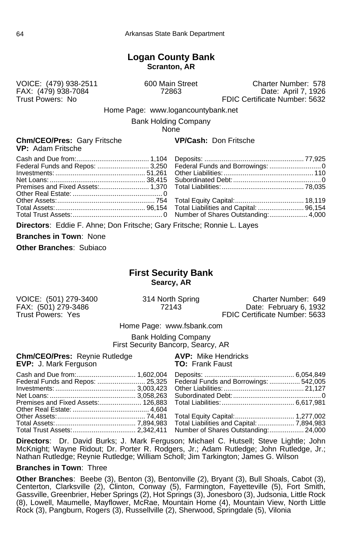# **Logan County Bank Scranton, AR**

FAX: (479) 938-7084<br>Trust Powers: No

VOICE: (479) 938-2511 600 Main Street Charter Number: 578 FDIC Certificate Number: 5632

Home Page: www.logancountybank.net

Bank Holding Company

**None** 

#### **Chm/CEO/Pres:** Gary Fritsche **VP/Cash:** Don Fritsche **VP:** Adam Fritsche

**Directors**: Eddie F. Ahne; Don Fritsche; Gary Fritsche; Ronnie L. Layes

**Branches in Town**: None

**Other Branches**: Subiaco

# **First Security Bank Searcy, AR**

VOICE: (501) 279-3400 314 North Spring Charter Number: 649<br>FAX: (501) 279-3486 72143 Date: February 6, 1932 FAX: (501) 279-3486 72143 Date: February 6, 1932<br>Trust Powers: Yes **Trust Powers: Yes** FDIC Certificate Number: 5633 FDIC Certificate Number: 5633

Home Page: www.fsbank.com

Bank Holding Company First Security Bancorp, Searcy, AR

| <b>Chm/CEO/Pres: Reynie Rutledge AVP: Mike Hendricks</b><br><b>TO: Frank Faust</b><br><b>EVP:</b> J. Mark Ferguson |                                                                         |
|--------------------------------------------------------------------------------------------------------------------|-------------------------------------------------------------------------|
| Cash and Due from: 1,602,004                                                                                       | Federal Funds and Repos:  25,325 Federal Funds and Borrowings:  542,005 |
|                                                                                                                    |                                                                         |
|                                                                                                                    |                                                                         |
|                                                                                                                    |                                                                         |
|                                                                                                                    |                                                                         |
|                                                                                                                    | Total Trust Assets:  2,342,411 Number of Shares Outstanding:  24,000    |
|                                                                                                                    |                                                                         |

**Directors**: Dr. David Burks; J. Mark Ferguson; Michael C. Hutsell; Steve Lightle; John McKnight; Wayne Ridout; Dr. Porter R. Rodgers, Jr.; Adam Rutledge; John Rutledge, Jr.; Nathan Rutledge; Reynie Rutledge; William Scholl; Jim Tarkington; James G. Wilson

#### **Branches in Town**: Three

**Other Branches**: Beebe (3), Benton (3), Bentonville (2), Bryant (3), Bull Shoals, Cabot (3), Centerton, Clarksville (2), Clinton, Conway (5), Farmington, Fayetteville (5), Fort Smith, Gassville, Greenbrier, Heber Springs (2), Hot Springs (3), Jonesboro (3), Judsonia, Little Rock (8), Lowell, Maumelle, Mayflower, McRae, Mountain Home (4), Mountain View, North Little Rock (3), Pangburn, Rogers (3), Russellville (2), Sherwood, Springdale (5), Vilonia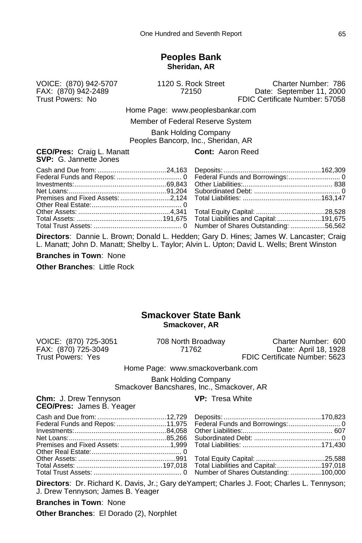#### **Peoples Bank Sheridan, AR**

VOICE: (870) 942-5707 1120 S. Rock Street Charter Number: 786 FAX: (870) 942-2489 72150 Date: September 11, 2000 FDIC Certificate Number: 57058

> Home Page: www.peoplesbankar.com Member of Federal Reserve System

Bank Holding Company

Peoples Bancorp, Inc., Sheridan, AR

#### **CEO/Pres:** Craig L. Manatt **CEO/Pres:** Craig L. Manatt **SVP:** G. Jannette Jones

**Directors**: Dannie L. Brown; Donald L. Hedden; Gary D. Hines; James W. Lancaster; Craig L. Manatt; John D. Manatt; Shelby L. Taylor; Alvin L. Upton; David L. Wells; Brent Winston

**Branches in Town**: None

**Other Branches**: Little Rock

## **Smackover State Bank Smackover, AR**

FAX: (870) 725-3049<br>Trust Powers: Yes

VOICE: (870) 725-3051 708 North Broadway Charter Number: 600 FDIC Certificate Number: 5623

Home Page: www.smackoverbank.com

Bank Holding Company Smackover Bancshares, Inc., Smackover, AR

**Chm:** J. Drew Tennyson **VP:** Tresa White **CEO/Pres:** James B. Yeager

Cash and Due from: ....................................12,729 Deposits: ...................................................170,823

| Federal Funds and Repos: 11,975 |  |
|---------------------------------|--|
|                                 |  |
|                                 |  |
|                                 |  |
|                                 |  |
|                                 |  |
|                                 |  |
|                                 |  |
|                                 |  |

**Directors**: Dr. Richard K. Davis, Jr.; Gary deYampert; Charles J. Foot; Charles L. Tennyson; J. Drew Tennyson; James B. Yeager

**Branches in Town**: None

**Other Branches**: El Dorado (2), Norphlet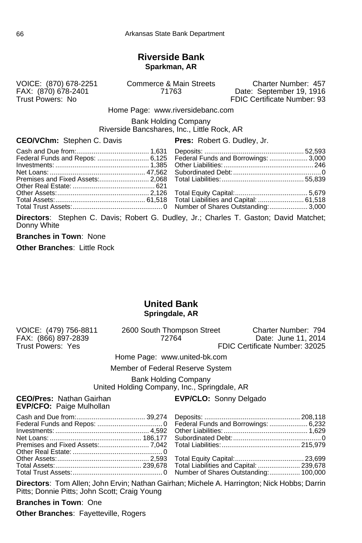### **Riverside Bank Sparkman, AR**

VOICE: (870) 678-2251 Commerce & Main Streets Charter Number: 457 FAX: (870) 678-2401 71763 Date: September 19, 1916 FDIC Certificate Number: 93

Home Page: www.riversidebanc.com

Bank Holding Company Riverside Bancshares, Inc., Little Rock, AR

### **CEO/VChm:** Stephen C. Davis **Pres:** Robert G. Dudley, Jr.

**Directors**: Stephen C. Davis; Robert G. Dudley, Jr.; Charles T. Gaston; David Matchet; Donny White

**Branches in Town**: None

**Other Branches**: Little Rock

### **United Bank Springdale, AR**

| VOICE: (479) 756-8811<br>FAX: (866) 897-2839<br>Trust Powers: Yes | 2600 South Thompson Street<br>72764                                         | Charter Number: 794<br>Date: June 11, 2014<br>FDIC Certificate Number: 32025 |
|-------------------------------------------------------------------|-----------------------------------------------------------------------------|------------------------------------------------------------------------------|
|                                                                   | Home Page: www.united-bk.com                                                |                                                                              |
|                                                                   | Member of Federal Reserve System                                            |                                                                              |
|                                                                   | <b>Bank Holding Company</b><br>United Holding Company, Inc., Springdale, AR |                                                                              |
| <b>CEO/Pres: Nathan Gairhan</b>                                   | <b>EVP/CLO:</b> Sonny Delgado                                               |                                                                              |

**EVP/CFO:** Paige Mulhollan

**Directors**: Tom Allen; John Ervin; Nathan Gairhan; Michele A. Harrington; Nick Hobbs; Darrin Pitts; Donnie Pitts; John Scott; Craig Young

**Branches in Town**: One

**Other Branches**: Fayetteville, Rogers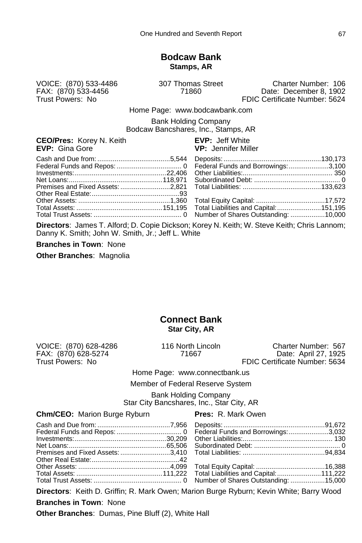#### **Bodcaw Bank Stamps, AR**

VOICE: (870) 533-4486 307 Thomas Street Charter Number: 106 FAX: (870) 533-4456 71860 Date: December 8, 1902 FDIC Certificate Number: 5624

Home Page: www.bodcawbank.com

Bank Holding Company Bodcaw Bancshares, Inc., Stamps, AR

**CEO/Pres:** Korey N. Keith **EVP:** Jeff White **EVP:** Cina Gore **EVP:** Gina Gore

**Directors**: James T. Alford; D. Copie Dickson; Korey N. Keith; W. Steve Keith; Chris Lannom; Danny K. Smith; John W. Smith, Jr.; Jeff L. White

**Branches in Town**: None

**Other Branches**: Magnolia

#### **Connect Bank Star City, AR**

FAX: (870) 628-5274 71667<br>Trust Powers: No

VOICE: (870) 628-4286 116 North Lincoln Charter Number: 567 FDIC Certificate Number: 5634

Home Page: www.connectbank.us

Member of Federal Reserve System

Bank Holding Company Star City Bancshares, Inc., Star City, AR

#### **Chm/CEO:** Marion Burge Ryburn **Pres:** R. Mark Owen

**Directors**: Keith D. Griffin; R. Mark Owen; Marion Burge Ryburn; Kevin White; Barry Wood

**Branches in Town**: None

**Other Branches**: Dumas, Pine Bluff (2), White Hall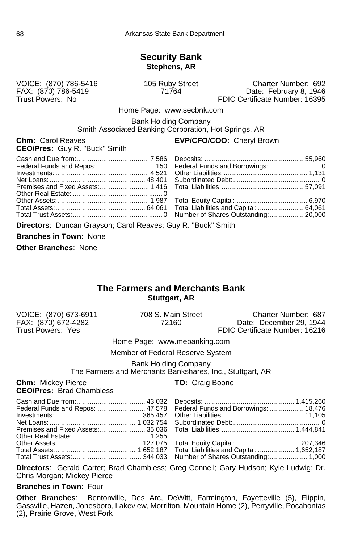#### **Security Bank Stephens, AR**

VOICE: (870) 786-5416 105 Ruby Street Charter Number: 692 FAX: (870) 786-5419 71764 Date: February 8, 1946 FDIC Certificate Number: 16395

Home Page: www.secbnk.com

Bank Holding Company

Smith Associated Banking Corporation, Hot Springs, AR

**Chm:** Carol Reaves **EVP/CFO/COO:** Cheryl Brown **CEO/Pres:** Guy R. "Buck" Smith

**Directors**: Duncan Grayson; Carol Reaves; Guy R. "Buck" Smith

**Branches in Town**: None

**Other Branches**: None

#### **The Farmers and Merchants Bank Stuttgart, AR**

FAX: (870) 672-4282<br>Trust Powers: Yes

VOICE: (870) 673-6911 708 S. Main Street Charter Number: 687 FDIC Certificate Number: 16216

Home Page: www.mebanking.com

Member of Federal Reserve System

Bank Holding Company The Farmers and Merchants Bankshares, Inc., Stuttgart, AR

**Chm:** Mickey Pierce **TO:** Craig Boone **CEO/Pres:** Brad Chambless

|  | 18,476  18,476 Federal Funds and Borrowings:  18,476 |  |
|--|------------------------------------------------------|--|
|  |                                                      |  |
|  |                                                      |  |
|  |                                                      |  |
|  |                                                      |  |
|  |                                                      |  |
|  |                                                      |  |
|  |                                                      |  |

**Directors**: Gerald Carter; Brad Chambless; Greg Connell; Gary Hudson; Kyle Ludwig; Dr. Chris Morgan; Mickey Pierce

#### **Branches in Town**: Four

**Other Branches**: Bentonville, Des Arc, DeWitt, Farmington, Fayetteville (5), Flippin, Gassville, Hazen, Jonesboro, Lakeview, Morrilton, Mountain Home (2), Perryville, Pocahontas (2), Prairie Grove, West Fork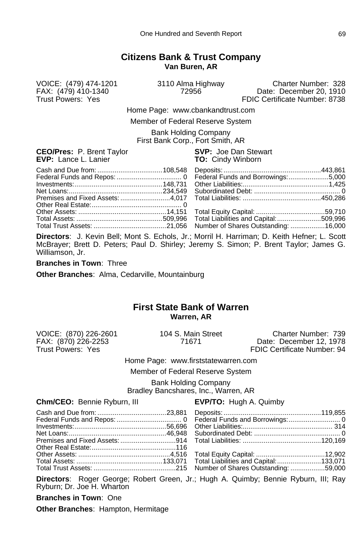#### **Citizens Bank & Trust Company Van Buren, AR**

VOICE: (479) 474-1201 3110 Alma Highway Charter Number: 328 FAX: (479) 410-1340 72956 Date: December 20, 1910 FDIC Certificate Number: 8738

Home Page: www.cbankandtrust.com

Member of Federal Reserve System

Bank Holding Company First Bank Corp., Fort Smith, AR

**CEO/Pres:** P. Brent Taylor **SVP:** Joe Dan Stewart **EVP:** Lance L. Lanier **TO:** Cindy Winborn

**Directors**: J. Kevin Bell; Mont S. Echols, Jr.; Morril H. Harriman; D. Keith Hefner; L. Scott McBrayer; Brett D. Peters; Paul D. Shirley; Jeremy S. Simon; P. Brent Taylor; James G. Williamson, Jr.

**Branches in Town**: Three

**Other Branches**: Alma, Cedarville, Mountainburg

#### **First State Bank of Warren Warren, AR**

VOICE: (870) 226-2601 104 S. Main Street Charter Number: 739 FAX: (870) 226-2253 71671 Date: December 12, 1978 FDIC Certificate Number: 94

Home Page: www.firststatewarren.com

Member of Federal Reserve System

Bank Holding Company Bradley Bancshares, Inc., Warren, AR

**Chm/CEO:** Bennie Ryburn, III **EVP/TO:** Hugh A. Quimby

**Directors**: Roger George; Robert Green, Jr.; Hugh A. Quimby; Bennie Ryburn, III; Ray Ryburn; Dr. Joe H. Wharton

**Branches in Town**: One

**Other Branches**: Hampton, Hermitage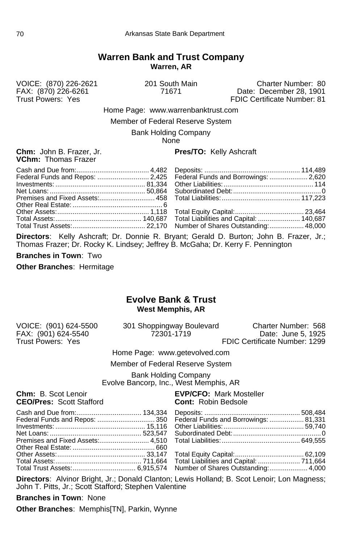#### **Warren Bank and Trust Company Warren, AR**

VOICE: (870) 226-2621 201 South Main Charter Number: 80 FAX: (870) 226-6261 71671 Date: December 28, 1901 FDIC Certificate Number: 81

Home Page: www.warrenbanktrust.com

Member of Federal Reserve System

Bank Holding Company

**None** 

## **VChm:** Thomas Frazer

#### **Chm:** John B. Frazer, Jr. **Pres/TO:** Kelly Ashcraft

**Directors**: Kelly Ashcraft; Dr. Donnie R. Bryant; Gerald D. Burton; John B. Frazer, Jr.; Thomas Frazer; Dr. Rocky K. Lindsey; Jeffrey B. McGaha; Dr. Kerry F. Pennington

**Branches in Town**: Two

**Other Branches**: Hermitage

#### **Evolve Bank & Trust West Memphis, AR**

|  | VOICE: (901) 624-5500<br>FAX: (901) 624-5540<br>Trust Powers: Yes | 301 Shoppingway Boulevard<br>72301-1719 | Charter Number: 568<br>Date: June 5, 1925<br>FDIC Certificate Number: 1299 |
|--|-------------------------------------------------------------------|-----------------------------------------|----------------------------------------------------------------------------|
|--|-------------------------------------------------------------------|-----------------------------------------|----------------------------------------------------------------------------|

Home Page: www.getevolved.com

Member of Federal Reserve System

Bank Holding Company Evolve Bancorp, Inc., West Memphis, AR

| <b>Chm:</b> B. Scot Lenoir |  |                                 |
|----------------------------|--|---------------------------------|
|                            |  | <b>CEO/Pres: Scott Stafford</b> |

#### **EVP/CFO: Mark Mosteller Cont:** Robin Bedsole

**Directors**: Alvinor Bright, Jr.; Donald Clanton; Lewis Holland; B. Scot Lenoir; Lon Magness; John T. Pitts, Jr.; Scott Stafford; Stephen Valentine

**Branches in Town**: None

**Other Branches**: Memphis[TN], Parkin, Wynne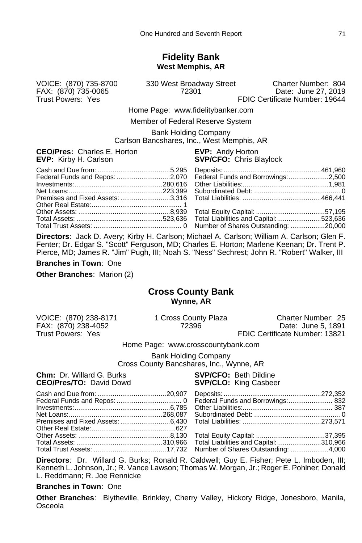#### **Fidelity Bank West Memphis, AR**

FAX: (870) 735-0065<br>Trust Powers: Yes

VOICE: (870) 735-8700 330 West Broadway Street Charter Number: 804 FDIC Certificate Number: 19644

> Home Page: www.fidelitybanker.com Member of Federal Reserve System

Bank Holding Company

Carlson Bancshares, Inc., West Memphis, AR

**CEO/Pres:** Charles E. Horton **EVP:** Andy Horton **EVP:** Kirby H. Carlson **SVP/CFO:** Chris Blaylock

| Federal Funds and Repos: 2,070 Federal Funds and Borrowings: 2,500 |
|--------------------------------------------------------------------|
|                                                                    |
|                                                                    |

**Directors**: Jack D. Avery; Kirby H. Carlson; Michael A. Carlson; William A. Carlson; Glen F. Fenter; Dr. Edgar S. "Scott" Ferguson, MD; Charles E. Horton; Marlene Keenan; Dr. Trent P. Pierce, MD; James R. "Jim" Pugh, III; Noah S. "Ness" Sechrest; John R. "Robert" Walker, III

**Branches in Town**: One

**Other Branches**: Marion (2)

#### **Cross County Bank Wynne, AR**

VOICE: (870) 238-8171 1 Cross County Plaza Charter Number: 25 FAX: (870) 238-4052 72396 Date: June 5, 1891 FDIC Certificate Number: 13821

Home Page: www.crosscountybank.com

Bank Holding Company Cross County Bancshares, Inc., Wynne, AR

**Chm:** Dr. Willard G. Burks **SVP/CFO:** Beth Dildine

**SVP/CLO:** King Casbeer

**Directors**: Dr. Willard G. Burks; Ronald R. Caldwell; Guy E. Fisher; Pete L. Imboden, III; Kenneth L. Johnson, Jr.; R. Vance Lawson; Thomas W. Morgan, Jr.; Roger E. Pohlner; Donald L. Reddmann; R. Joe Rennicke

#### **Branches in Town**: One

**Other Branches**: Blytheville, Brinkley, Cherry Valley, Hickory Ridge, Jonesboro, Manila, **Osceola**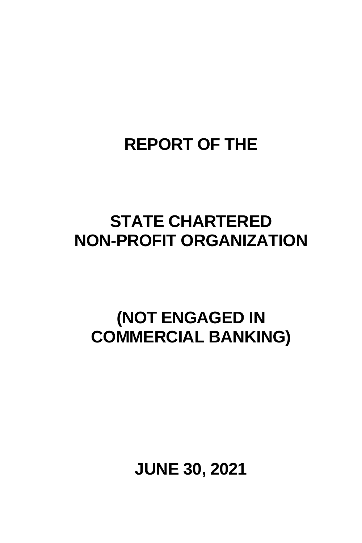## **REPORT OF THE**

## **STATE CHARTERED NON-PROFIT ORGANIZATION**

## **(NOT ENGAGED IN COMMERCIAL BANKING)**

**JUNE 30, 2021**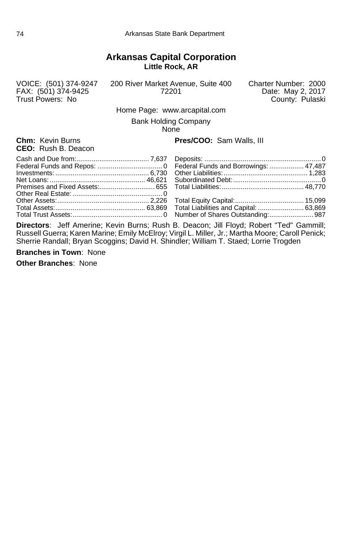#### **Arkansas Capital Corporation Little Rock, AR**

Trust Powers: No

VOICE: (501) 374-9247 200 River Market Avenue, Suite 400<br>FAX: (501) 374-9425 72201

Charter Number: 2000<br>Date: May 2, 2017<br>County: Pulaski

Home Page: www.arcapital.com

Bank Holding Company None

**CEO:** Rush B. Deacon

#### **Chm:** Kevin Burns **Pres/COO:** Sam Walls, III

**Directors**: Jeff Amerine; Kevin Burns; Rush B. Deacon; Jill Floyd; Robert "Ted" Gammill; Russell Guerra; Karen Marine; Emily McElroy; Virgil L. Miller, Jr.; Martha Moore; Caroll Penick; Sherrie Randall; Bryan Scoggins; David H. Shindler; William T. Staed; Lorrie Trogden

**Branches in Town**: None

**Other Branches**: None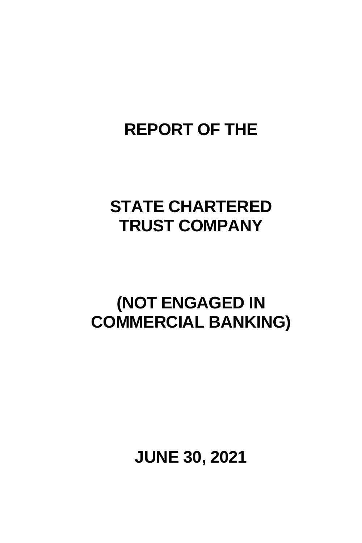## **REPORT OF THE**

## **STATE CHARTERED TRUST COMPANY**

## **(NOT ENGAGED IN COMMERCIAL BANKING)**

**JUNE 30, 2021**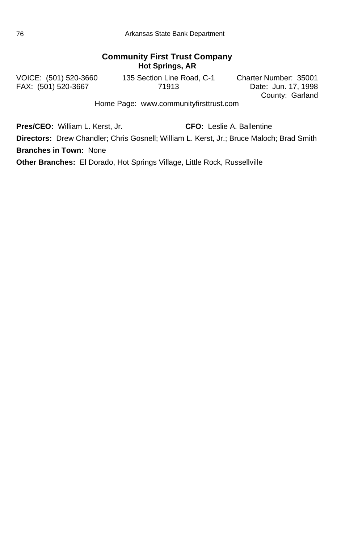#### **Community First Trust Company Hot Springs, AR**

FAX: (501) 520-3667 71913

VOICE: (501) 520-3660 135 Section Line Road, C-1 Charter Number: 35001

County: Garland

Home Page: www.communityfirsttrust.com

**Pres/CEO:** William L. Kerst, Jr. **CFO:** Leslie A. Ballentine

**Directors:** Drew Chandler; Chris Gosnell; William L. Kerst, Jr.; Bruce Maloch; Brad Smith **Branches in Town:** None

**Other Branches:** El Dorado, Hot Springs Village, Little Rock, Russellville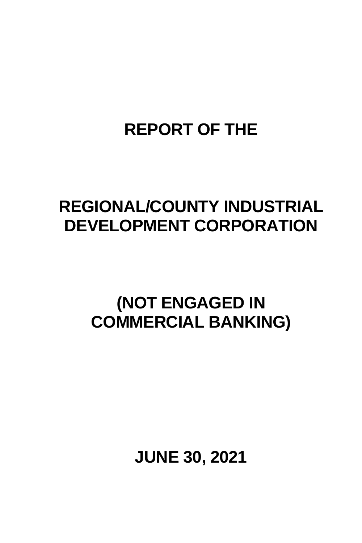## **REPORT OF THE**

## **REGIONAL/COUNTY INDUSTRIAL DEVELOPMENT CORPORATION**

## **(NOT ENGAGED IN COMMERCIAL BANKING)**

**JUNE 30, 2021**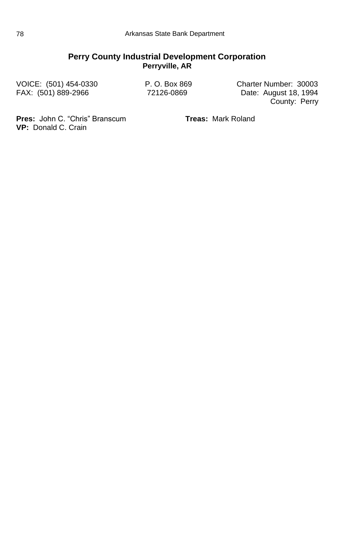#### **Perry County Industrial Development Corporation Perryville, AR**

VOICE: (501) 454-0330 P. O. Box 869 Charter Number: 30003 Date: August 18, 1994 County: Perry

**Pres:** John C. "Chris" Branscum **Treas:** Mark Roland **VP:** Donald C. Crain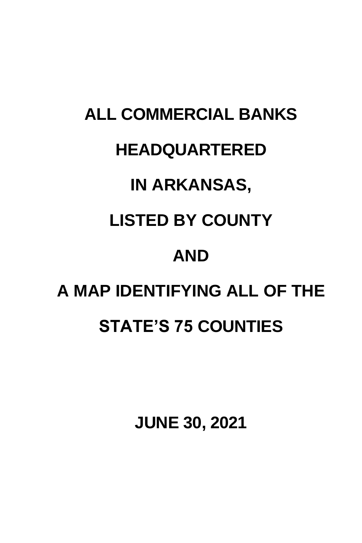# **ALL COMMERCIAL BANKS HEADQUARTERED IN ARKANSAS, LISTED BY COUNTY AND A MAP IDENTIFYING ALL OF THE STATE'S 75 COUNTIES**

**JUNE 30, 2021**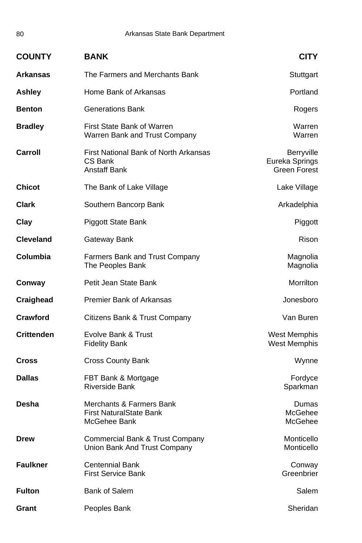| <b>COUNTY</b>     | <b>BANK</b>                                                             | <b>CITY</b>                                                |
|-------------------|-------------------------------------------------------------------------|------------------------------------------------------------|
| Arkansas          | The Farmers and Merchants Bank                                          | Stuttgart                                                  |
| Ashley            | Home Bank of Arkansas                                                   | Portland                                                   |
| <b>Benton</b>     | <b>Generations Bank</b>                                                 | Rogers                                                     |
| <b>Bradley</b>    | First State Bank of Warren<br>Warren Bank and Trust Company             | Warren<br>Warren                                           |
| Carroll           | First National Bank of North Arkansas<br>CS Bank<br><b>Anstaff Bank</b> | <b>Berryville</b><br>Eureka Springs<br><b>Green Forest</b> |
| <b>Chicot</b>     | The Bank of Lake Village                                                | Lake Village                                               |
| <b>Clark</b>      | Southern Bancorp Bank                                                   | Arkadelphia                                                |
| Clay              | Piggott State Bank                                                      | Piggott                                                    |
| <b>Cleveland</b>  | Gateway Bank                                                            | Rison                                                      |
| Columbia          | <b>Farmers Bank and Trust Company</b><br>The Peoples Bank               | Magnolia<br>Magnolia                                       |
| Conway            | Petit Jean State Bank                                                   | Morrilton                                                  |
| Craighead         | <b>Premier Bank of Arkansas</b>                                         | Jonesboro                                                  |
| Crawford          | Citizens Bank & Trust Company                                           | Van Buren                                                  |
| <b>Crittenden</b> | Evolve Bank & Trust<br><b>Fidelity Bank</b>                             | West Memphis<br><b>West Memphis</b>                        |
| <b>Cross</b>      | <b>Cross County Bank</b>                                                | Wynne                                                      |
| <b>Dallas</b>     | FBT Bank & Mortgage<br><b>Riverside Bank</b>                            | Fordyce<br>Sparkman                                        |
| Desha             | Merchants & Farmers Bank<br>First NaturalState Bank<br>McGehee Bank-    | Dumas<br>McGehee<br>McGehee                                |
| <b>Drew</b>       | Commercial Bank & Trust Company<br>Union Bank And Trust Company         | Monticello<br>Monticello                                   |
| <b>Faulkner</b>   | <b>Centennial Bank</b><br><b>First Service Bank</b>                     | Conway<br>Greenbrier                                       |
| <b>Fulton</b>     | <b>Bank of Salem</b>                                                    | Salem                                                      |
| Grant             | Peoples Bank                                                            | Sheridan                                                   |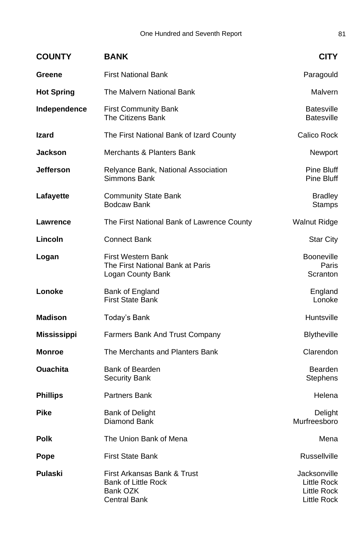| <b>COUNTY</b>      | <b>BANK</b>                                                                                  | <b>CITY</b>                                               |
|--------------------|----------------------------------------------------------------------------------------------|-----------------------------------------------------------|
| Greene             | <b>First National Bank</b>                                                                   | Paragould                                                 |
| <b>Hot Spring</b>  | The Malvern National Bank                                                                    | Malvern                                                   |
| Independence       | <b>First Community Bank</b><br>The Citizens Bank                                             | <b>Batesville</b><br><b>Batesville</b>                    |
| <b>Izard</b>       | The First National Bank of Izard County                                                      | Calico Rock                                               |
| <b>Jackson</b>     | Merchants & Planters Bank                                                                    | Newport                                                   |
| <b>Jefferson</b>   | Relyance Bank, National Association<br>Simmons Bank                                          | Pine Bluff<br>Pine Bluff                                  |
| Lafayette          | <b>Community State Bank</b><br><b>Bodcaw Bank</b>                                            | <b>Bradley</b><br><b>Stamps</b>                           |
| Lawrence           | The First National Bank of Lawrence County                                                   | <b>Walnut Ridge</b>                                       |
| Lincoln            | Connect Bank                                                                                 | <b>Star City</b>                                          |
| Logan              | <b>First Western Bank</b><br>The First National Bank at Paris<br>Logan County Bank           | <b>Booneville</b><br>Paris<br>Scranton                    |
| Lonoke             | Bank of England<br><b>First State Bank</b>                                                   | England<br>Lonoke                                         |
| <b>Madison</b>     | Today's Bank                                                                                 | Huntsville                                                |
| <b>Mississippi</b> | Farmers Bank And Trust Company                                                               | <b>Blytheville</b>                                        |
| Monroe             | The Merchants and Planters Bank                                                              | Clarendon                                                 |
| <b>Ouachita</b>    | Bank of Bearden<br><b>Security Bank</b>                                                      | <b>Bearden</b><br><b>Stephens</b>                         |
| <b>Phillips</b>    | Partners Bank                                                                                | Helena                                                    |
| Pike               | <b>Bank of Delight</b><br>Diamond Bank                                                       | Delight<br>Murfreesboro                                   |
| <b>Polk</b>        | The Union Bank of Mena                                                                       | Mena                                                      |
| Pope               | First State Bank                                                                             | <b>Russellville</b>                                       |
| Pulaski            | First Arkansas Bank & Trust<br><b>Bank of Little Rock</b><br>Bank OZK<br><b>Central Bank</b> | Jacksonville<br>Little Rock<br>Little Rock<br>Little Rock |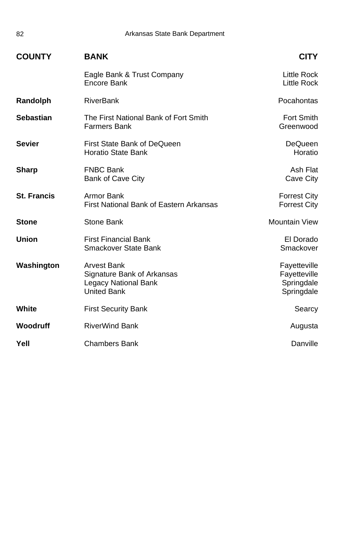| <b>COUNTY</b>      | <b>BANK</b>                                                                                    | <b>CITY</b>                                              |
|--------------------|------------------------------------------------------------------------------------------------|----------------------------------------------------------|
|                    | Eagle Bank & Trust Company<br>Encore Bank                                                      | <b>Little Rock</b><br><b>Little Rock</b>                 |
| Randolph           | <b>RiverBank</b>                                                                               | Pocahontas                                               |
| <b>Sebastian</b>   | The First National Bank of Fort Smith<br>Farmers Bank                                          | <b>Fort Smith</b><br>Greenwood                           |
| <b>Sevier</b>      | First State Bank of DeQueen<br><b>Horatio State Bank</b>                                       | DeQueen<br>Horatio                                       |
| Sharp              | <b>FNBC Bank</b><br>Bank of Cave City                                                          | Ash Flat<br>Cave City                                    |
| <b>St. Francis</b> | Armor Bank<br>First National Bank of Eastern Arkansas                                          | <b>Forrest City</b><br><b>Forrest City</b>               |
| <b>Stone</b>       | Stone Bank                                                                                     | <b>Mountain View</b>                                     |
| <b>Union</b>       | <b>First Financial Bank</b><br>Smackover State Bank                                            | El Dorado<br>Smackover                                   |
| Washington         | <b>Arvest Bank</b><br>Signature Bank of Arkansas<br>Legacy National Bank<br><b>United Bank</b> | Fayetteville<br>Fayetteville<br>Springdale<br>Springdale |
| White              | <b>First Security Bank</b>                                                                     | Searcy                                                   |
| Woodruff           | <b>RiverWind Bank</b>                                                                          | Augusta                                                  |
| Yell               | <b>Chambers Bank</b>                                                                           | Danville                                                 |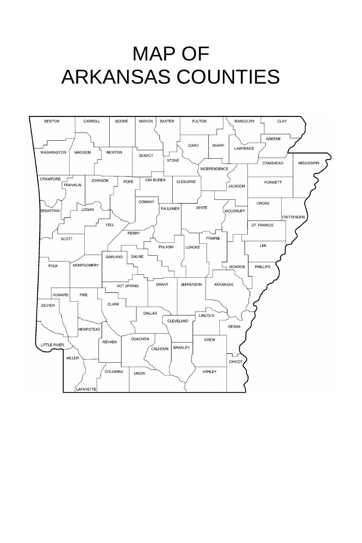# MAP OF ARKANSAS COUNTIES

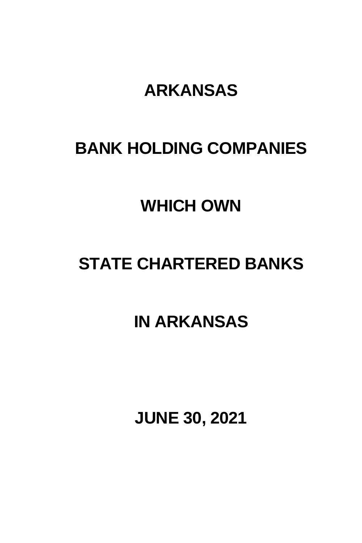## **ARKANSAS**

## **BANK HOLDING COMPANIES**

## **WHICH OWN**

## **STATE CHARTERED BANKS**

## **IN ARKANSAS**

**JUNE 30, 2021**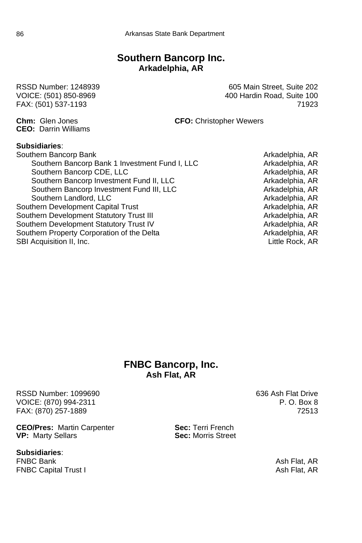#### **Southern Bancorp Inc. Arkadelphia, AR**

**CEO:** Darrin Williams

RSSD Number: 1248939 **605 Main Street, Suite 202** VOICE: (501) 850-8969 400 Hardin Road, Suite 100 FAX: (501) 537-1193 71923

**Chm:** Glen Jones **CFO:** Christopher Wewers

#### **Subsidiaries**:

Southern Bancorp Bank Arkadelphia, AR Southern Bancorp Bank 1 Investment Fund I, LLC<br>Southern Bancorp CDE, LLC<br>Arkadelphia, AR Southern Bancorp CDE, LLC<br>
Southern Bancorp Investment Fund II, LLC<br>
Arkadelphia, AR Southern Bancorp Investment Fund II, LLC<br>Southern Bancorp Investment Fund III, LLC<br>Arkadelphia, AR Southern Bancorp Investment Fund III, LLC Southern Landlord, LLC Arkadelphia, AR Southern Development Capital Trust Arkadelphia, AR<br>Southern Development Statutory Trust III Arkadelphia, AR Southern Development Statutory Trust III and Arkadelphia, AR<br>Southern Development Statutory Trust IV arkadelphia, AR Southern Development Statutory Trust IV Southern Property Corporation of the Delta Arkadelphia, AR SBI Acquisition II, Inc. **Little Rock, AR** 

#### **FNBC Bancorp, Inc. Ash Flat, AR**

RSSD Number: 1099690 **636 Ash Flat Drive** VOICE: (870) 994-2311 **P. O. Box 8** FAX: (870) 257-1889 72513

**CEO/Pres:** Martin Carpenter **Sec:** Terri French<br> **VP:** Marty Sellars<br> **Sec:** Morris Street **VP: Marty Sellars** 

## **Subsidiaries**:

**FNBC Capital Trust I Ash Flat, AR** Ash Flat, AR

Ash Flat, AR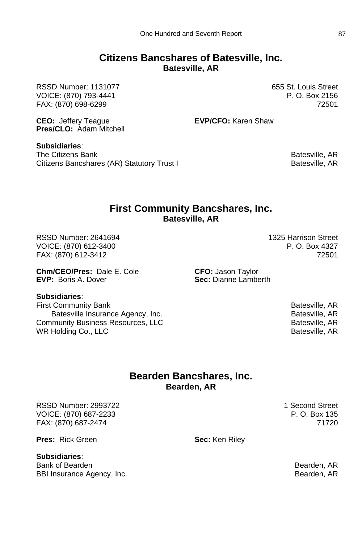#### **Citizens Bancshares of Batesville, Inc. Batesville, AR**

RSSD Number: 1131077 **655 St. Louis Street** VOICE: (870) 793-4441 P. O. Box 2156 FAX: (870) 698-6299 72501

**CEO:** Jeffery Teague **EVP/CFO:** Karen Shaw

**Pres/CLO:** Adam Mitchell **Subsidiaries**:

The Citizens Bank Bank Batesville, AR Citizens Bancshares (AR) Statutory Trust I Batesville, AR Batesville, AR

#### **First Community Bancshares, Inc. Batesville, AR**

RSSD Number: 2641694 1325 Harrison Street VOICE: (870) 612-3400 P. O. Box 4327 FAX: (870) 612-3412 72501

**Chm/CEO/Pres:** Dale E. Cole **CFO:** Jason Taylor<br> **EVP:** Boris A. Dover **CALC CO. Sec:** Dianne Lambe

**Sec:** Dianne Lamberth

#### **Subsidiaries**:

First Community Bank Batesville, AR Batesville Insurance Agency, Inc. **Batesville, AR** Batesville, AR Community Business Resources, LLC Batesville, AR WR Holding Co., LLC **Example 20 and 20 and 20 and 20 and 20 and 20 and 20 and 20 and 20 and 20 and 20 and 20 and 20 and 20 and 20 and 20 and 20 and 20 and 20 and 20 and 20 and 20 and 20 and 20 and 20 and 20 and 20 and 20 a** 

#### **Bearden Bancshares, Inc. Bearden, AR**

RSSD Number: 2993722 1 Second Street VOICE: (870) 687-2233 P. O. Box 135 FAX: (870) 687-2474 71720

**Pres:** Rick Green **Sec:** Ken Riley

#### **Subsidiaries**:

Bank of Bearden Bearden, ARC 2006, Bearden, ARC 2006, Bearden, ARC 2007, Bearden, ARC 2007, Bearden, ARC 2007, Bearden, ARC 2007, Bearden, ARC 2007, Bearden, ARC 2007, Bearden, ARC 2007, Bearden, ARC 2007, Bearden, ARC 200 BBI Insurance Agency, Inc. **BBI Insurance Agency, Inc.** Bearden, AR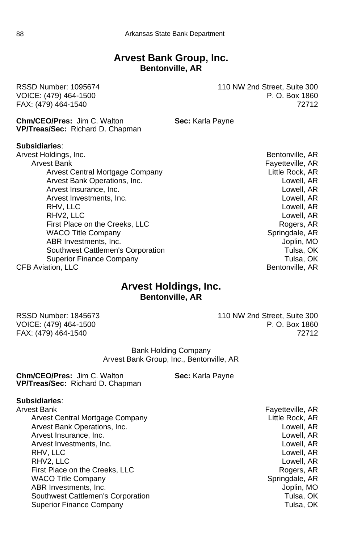#### **Arvest Bank Group, Inc. Bentonville, AR**

**Chm/CEO/Pres:** Jim C. Walton **Sec:** Karla Payne **VP/Treas/Sec:** Richard D. Chapman

#### **Subsidiaries**:

Arvest Holdings, Inc. **Bentonville, AR** Arvest Bank Fayetteville, AR Arvest Central Mortgage Company **Example 20 and Arriverse Central Mortgage Company** Arvest Bank Operations, Inc. **Lowell, AR** Arvest Insurance, Inc. **Lowell, AR** Arvest Insurance, Inc. Arvest Investments, Inc. Lowell, AR RHV, LLC Lowell, AR RHV2, LLC Lowell, AR First Place on the Creeks, LLC Rogers, AR WACO Title Company New York Company Springdale, AR ABR Investments, Inc. **ABR Investments**, Inc. Southwest Cattlemen's Corporation Tulsa, OK Superior Finance Company Tulsa, OK CFB Aviation, LLC **Bentonville, AR** 

#### **Arvest Holdings, Inc. Bentonville, AR**

RSSD Number: 1845673 110 NW 2nd Street, Suite 300 VOICE: (479) 464-1500 P. O. Box 1860 FAX: (479) 464-1540 72712

> Bank Holding Company Arvest Bank Group, Inc., Bentonville, AR

**Chm/CEO/Pres:** Jim C. Walton **Sec:** Karla Payne **VP/Treas/Sec:** Richard D. Chapman

#### **Subsidiaries**:

Arvest Bank Fayetteville, AR Arvest Central Mortgage Company **Example 20** Extract Little Rock, AR Arvest Bank Operations, Inc. Lowell, AR Arvest Insurance, Inc. Lowell, AR Arvest Investments, Inc. **Arror and Arvest Investments**, Inc. **Lowell**, AR RHV, LLC Lowell, AR RHV2, LLC Lowell, AR First Place on the Creeks, LLC **Rogers, AR** WACO Title Company Note and Springdale, AR ABR Investments, Inc. **ABR Investments**, Inc. Southwest Cattlemen's Corporation Tulsa, OK Superior Finance Company Tulsa, OK

RSSD Number: 1095674 110 NW 2nd Street, Suite 300 VOICE: (479) 464-1500 P.O. Box 1860 FAX: (479) 464-1540 72712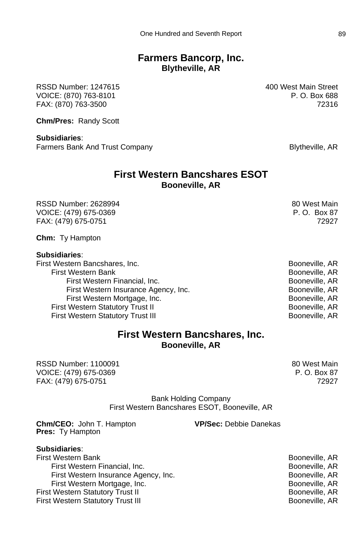#### **Farmers Bancorp, Inc. Blytheville, AR**

RSSD Number: 1247615 400 West Main Street VOICE: (870) 763-8101 P. O. Box 688 FAX: (870) 763-3500 72316

**Chm/Pres:** Randy Scott

**Subsidiaries**: Farmers Bank And Trust Company Blytheville, AR

#### **First Western Bancshares ESOT Booneville, AR**

RSSD Number: 2628994 80 West Main VOICE: (479) 675-0369 P. O. Box 87 FAX: (479) 675-0751 72927

**Chm:** Ty Hampton

#### **Subsidiaries**:

First Western Bancshares, Inc. **Booneville, AR** First Western Bank Booneville, AR First Western Financial, Inc. **Booneville, AR** First Western Insurance Agency, Inc. The Connect Report of Booneville, AR First Western Mortgage, Inc. **Booneville, AR** Booneville, AR First Western Statutory Trust II Booneville, AR First Western Statutory Trust III Booneville, AR

#### **First Western Bancshares, Inc. Booneville, AR**

RSSD Number: 1100091 80 West Main VOICE: (479) 675-0369 P.O. Box 87 FAX: (479) 675-0751 72927

Bank Holding Company First Western Bancshares ESOT, Booneville, AR

**Chm/CEO:** John T. Hampton **VP/Sec:** Debbie Danekas **Pres:** Ty Hampton

**Subsidiaries**: First Western Bank Booneville, AR First Western Financial, Inc. **Booneville, AR** First Western Insurance Agency, Inc. Booneville, AR First Western Mortgage, Inc. **Booneville, AR** First Western Statutory Trust II **Booneville, AR** First Western Statutory Trust III **Booneville, AR**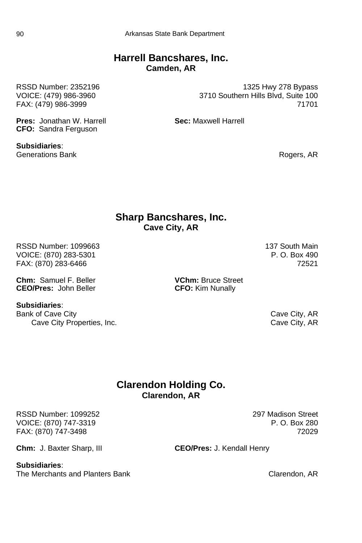#### **Harrell Bancshares, Inc. Camden, AR**

**Pres:** Jonathan W. Harrell **Sec:** Maxwell Harrell **CFO:** Sandra Ferguson

**Subsidiaries**: Generations Bank **Rogers, AR** Rogers, AR

RSSD Number: 2352196 1325 Hwy 278 Bypass VOICE: (479) 986-3960 3710 Southern Hills Blvd, Suite 100 FAX: (479) 986-3999 71701

## **Sharp Bancshares, Inc. Cave City, AR**

RSSD Number: 1099663 137 South Main<br>VOICE: (870) 283-5301 137 South Main VOICE: (870) 283-5301 VOICE: (870) 283-5301 P. O. Box 490 FAX: (870) 283-6466

**Chm:** Samuel F. Beller **VChm:** Bruce Street **CEO/Pres:** John Beller **VCHM: CFO:** Kim Nunally

**Subsidiaries**:

Bank of Cave City Cave City Cave City, AR Cave City Properties, Inc. Cave City, AR

**CFO:** Kim Nunally

#### **Clarendon Holding Co. Clarendon, AR**

RSSD Number: 1099252 297 Madison Street VOICE: (870) 747-3319 **P. O. Box 280** FAX: (870) 747-3498 72029

**Chm:** J. Baxter Sharp, III **CEO/Pres:** J. Kendall Henry

#### **Subsidiaries**:

The Merchants and Planters Bank Clarendon, AR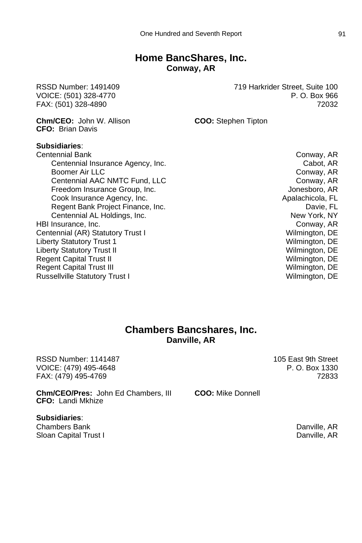#### **Home BancShares, Inc. Conway, AR**

RSSD Number: 1491409 719 Harkrider Street, Suite 100 VOICE: (501) 328-4770 P. O. Box 966 FAX: (501) 328-4890 72032

**Chm/CEO:** John W. Allison **COO:** Stephen Tipton

**CFO:** Brian Davis **Subsidiaries**: Centennial Bank Conway, AR Centennial Insurance Agency, Inc. The Cabot, AR Cabot, AR Boomer Air LLC **Conway, AR** Centennial AAC NMTC Fund, LLC Conway, AR Freedom Insurance Group, Inc. Communication of the Structure of Art Jonesboro, AR Cook Insurance Agency, Inc. And The Cook Insurance Agency, Inc. Apalachicola, FL Regent Bank Project Finance, Inc. **Davie, FL** Davie, FL Centennial AL Holdings, Inc. New York, NY HBI Insurance, Inc. Conway, AR Centennial (AR) Statutory Trust I Wilmington, DE Liberty Statutory Trust 1 Wilmington, DE Liberty Statutory Trust II New York 1999 and the United States of Wilmington, DE Regent Capital Trust II New York 1999 and the United States of Wilmington, DE Regent Capital Trust III Wilmington, DE Russellville Statutory Trust I Wilmington, DE

#### **Chambers Bancshares, Inc. Danville, AR**

RSSD Number: 1141487 105 East 9th Street VOICE: (479) 495-4648 P. O. Box 1330 FAX: (479) 495-4769 72833

**Chm/CEO/Pres:** John Ed Chambers, III **COO:** Mike Donnell **CFO:** Landi Mkhize

**Subsidiaries**: Chambers Bank Danville, AR Sloan Capital Trust I Danville, AR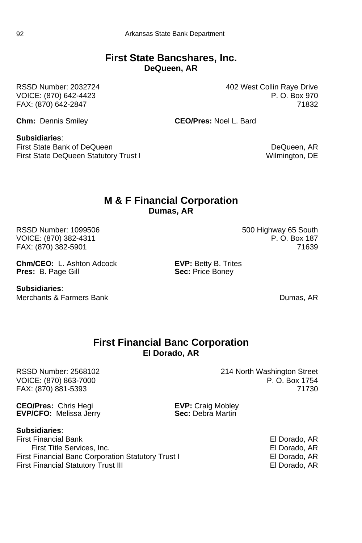#### **First State Bancshares, Inc. DeQueen, AR**

RSSD Number: 2032724 402 West Collin Raye Drive VOICE: (870) 642-4423 **P. O. Box 970** FAX: (870) 642-2847 71832

**Chm:** Dennis Smiley **CEO/Pres:** Noel L. Bard

#### **Subsidiaries**:

First State Bank of DeQueen **DeCusen** DeCusen DeQueen, AR First State DeQueen Statutory Trust I Wilmington, DE

#### **M & F Financial Corporation Dumas, AR**

RSSD Number: 1099506 500 Highway 65 South<br>VOICE: (870) 382-4311 F. O. Box 187 VOICE: (870) 382-4311 FAX: (870) 382-5901 71639

**Chm/CEO:** L. Ashton Adcock **EVP:** Betty B. Trites<br> **Pres:** B. Page Gill **Company EXEC:** Sec: Price Boney **Pres:** B. Page Gill

**Subsidiaries**:

Merchants & Farmers Bank Dumas, AR

#### **First Financial Banc Corporation El Dorado, AR**

FAX: (870) 881-5393

**CEO/Pres:** Chris Hegi **EVP:** Craig Mobley<br> **EVP/CFO:** Melissa Jerry **EVP** Sec: Debra Martin **EVP/CFO: Melissa Jerry** 

**Subsidiaries**:

First Financial Bank El Dorado, AR First Title Services, Inc. El Dorado, AR First Financial Banc Corporation Statutory Trust I El Dorado, AR First Financial Statutory Trust III **Election Contract II** El Dorado, AR

RSSD Number: 2568102<br>VOICE: (870) 863-7000 214 North Washington Street<br>P. O. Box 1754 VOICE: (870) 863-7000 P. O. Box 1754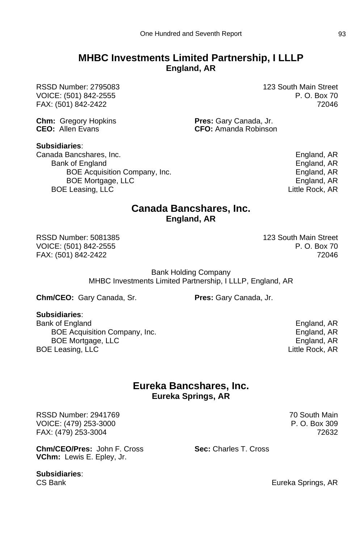#### **MHBC Investments Limited Partnership, I LLLP England, AR**

RSSD Number: 2795083 123 South Main Street VOICE: (501) 842-2555 P. O. Box 70 FAX: (501) 842-2422 72046

**Chm:** Gregory Hopkins **Pres:** Gary Canada, Jr.<br>**CFO:** Allen Evans **Pres:** CFO: Amanda Robinsor

**Subsidiaries**:

Canada Bancshares, Inc. England, AR Bank of England **England** England, AR BOE Acquisition Company, Inc. England, AR BOE Mortgage, LLC **England, AR** BOE Leasing, LLC **CONTACT CONTACT CONTACT CONTACT CONTACT CONTACT CONTACT CONTACT CONTACT CONTACT CONTACT CONTACT CONTACT CONTACT CONTACT CONTACT CONTACT CONTACT CONTACT CONTACT CONTACT CONTACT CONTACT CONTACT CONTACT CONT** 

**CEO:** Amanda Robinson

#### **Canada Bancshares, Inc. England, AR**

RSSD Number: 5081385 123 South Main Street VOICE: (501) 842-2555 P. O. Box 70 FAX: (501) 842-2422 72046

Bank Holding Company MHBC Investments Limited Partnership, I LLLP, England, AR

**Chm/CEO:** Gary Canada, Sr. **Pres:** Gary Canada, Jr.

**Subsidiaries**:

Bank of England<br>BOE Acquisition Company, Inc. The example of the England, AR England, AR BOE Acquisition Company, Inc. BOE Mortgage, LLC **England, AR** BOE Leasing, LLC **Contract and Contract Contract Contract Contract Contract Contract Contract Contract Contract Contract Contract Contract Contract Contract Contract Contract Contract Contract Contract Contract Contract Co** 

> **Eureka Bancshares, Inc. Eureka Springs, AR**

RSSD Number: 2941769 **70 South Main** VOICE: (479) 253-3000 P.O. Box 309 FAX: (479) 253-3004 72632

**Chm/CEO/Pres:** John F. Cross **Sec:** Charles T. Cross **VChm:** Lewis E. Epley, Jr.

**Subsidiaries**:

CS Bank **Eureka Springs, AR**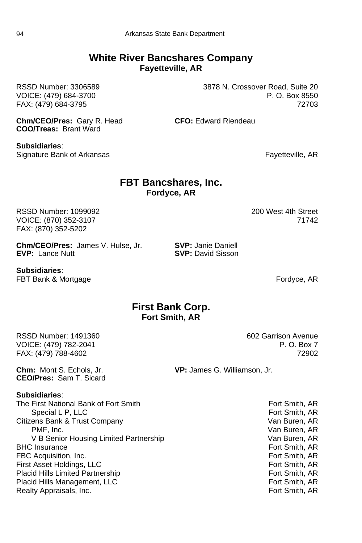#### **White River Bancshares Company Fayetteville, AR**

RSSD Number: 3306589 3878 N. Crossover Road, Suite 20

VOICE: (479) 684-3700 **P.O. Box 8550** FAX: (479) 684-3795 72703

**Chm/CEO/Pres:** Gary R. Head **CFO:** Edward Riendeau **COO/Treas:** Brant Ward

**Subsidiaries**: Signature Bank of Arkansas **Fayetteville, AR** 

#### **FBT Bancshares, Inc. Fordyce, AR**

RSSD Number: 1099092 200 West 4th Street VOICE: (870) 352-3107 FAX: (870) 352-5202

**Chm/CEO/Pres:** James V. Hulse, Jr. **SVP:** Janie Daniell **EVP: Lance Nutt** 

**Subsidiaries**: FBT Bank & Mortgage **Fordyce, AR** 

#### **First Bank Corp. Fort Smith, AR**

RSSD Number: 1491360 602 Garrison Avenue VOICE: (479) 782-2041 **P. O. Box 7** FAX: (479) 788-4602 72902

**CEO/Pres:** Sam T. Sicard

**Chm:** Mont S. Echols, Jr. **VP:** James G. Williamson, Jr.

#### **Subsidiaries**:

The First National Bank of Fort Smith Fort Smith Fort Smith, AR Special L P, LLC **Fort Smith, AR** Citizens Bank & Trust Company Van Buren, AR PMF, Inc.<br>V B Senior Housing Limited Partnership Van Buren, ARV B Senior Housing Limited Partnership V B Senior Housing Limited Partnership BHC Insurance **Fort Smith, AR** FBC Acquisition, Inc. Case of the Control of the Control of Smith, AR First Asset Holdings. LLC Control of the Fort Smith, AR First Asset Holdings. LLC First Asset Holdings, LLC Placid Hills Limited Partnership Fort Smith, AR Placid Hills Management, LLC **Fort Smith, AR** Realty Appraisals, Inc. The Context of Context of Smith, AR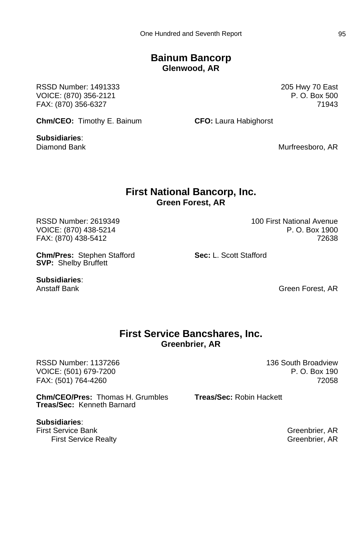#### **Bainum Bancorp Glenwood, AR**

RSSD Number: 1491333 205 Hwy 70 East VOICE: (870) 356-2121 **P. O. Box 500** FAX: (870) 356-6327 71943

**Chm/CEO:** Timothy E. Bainum **CFO:** Laura Habighorst

**Subsidiaries**:

Diamond Bank Murfreesboro, AR

#### **First National Bancorp, Inc. Green Forest, AR**

RSSD Number: 2619349 100 First National Avenue

**Chm/Pres:** Stephen Stafford **Sec:** L. Scott Stafford **SVP:** Shelby Bruffett

**Subsidiaries**:

Anstaff Bank Green Forest, AR

#### **First Service Bancshares, Inc. Greenbrier, AR**

RSSD Number: 1137266 136 South Broadview VOICE: (501) 679-7200 P. O. Box 190 FAX: (501) 764-4260 72058

**Chm/CEO/Pres:** Thomas H. Grumbles **Treas/Sec:** Robin Hackett

**Subsidiaries**: First Service Bank Greenbrier, AR First Service Realty **Greenbrier**, AR

**Treas/Sec:** Kenneth Barnard

VOICE: (870) 438-5214 P. O. Box 1900 FAX: (870) 438-5412 72638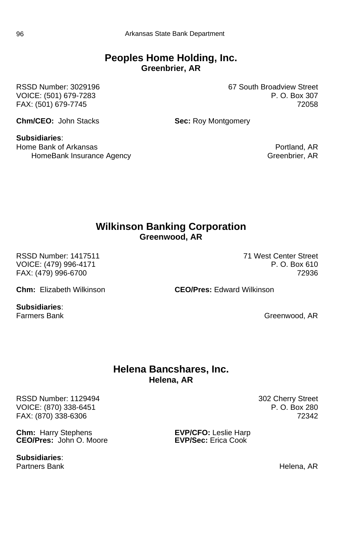#### **Peoples Home Holding, Inc. Greenbrier, AR**

VOICE: (501) 679-7283

RSSD Number: 3029196 67 South Broadview Street<br>VOICE: (501) 679-7283 F. O. Box 307 FAX: (501) 679-7745 72058

**Chm/CEO:** John Stacks **Sec:** Roy Montgomery

**Subsidiaries**: Home Bank of Arkansas Portland, AR HomeBank Insurance Agency Greenbrier, AR

#### **Wilkinson Banking Corporation Greenwood, AR**

RSSD Number: 1417511 71 West Center Street VOICE: (479) 996-4171 **P. O. Box 610** FAX: (479) 996-6700 72936

**Subsidiaries**:

**Chm:** Elizabeth Wilkinson **CEO/Pres:** Edward Wilkinson

Farmers Bank Greenwood, AR

#### **Helena Bancshares, Inc. Helena, AR**

RSSD Number: 1129494<br>VOICE: (870) 338-6451 302 Cherry Street<br>P. O. Box 280 VOICE: (870) 338-6451 P. O. Box 280 FAX: (870) 338-6306

**Chm:** Harry Stephens **EVP/CFO:** Leslie Harp<br> **CEO/Pres:** John O. Moore **EVP/Sec:** Erica Cook **CEO/Pres:** John O. Moore

**Subsidiaries**:

Partners Bank **Helena, AR**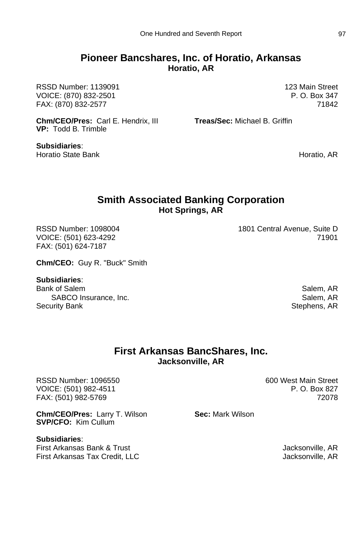#### **Pioneer Bancshares, Inc. of Horatio, Arkansas Horatio, AR**

RSSD Number: 1139091 123 Main Street VOICE: (870) 832-2501 P.O. Box 347 FAX: (870) 832-2577 71842

**Chm/CEO/Pres:** Carl E. Hendrix, III **Treas/Sec:** Michael B. Griffin **VP:** Todd B. Trimble

**Subsidiaries**: Horatio State Bank **Horatio**, AR

#### **Smith Associated Banking Corporation Hot Springs, AR**

FAX: (501) 624-7187

**Chm/CEO:** Guy R. "Buck" Smith

#### **Subsidiaries**:

Bank of Salem Salem, AR SABCO Insurance, Inc. SABCO Insurance, Inc. Salem, AR Security Bank Stephens, AR Stephens, AR

RSSD Number: 1098004 1801 Central Avenue, Suite D VOICE: (501) 623-4292 71901

#### **First Arkansas BancShares, Inc. Jacksonville, AR**

RSSD Number: 1096550 **600 West Main Street** VOICE: (501) 982-4511 **P. O. Box 827** FAX: (501) 982-5769 72078

**Chm/CEO/Pres:** Larry T. Wilson **Sec:** Mark Wilson **SVP/CFO:** Kim Cullum

**Subsidiaries**: First Arkansas Bank & Trust Jacksonville, AR First Arkansas Tax Credit, LLC and the Controller of the Macksonville, AR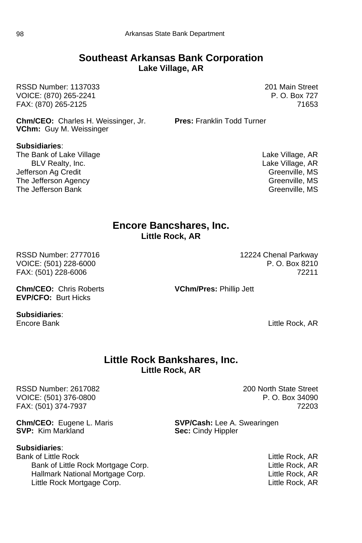#### **Southeast Arkansas Bank Corporation Lake Village, AR**

RSSD Number: 1137033 201 Main Street VOICE: (870) 265-2241 **P. O. Box 727** FAX: (870) 265-2125 71653

**Chm/CEO:** Charles H. Weissinger, Jr. **Pres:** Franklin Todd Turner **VChm:** Guy M. Weissinger

**Subsidiaries**: The Bank of Lake Village The Bank of Lake Village, AR BLV Realty, Inc. Lake Village, AR Jefferson Ag Credit (1999) and the United States of Greenville, MS (1999) and the United States of Greenville, MS (1999) and the United States of Greenville, MS (1999) and the United States of Greenville, MS (1999) and the The Jefferson Agency and the Control of the Second Creenville, MS<br>The Jefferson Bank Creenville, MS The Jefferson Bank

#### **Encore Bancshares, Inc. Little Rock, AR**

RSSD Number: 2777016 12224 Chenal Parkway VOICE: (501) 228-6000 P.O. Box 8210 FAX: (501) 228-6006 72211

**Chm/CEO:** Chris Roberts **VChm/Pres:** Phillip Jett **EVP/CFO:** Burt Hicks

**Subsidiaries**:

Encore Bank Little Rock, AR

#### **Little Rock Bankshares, Inc. Little Rock, AR**

RSSD Number: 2617082 200 North State Street VOICE: (501) 376-0800 P. O. Box 34090 FAX: (501) 374-7937 72203

**Chm/CEO:** Eugene L. Maris **SVP/Cash:** Lee A. Swearingen<br> **SVP:** Kim Markland **State Sec.** Cindy Hippler

**Subsidiaries**:

Bank of Little Rock Little Rock, AR Bank of Little Rock Mortgage Corp. **Example 20** Little Rock, AR Hallmark National Mortgage Corp.<br>
Little Rock Mortgage Corp.<br>
Little Rock AR Little Rock Mortgage Corp.

**Sec:** Cindy Hippler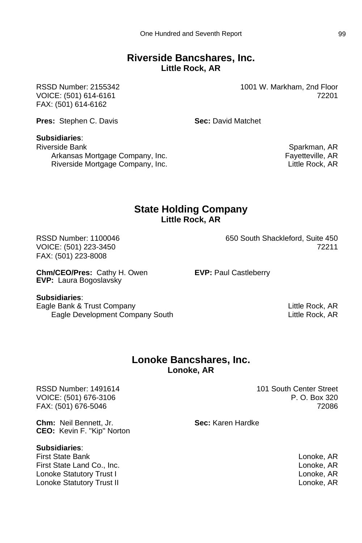#### **Riverside Bancshares, Inc. Little Rock, AR**

RSSD Number: 2155342 1001 W. Markham, 2nd Floor VOICE: (501) 614-6161 72201 FAX: (501) 614-6162

**Pres:** Stephen C. Davis **Sec:** David Matchet

#### **Subsidiaries**:

Riverside Bank **Sparkman, AR** Sparkman, AR Arkansas Mortgage Company, Inc. Fayetteville, AR Riverside Mortgage Company, Inc.

#### **State Holding Company Little Rock, AR**

FAX: (501) 223-8008

RSSD Number: 1100046 **650 South Shackleford, Suite 450** VOICE: (501) 223-3450 72211

**Chm/CEO/Pres:** Cathy H. Owen **EVP:** Paul Castleberry **EVP:** Laura Bogoslavsky

#### **Subsidiaries**:

Eagle Bank & Trust Company Little Rock, AR Eagle Development Company South Little Rock, AR

#### **Lonoke Bancshares, Inc. Lonoke, AR**

RSSD Number: 1491614 101 South Center Street VOICE: (501) 676-3106 P. O. Box 320 FAX: (501) 676-5046 72086

**Chm:** Neil Bennett, Jr. **Sec:** Karen Hardke **CEO:** Kevin F. "Kip" Norton

#### **Subsidiaries**:

First State Bank Lonoke, AR First State Land Co., Inc. Lonoke, AR Lonoke Statutory Trust I Lonoke, AR Lonoke Statutory Trust II Lonoke, AR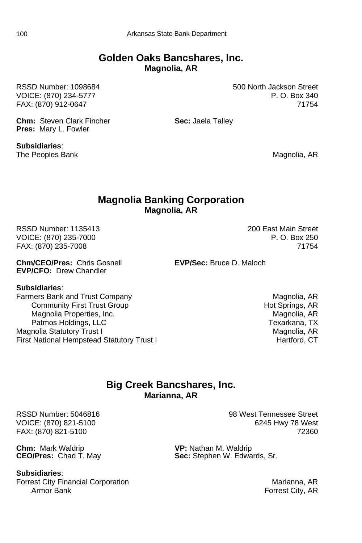#### **Golden Oaks Bancshares, Inc. Magnolia, AR**

**Chm:** Steven Clark Fincher **Sec:** Jaela Talley **Pres:** Mary L. Fowler

RSSD Number: 1098684 500 North Jackson Street VOICE: (870) 234-5777 P.O. Box 340 FAX: (870) 912-0647 71754

**Subsidiaries**: The Peoples Bank Magnolia, AR

#### **Magnolia Banking Corporation Magnolia, AR**

RSSD Number: 1135413 200 East Main Street VOICE: (870) 235-7000 P. O. Box 250 FAX: (870) 235-7008

**Chm/CEO/Pres:** Chris Gosnell **EVP/Sec:** Bruce D. Maloch **EVP/CFO:** Drew Chandler

#### **Subsidiaries**:

Farmers Bank and Trust Company Magnolia, AR Community First Trust Group and the Community First Trust Group 10 and the Community First Trust Group 10 and Hot Springs, AR Magnolia, AR Magnolia, AR Magnolia Properties, Inc. Patmos Holdings, LLC **Texarkana**, TX Magnolia Statutory Trust I<br>First National Hempstead Statutory Trust I Magnolia, AR Magnolia, AR First National Hempstead Statutory Trust I

#### **Big Creek Bancshares, Inc. Marianna, AR**

**Chm:** Mark Waldrip **VP:** Nathan M. Waldrip **CEO/Pres:** Chad T. May **CEO/Pres:** Chad T. May

**Subsidiaries**:

Forrest City Financial Corporation **Marianna**, AR Armor Bank Forrest City, AR

RSSD Number: 5046816 98 West Tennessee Street VOICE: (870) 821-5100 6245 Hwy 78 West FAX: (870) 821-5100 72360

Sec: Stephen W. Edwards, Sr.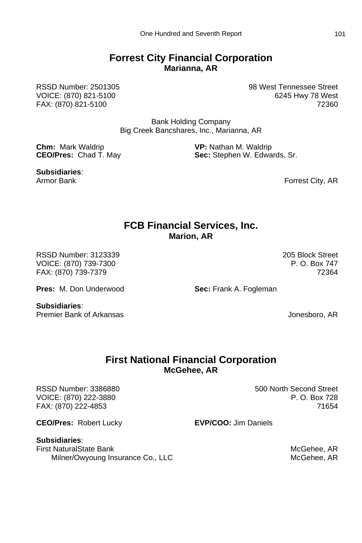#### **Forrest City Financial Corporation Marianna, AR**

RSSD Number: 2501305 98 West Tennessee Street VOICE: (870) 821-5100 6245 Hwy 78 West FAX: (870) 821-5100 72360

> Bank Holding Company Big Creek Bancshares, Inc., Marianna, AR

**Chm:** Mark Waldrip **VP:** Nathan M. Waldrip **CEO/Pres:** Chad T. May **CEO/Pres:** Chad T. May **CEO/Pres:** Chad T. May **CEO/Pres:** Chad T. May **CEO/Pres:** Chad T. May **CEO/Pres:** Chad T. May **CEO/Pres:** Chad T. May **CEO** 

**Subsidiaries**:

Sec: Stephen W. Edwards, Sr.

Forrest City, AR

#### **FCB Financial Services, Inc. Marion, AR**

RSSD Number: 3123339 205 Block Street VOICE: (870) 739-7300 P. O. Box 747 FAX: (870) 739-7379 72364

**Pres:** M. Don Underwood **Sec:** Frank A. Fogleman

**Subsidiaries**:

Premier Bank of Arkansas Jonesboro, AR

#### **First National Financial Corporation McGehee, AR**

RSSD Number: 3386880 500 North Second Street VOICE: (870) 222-3880 P. O. Box 728 FAX: (870) 222-4853 71654

**CEO/Pres:** Robert Lucky **EVP/COO:** Jim Daniels

**Subsidiaries**: First NaturalState Bank McGehee, AR Milner/Owyoung Insurance Co., LLC McGehee, AR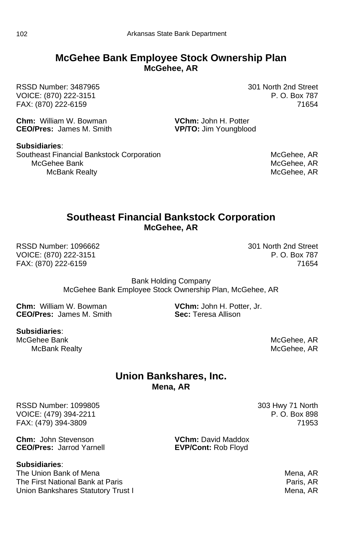#### **McGehee Bank Employee Stock Ownership Plan McGehee, AR**

RSSD Number: 3487965 301 North 2nd Street VOICE: (870) 222-3151 FAX: (870) 222-6159 71654

**Chm:** William W. Bowman **VChm: John H. Potter CFO/Pres:** James M. Smith **VP/TO:** Jim Youngblog

**VP/TO:** Jim Youngblood

**Subsidiaries**: Southeast Financial Bankstock Corporation **McGehee, AR** McGehee, AR McGehee Bank McGehee, AR McBank Realty

## **Southeast Financial Bankstock Corporation McGehee, AR**

RSSD Number: 1096662 301 North 2nd Street VOICE: (870) 222-3151 P. O. Box 787 FAX: (870) 222-6159 71654

Bank Holding Company McGehee Bank Employee Stock Ownership Plan, McGehee, AR

**Chm:** William W. Bowman **V. B. A. C. A. V. V. V. V. V. V. CEO/Pres:** James M. Smith **CEO/Pres:** James M. Smith **Sec:** Teresa Allison **CEO/Pres: James M. Smith** 

**Subsidiaries**: McGehee Bank Management and the state of the state of the McGehee, AR McBank Realty **Music Realty** McGehee, AR

#### **Union Bankshares, Inc. Mena, AR**

RSSD Number: 1099805 303 Hwy 71 North VOICE: (479) 394-2211 **P. O. Box 898** FAX: (479) 394-3809 71953

**Chm:** John Stevenson **VChm:** David Maddox<br> **CEO/Pres:** Jarrod Yarnell **VEVP/Cont:** Rob Flovd

**Subsidiaries**:

The Union Bank of Mena Mena Mena Mena, AR The First National Bank at Paris Paris Paris, AR Union Bankshares Statutory Trust I Mena, AR

**EVP/Cont: Rob Floyd**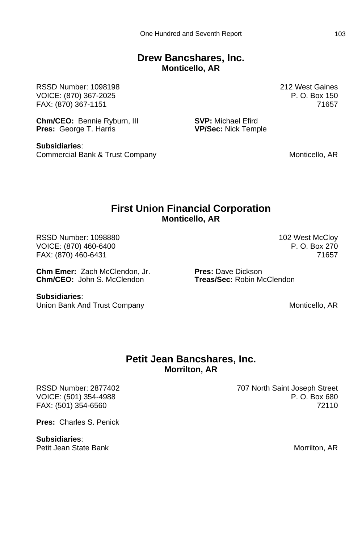#### **Drew Bancshares, Inc. Monticello, AR**

RSSD Number: 1098198 212 West Gaines VOICE: (870) 367-2025 P. O. Box 150 FAX: (870) 367-1151 71657

**Chm/CEO:** Bennie Ryburn, III **SVP:** Michael Efird<br> **Pres:** George T. Harris **Structure Structure Press: Structure Press: Nick Temple Pres:** George T. Harris

**Subsidiaries**: Commercial Bank & Trust Company Monticello, AR

#### **First Union Financial Corporation Monticello, AR**

RSSD Number: 1098880 **102 West McCloy** 86 November: 1098880 VOICE: (870) 460-6400 P.O. Box 270 FAX: (870) 460-6431 71657

**Chm Emer:** Zach McClendon, Jr. **Pres:** Dave Dickson **Chm/CEO:** John S. McClendon

**Subsidiaries**: Union Bank And Trust Company Monticello, AR

#### **Petit Jean Bancshares, Inc. Morrilton, AR**

**Pres:** Charles S. Penick

**Subsidiaries**: Petit Jean State Bank Morrilton, AR

RSSD Number: 2877402 707 North Saint Joseph Street VOICE: (501) 354-4988 P.O. Box 680 FAX: (501) 354-6560 72110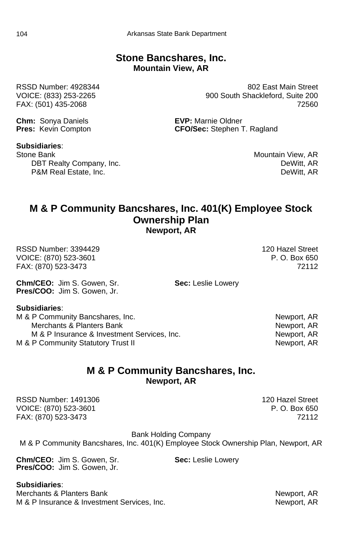#### **Stone Bancshares, Inc. Mountain View, AR**

**Chm:** Sonya Daniels **EVP:** Marnie Oldner<br> **Pres:** Kevin Compton **EXP:** CFO/Sec: Stephen T

#### **Subsidiaries**:

Stone Bank Mountain View, AR DBT Realty Company, Inc. **DET Realty Company**, Inc. **DET Realty** Company, Inc. P&M Real Estate, Inc. **DeWitt, AR** 

RSSD Number: 4928344 802 East Main Street VOICE: (833) 253-2265 900 South Shackleford, Suite 200 FAX: (501) 435-2068 72560

**CFO/Sec:** Stephen T. Ragland

#### **M & P Community Bancshares, Inc. 401(K) Employee Stock Ownership Plan Newport, AR**

RSSD Number: 3394429 120 Hazel Street VOICE: (870) 523-3601 P.O. Box 650 FAX: (870) 523-3473 72112

**Chm/CEO:** Jim S. Gowen, Sr. **Sec:** Leslie Lowery **Pres/COO:** Jim S. Gowen, Jr.

**Subsidiaries**:

M & P Community Bancshares, Inc.<br>Merchants & Planters Bank<br>Newport, AR Newport, AR Merchants & Planters Bank M & P Insurance & Investment Services, Inc. Newport, AR M & P Community Statutory Trust II Newport, AR

### **M & P Community Bancshares, Inc. Newport, AR**

RSSD Number: 1491306 120 Hazel Street VOICE: (870) 523-3601 P.O. Box 650 FAX: (870) 523-3473 72112

Bank Holding Company M & P Community Bancshares, Inc. 401(K) Employee Stock Ownership Plan, Newport, AR

**Chm/CEO:** Jim S. Gowen, Sr. **Sec:** Leslie Lowery **Pres/COO:** Jim S. Gowen, Jr.

**Subsidiaries**: Merchants & Planters Bank Newport, AR M & P Insurance & Investment Services, Inc. Newport, AR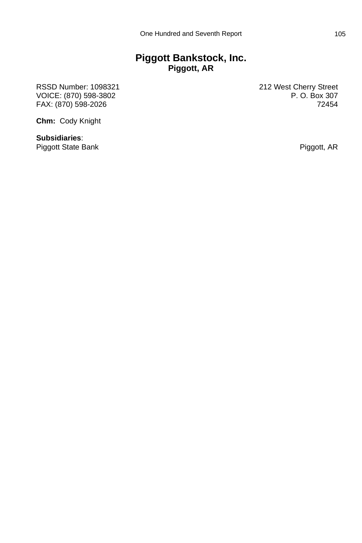### **Piggott Bankstock, Inc. Piggott, AR**

RSSD Number: 1098321 212 West Cherry Street<br>VOICE: (870) 598-3802 212 P. O. Box 307 VOICE: (870) 598-3802 P. O. Box 307 FAX: (870) 598-2026

**Chm:** Cody Knight

**Subsidiaries**: Piggott State Bank **Piggott**, AR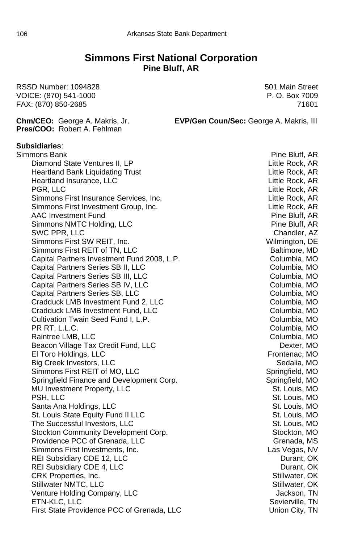#### **Simmons First National Corporation Pine Bluff, AR**

RSSD Number: 1094828 501 Main Street VOICE: (870) 541-1000 P. O. Box 7009 FAX: (870) 850-2685 71601 **Chm/CEO:** George A. Makris, Jr. **EVP/Gen Coun/Sec:** George A. Makris, III **Pres/COO:** Robert A. Fehlman **Subsidiaries**: Simmons Bank **Pine Bluff, AR** Diamond State Ventures II, LP and the Control of Little Rock, AR Heartland Bank Liquidating Trust Little Rock, AR Heartland Insurance, LLC and the Control of Little Rock, AR PGR, LLC Little Rock, AR Simmons First Insurance Services, Inc. Little Rock, AR Simmons First Investment Group, Inc. **Example 20** The Little Rock, AR AAC Investment Fund Pine Bluff, AR Simmons NMTC Holding, LLC Pine Bluff, AR SWC PPR, LLC Chandler, AZ Simmons First SW REIT, Inc. Wilmington, DE Simmons First REIT of TN, LLC and the Control Baltimore, MD Capital Partners Investment Fund 2008, L.P. Columbia, MO Capital Partners Series SB II, LLC Columbia, MO Capital Partners Series SB III, LLC Columbia, MO Capital Partners Series SB IV, LLC Contract Columbia, MO Capital Partners Series SB, LLC Columbia, MO Cradduck LMB Investment Fund 2, LLC Columbia, MO Cradduck LMB Investment Fund, LLC Contract Columbia, MO Cultivation Twain Seed Fund I, L.P. COLUMBIA, MO PR RT, L.L.C. Columbia, MO Raintree LMB, LLC **Columbia, MO** Beacon Village Tax Credit Fund, LLC Dexter, MO El Toro Holdings, LLC **Frontenac, MO** Big Creek Investors, LLC No. 1999 and Sedalia, MO Simmons First REIT of MO, LLC Springfield, MO Springfield Finance and Development Corp. The Springfield Springfield, MO MU Investment Property, LLC St. Louis, MO PSH, LLC St. Louis, MO Santa Ana Holdings, LLC St. Louis, MO St. Louis State Equity Fund II LLC St. Louis, MO The Successful Investors, LLC  $\qquad \qquad$  St. Louis, MO Stockton Community Development Corp. The Stockton Community Development Corp. Providence PCC of Grenada, LLC Grenada, MS Simmons First Investments, Inc. Community Community Community Community Community Community Community Community REI Subsidiary CDE 12, LLC **Durant, OK** REI Subsidiary CDE 4, LLC **Durant, OK** CRK Properties, Inc. Stillwater, OK Stillwater NMTC, LLC **Stillwater, OK** Stillwater, OK Venture Holding Company, LLC  $\qquad \qquad$  Jackson, TN ETN-KLC, LLC Sevierville, TN First State Providence PCC of Grenada, LLC Union City, TN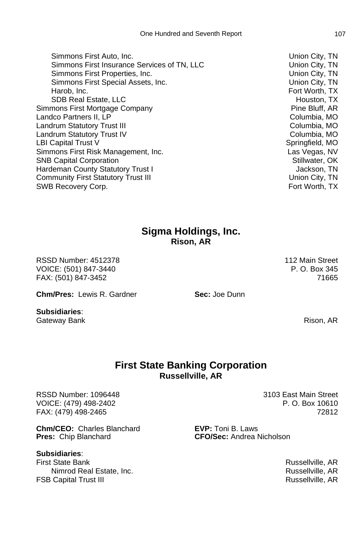Simmons First Auto, Inc. Union City, TN Simmons First Insurance Services of TN, LLC 
Union City, TN Simmons First Properties, Inc. Union City, TN Simmons First Special Assets, Inc. Union City, TN Harob, Inc. **Fort Worth, TX** SDB Real Estate, LLC and the state of the state of the state of the state of the state of the state of the state of the state of the state of the state of the state of the state of the state of the state of the state of th Simmons First Mortgage Company **Pine Bluff, AR** Landco Partners II, LP Contract Contract Columbia, MO Landrum Statutory Trust III Columbia, MO Landrum Statutory Trust IV Columbia, MO LBI Capital Trust V Springfield, MO Simmons First Risk Management, Inc. Communist Communist Cas Vegas, NV SNB Capital Corporation Stillwater, OK Hardeman County Statutory Trust I and the statutory of the statutory of the statutory of the statutory of the statutory of the statutory of the statutory of the statutory of the statutory of the statutory of the statutory Community First Statutory Trust III Community Community First Statutory Trust III SWB Recovery Corp. The contract of the contract of the contract of the contract of the contract of the contract of the contract of the contract of the contract of the contract of the contract of the contract of the contrac

### **Sigma Holdings, Inc. Rison, AR**

RSSD Number: 4512378 112 Main Street VOICE: (501) 847-3440 **P. O. Box 345** FAX: (501) 847-3452 71665

**Chm/Pres:** Lewis R. Gardner **Sec:** Joe Dunn

**Subsidiaries**: Gateway Bank Rison, AR

#### **First State Banking Corporation Russellville, AR**

RSSD Number: 1096448 3103 East Main Street VOICE: (479) 498-2402 P. O. Box 10610 FAX: (479) 498-2465 72812

**Chm/CEO:** Charles Blanchard **EVP:** Toni B. Laws **Pres:** Chip Blanchard **CFO/Sec:** Andrea Nicholson

#### **Subsidiaries**:

First State Bank Russellville, AR Nimrod Real Estate, Inc. **Russellville, AR** Russellville, AR **FSB Capital Trust III** Russellville, AR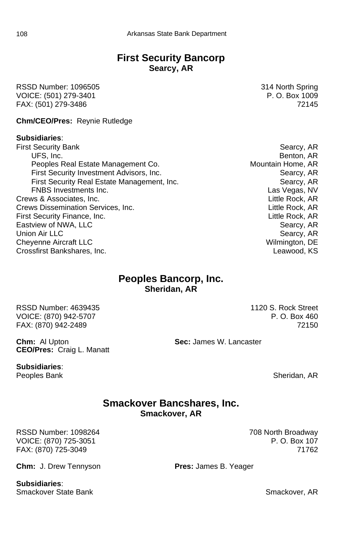### **First Security Bancorp Searcy, AR**

RSSD Number: 1096505 314 North Spring VOICE: (501) 279-3401 **P. O. Box 1009** FAX: (501) 279-3486 72145

**Chm/CEO/Pres:** Reynie Rutledge

#### **Subsidiaries**:

- First Security Bank **Searcy, AR** UFS, Inc. **Benton, AR** Peoples Real Estate Management Co. **Mountain Home, AR** First Security Investment Advisors, Inc. Searcy, AR Searcy, AR First Security Real Estate Management, Inc. Searcy, AR FNBS Investments Inc. Las Vegas, NV Crews & Associates, Inc. Little Rock, AR Crews Dissemination Services, Inc. Little Rock, AR First Security Finance, Inc. **And Elittle Rock, AR** Little Rock, AR Eastview of NWA, LLC **Searcy, AR** Union Air LLC **Searcy, AR** Cheyenne Aircraft LLC **Cheyenne Aircraft LLC** Wilmington, DE Crossfirst Bankshares, Inc. Leawood, KS
- 

#### **Peoples Bancorp, Inc. Sheridan, AR**

RSSD Number: 4639435 1120 S. Rock Street VOICE: (870) 942-5707 P.O. Box 460 FAX: (870) 942-2489 72150

**Chm:** Al Upton **Sec:** James W. Lancaster **CEO/Pres:** Craig L. Manatt

**Subsidiaries**:

Peoples Bank Sheridan, AR

#### **Smackover Bancshares, Inc. Smackover, AR**

RSSD Number: 1098264 708 North Broadway VOICE: (870) 725-3051 P.O. Box 107 FAX: (870) 725-3049 71762

**Chm:** J. Drew Tennyson **Pres:** James B. Yeager

**Subsidiaries**: Smackover State Bank Smackover, AR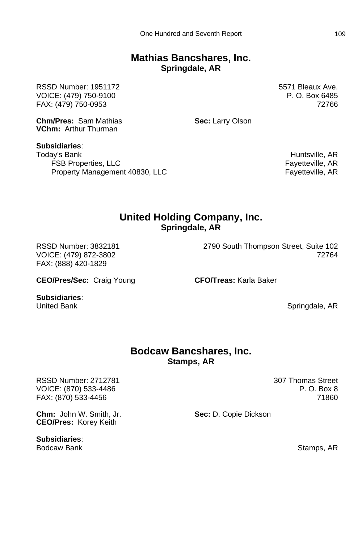#### **Mathias Bancshares, Inc. Springdale, AR**

RSSD Number: 1951172 5571 Bleaux Ave. VOICE: (479) 750-9100 P.O. Box 6485 FAX: (479) 750-0953 72766

**Chm/Pres:** Sam Mathias **Sec:** Larry Olson **VChm:** Arthur Thurman

**Subsidiaries**: Today's Bank **Huntsville, AR** FSB Properties, LLC **FAULT EXECUTE:** Fayetteville, AR Property Management 40830, LLC Fayetteville, AR

### **United Holding Company, Inc. Springdale, AR**

FAX: (888) 420-1829

**CEO/Pres/Sec:** Craig Young **CFO/Treas:** Karla Baker

**Subsidiaries**:

United Bank **Springdale, AR** 

#### **Bodcaw Bancshares, Inc. Stamps, AR**

RSSD Number: 2712781 307 Thomas Street VOICE: (870) 533-4486 P.O. Box 8 FAX: (870) 533-4456 71860

**Chm:** John W. Smith, Jr. **Sec:** D. Copie Dickson

**CEO/Pres:** Korey Keith

**Subsidiaries**: Bodcaw Bank Stamps, AR and Stamps, AR and Stamps, AR

RSSD Number: 3832181 2790 South Thompson Street, Suite 102 VOICE: (479) 872-3802 72764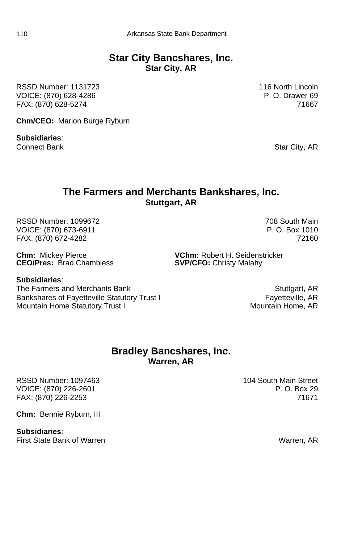#### **Star City Bancshares, Inc. Star City, AR**

RSSD Number: 1131723 116 North Lincoln VOICE: (870) 628-4286 P.O. Drawer 69 FAX: (870) 628-5274 71667

**Chm/CEO:** Marion Burge Ryburn

**Subsidiaries**:

Connect Bank Star City, AR

#### **The Farmers and Merchants Bankshares, Inc. Stuttgart, AR**

RSSD Number: 1099672 708 South Main VOICE: (870) 673-6911 **P.O. Box 1010** FAX: (870) 672-4282 72160

**CEO/Pres:** Brad Chambless **SVP/CFO:** Christy Malahy

**Subsidiaries**:

The Farmers and Merchants Bank Stuttgart, AR Bankshares of Fayetteville Statutory Trust I<br>Mountain Home Statutory Trust I Fayetteville, AR<br>Mountain Home. AR Mountain Home Statutory Trust I

**Chm:** Mickey Pierce **VChm:** Robert H. Seidenstricker

#### **Bradley Bancshares, Inc. Warren, AR**

RSSD Number: 1097463 104 South Main Street<br>VOICE: (870) 226-2601 104 South P. O. Box 29 VOICE: (870) 226-2601 FAX: (870) 226-2253 71671

**Chm:** Bennie Ryburn, III

**Subsidiaries**: First State Bank of Warren Warren Warren, AR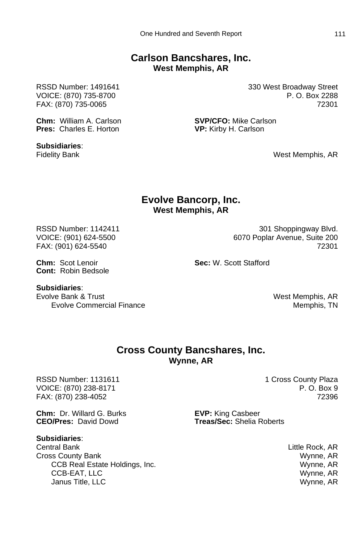#### **Carlson Bancshares, Inc. West Memphis, AR**

**Chm:** William A. Carlson **SVP/CFO:** Mike Carlson **Pres:** Charles F. Horton **STATE: SPP/CFO:** Mike Carlson

**Subsidiaries**:

RSSD Number: 1491641 **330 West Broadway Street** VOICE: (870) 735-8700 P. O. Box 2288 FAX: (870) 735-0065 72301

**VP:** Kirby H. Carlson

Fidelity Bank **Material Contract Contract Members** Mest Memphis, AR

#### **Evolve Bancorp, Inc. West Memphis, AR**

RSSD Number: 1142411 301 Shoppingway Blvd. VOICE: (901) 624-5500 6070 Poplar Avenue, Suite 200 FAX: (901) 624-5540 72301

**Chm:** Scot Lenoir **Sec:** W. Scott Stafford **Cont:** Robin Bedsole

**Subsidiaries:**<br>Evolve Bank & Trust

Evolve Commercial Finance **Memphis, TN** 

West Memphis, AR

#### **Cross County Bancshares, Inc. Wynne, AR**

RSSD Number: 1131611 1 Cross County Plaza<br>VOICE: (870) 238-8171 1 Cross County Plaza VOICE: (870) 238-8171 FAX: (870) 238-4052 72396

**Chm:** Dr. Willard G. Burks **EVP:** King Casbeer<br>**CEO/Pres:** David Dowd **Freas/Sec:** Shelia F

#### **Subsidiaries**:

Central Bank Little Rock, AR Cross County Bank Wynne, AR CCB Real Estate Holdings, Inc. Wynne, AR CCB-EAT, LLC Wynne, AR Janus Title, LLC Wynne, AR

**Treas/Sec:** Shelia Roberts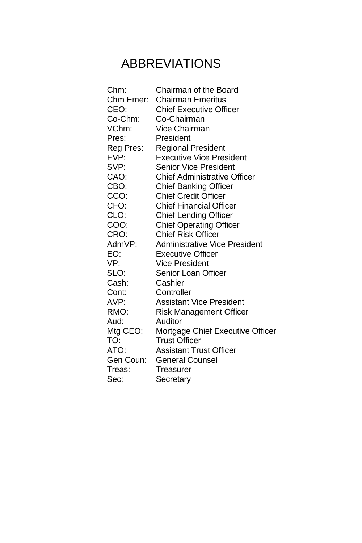# ABBREVIATIONS

| Chm:      | Chairman of the Board                |
|-----------|--------------------------------------|
| Chm Emer: | <b>Chairman Emeritus</b>             |
| CEO:      | <b>Chief Executive Officer</b>       |
| Co-Chm:   | Co-Chairman                          |
| VChm:     | Vice Chairman                        |
| Pres:     | President                            |
| Reg Pres: | <b>Regional President</b>            |
| EVP:      | <b>Executive Vice President</b>      |
| SVP:      | <b>Senior Vice President</b>         |
| CAO:      | <b>Chief Administrative Officer</b>  |
| CBO:      | <b>Chief Banking Officer</b>         |
| CCO:      | <b>Chief Credit Officer</b>          |
| CFO:      | <b>Chief Financial Officer</b>       |
| CLO:      | <b>Chief Lending Officer</b>         |
| COO:      | <b>Chief Operating Officer</b>       |
| CRO:      | <b>Chief Risk Officer</b>            |
| AdmVP:    | <b>Administrative Vice President</b> |
| EO:       | <b>Executive Officer</b>             |
| VP:       | <b>Vice President</b>                |
| SLO: I    | Senior Loan Officer                  |
| Cash:     | Cashier                              |
| Cont:     | Controller                           |
| AVP:      | <b>Assistant Vice President</b>      |
| RMO:      | <b>Risk Management Officer</b>       |
| Aud:      | Auditor                              |
| Mtg CEO:  | Mortgage Chief Executive Officer     |
| TO:       | <b>Trust Officer</b>                 |
| ATO:      | <b>Assistant Trust Officer</b>       |
| Gen Coun: | <b>General Counsel</b>               |
| Treas:    | Treasurer                            |
| Sec:      | Secretary                            |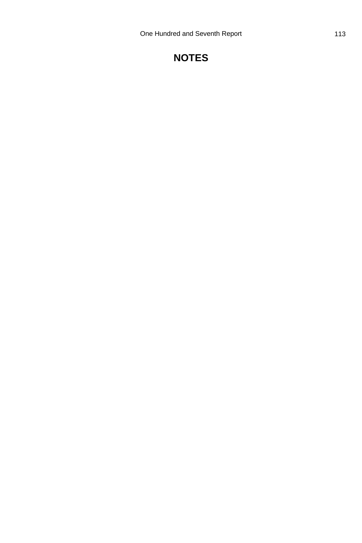# **NOTES**